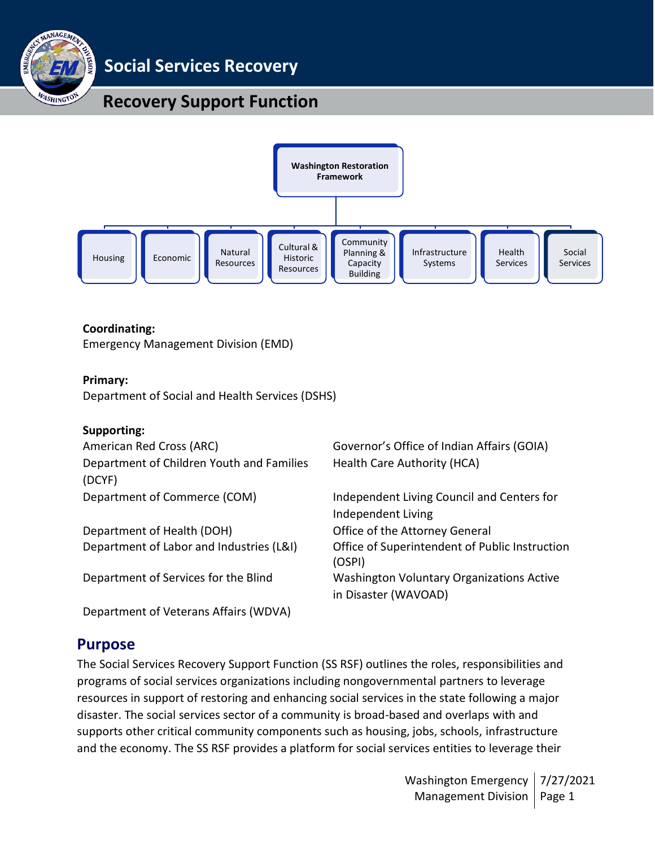

**Social Services Recovery**

# **Recovery Support Function**



#### **Coordinating:**

Emergency Management Division (EMD)

Department of Veterans Affairs (WDVA)

#### **Primary:**

Department of Social and Health Services (DSHS)

#### **Supporting:**

| American Red Cross (ARC)                            | Governor's Office of Indian Affairs (GOIA)                               |
|-----------------------------------------------------|--------------------------------------------------------------------------|
| Department of Children Youth and Families<br>(DCYF) | Health Care Authority (HCA)                                              |
| Department of Commerce (COM)                        | Independent Living Council and Centers for<br>Independent Living         |
| Department of Health (DOH)                          | Office of the Attorney General                                           |
| Department of Labor and Industries (L&I)            | Office of Superintendent of Public Instruction<br>(OSPI)                 |
| Department of Services for the Blind                | <b>Washington Voluntary Organizations Active</b><br>in Disaster (WAVOAD) |

## **Purpose**

The Social Services Recovery Support Function (SS RSF) outlines the roles, responsibilities and programs of social services organizations including nongovernmental partners to leverage resources in support of restoring and enhancing social services in the state following a major disaster. The social services sector of a community is broad-based and overlaps with and supports other critical community components such as housing, jobs, schools, infrastructure and the economy. The SS RSF provides a platform for social services entities to leverage their

> Washington Emergency Management Division | Page 1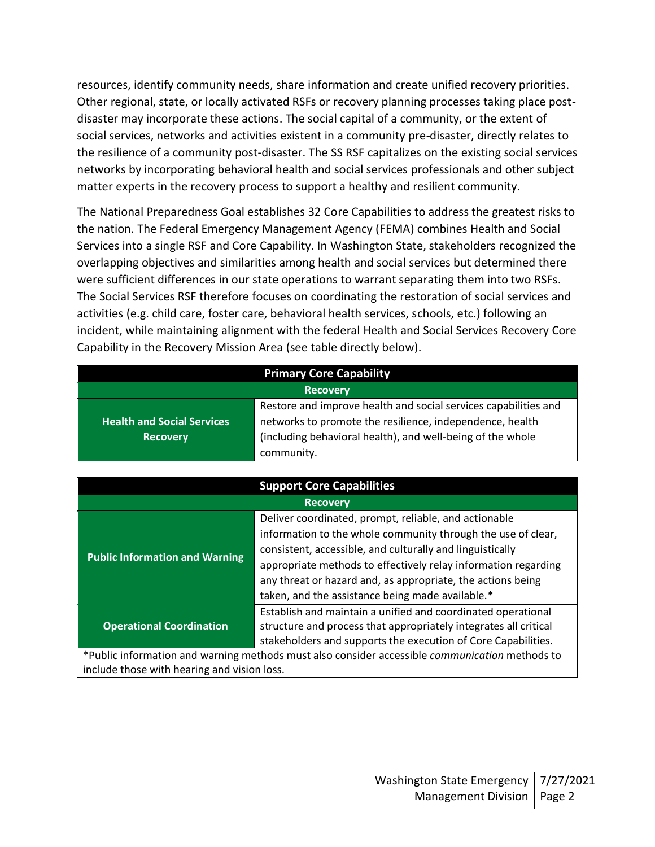resources, identify community needs, share information and create unified recovery priorities. Other regional, state, or locally activated RSFs or recovery planning processes taking place postdisaster may incorporate these actions. The social capital of a community, or the extent of social services, networks and activities existent in a community pre-disaster, directly relates to the resilience of a community post-disaster. The SS RSF capitalizes on the existing social services networks by incorporating behavioral health and social services professionals and other subject matter experts in the recovery process to support a healthy and resilient community.

The National Preparedness Goal establishes 32 Core Capabilities to address the greatest risks to the nation. The Federal Emergency Management Agency (FEMA) combines Health and Social Services into a single RSF and Core Capability. In Washington State, stakeholders recognized the overlapping objectives and similarities among health and social services but determined there were sufficient differences in our state operations to warrant separating them into two RSFs. The Social Services RSF therefore focuses on coordinating the restoration of social services and activities (e.g. child care, foster care, behavioral health services, schools, etc.) following an incident, while maintaining alignment with the federal Health and Social Services Recovery Core Capability in the Recovery Mission Area (see table directly below).

| <b>Primary Core Capability</b>                       |                                                                                                                                                                                                                                                                                                                                                                         |  |
|------------------------------------------------------|-------------------------------------------------------------------------------------------------------------------------------------------------------------------------------------------------------------------------------------------------------------------------------------------------------------------------------------------------------------------------|--|
|                                                      | <b>Recovery</b>                                                                                                                                                                                                                                                                                                                                                         |  |
| <b>Health and Social Services</b><br><b>Recovery</b> | Restore and improve health and social services capabilities and<br>networks to promote the resilience, independence, health<br>(including behavioral health), and well-being of the whole<br>community.                                                                                                                                                                 |  |
| <b>Support Core Capabilities</b>                     |                                                                                                                                                                                                                                                                                                                                                                         |  |
| <b>Recovery</b>                                      |                                                                                                                                                                                                                                                                                                                                                                         |  |
| <b>Public Information and Warning</b>                | Deliver coordinated, prompt, reliable, and actionable<br>information to the whole community through the use of clear,<br>consistent, accessible, and culturally and linguistically<br>appropriate methods to effectively relay information regarding<br>any threat or hazard and, as appropriate, the actions being<br>taken, and the assistance being made available.* |  |

**Operational Coordination** structure and process that appropriately integrates all critical stakeholders and supports the execution of Core Capabilities. \*Public information and warning methods must also consider accessible *communication* methods to

Establish and maintain a unified and coordinated operational

include those with hearing and vision loss.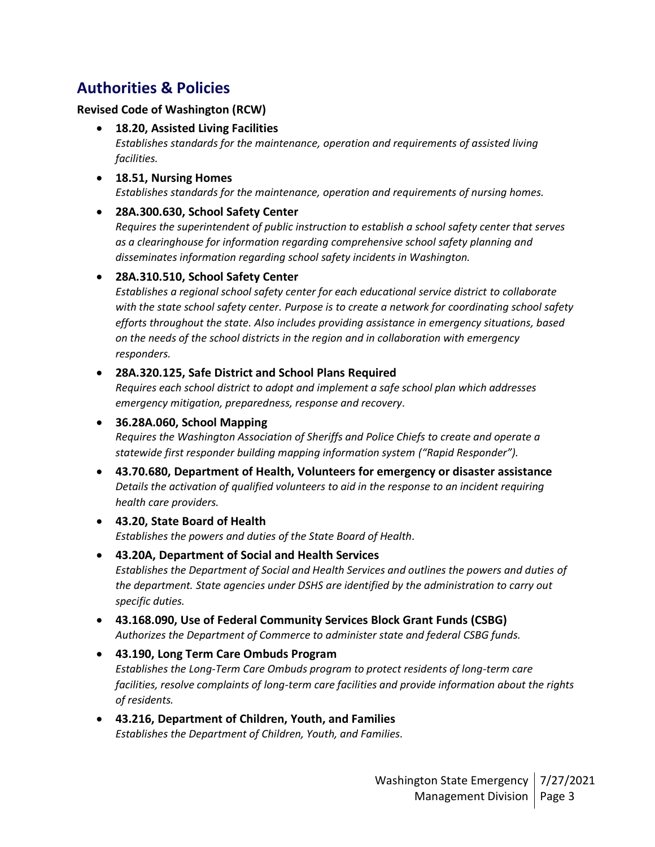# **Authorities & Policies**

#### **Revised Code of Washington (RCW)**

- **18.20, Assisted Living Facilities** *Establishes standards for the maintenance, operation and requirements of assisted living facilities.*
- **18.51, Nursing Homes** *Establishes standards for the maintenance, operation and requirements of nursing homes.*

### • **28A.300.630, School Safety Center**

*Requires the superintendent of public instruction to establish a school safety center that serves as a clearinghouse for information regarding comprehensive school safety planning and disseminates information regarding school safety incidents in Washington.*

### • **28A.310.510, School Safety Center**

*Establishes a regional school safety center for each educational service district to collaborate with the state school safety center. Purpose is to create a network for coordinating school safety efforts throughout the state. Also includes providing assistance in emergency situations, based on the needs of the school districts in the region and in collaboration with emergency responders.*

### • **28A.320.125, Safe District and School Plans Required**

*Requires each school district to adopt and implement a safe school plan which addresses emergency mitigation, preparedness, response and recovery.*

# • **36.28A.060, School Mapping** *Requires the Washington Association of Sheriffs and Police Chiefs to create and operate a statewide first responder building mapping information system ("Rapid Responder").*

• **43.70.680, Department of Health, Volunteers for emergency or disaster assistance** *Details the activation of qualified volunteers to aid in the response to an incident requiring health care providers.*

#### • **43.20, State Board of Health** *Establishes the powers and duties of the State Board of Health.*

- **43.20A, Department of Social and Health Services** *Establishes the Department of Social and Health Services and outlines the powers and duties of the department. State agencies under DSHS are identified by the administration to carry out specific duties.*
- **43.168.090, Use of Federal Community Services Block Grant Funds (CSBG)** *Authorizes the Department of Commerce to administer state and federal CSBG funds.*
- **43.190, Long Term Care Ombuds Program** *Establishes the Long-Term Care Ombuds program to protect residents of long-term care facilities, resolve complaints of long-term care facilities and provide information about the rights of residents.*
- **43.216, Department of Children, Youth, and Families** *Establishes the Department of Children, Youth, and Families.*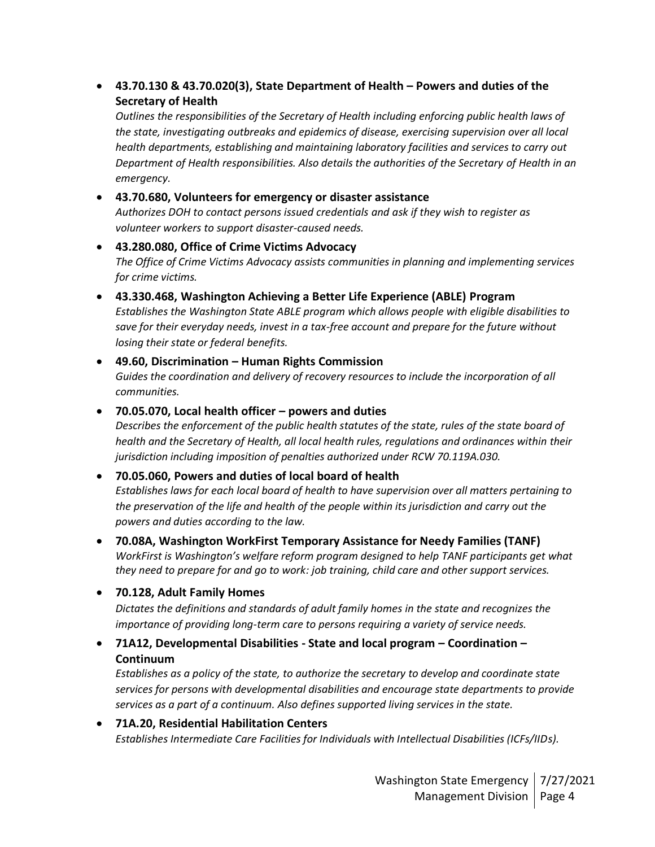### • **43.70.130 & 43.70.020(3), State Department of Health – Powers and duties of the Secretary of Health**

*Outlines the responsibilities of the Secretary of Health including enforcing public health laws of the state, investigating outbreaks and epidemics of disease, exercising supervision over all local health departments, establishing and maintaining laboratory facilities and services to carry out Department of Health responsibilities. Also details the authorities of the Secretary of Health in an emergency.*

#### • **43.70.680, Volunteers for emergency or disaster assistance**

*Authorizes DOH to contact persons issued credentials and ask if they wish to register as volunteer workers to support disaster-caused needs.*

- **43.280.080, Office of Crime Victims Advocacy** *The Office of Crime Victims Advocacy assists communities in planning and implementing services for crime victims.*
- **43.330.468, Washington Achieving a Better Life Experience (ABLE) Program** *Establishes the Washington State ABLE program which allows people with eligible disabilities to save for their everyday needs, invest in a tax-free account and prepare for the future without losing their state or federal benefits.*

### • **49.60, Discrimination – Human Rights Commission** *Guides the coordination and delivery of recovery resources to include the incorporation of all communities.*

### • **70.05.070, Local health officer – powers and duties**

*Describes the enforcement of the public health statutes of the state, rules of the state board of health and the Secretary of Health, all local health rules, regulations and ordinances within their jurisdiction including imposition of penalties authorized under RCW 70.119A.030.*

## • **70.05.060, Powers and duties of local board of health**

*Establishes laws for each local board of health to have supervision over all matters pertaining to the preservation of the life and health of the people within its jurisdiction and carry out the powers and duties according to the law.*

#### • **70.08A, Washington WorkFirst Temporary Assistance for Needy Families (TANF)** *WorkFirst is Washington's welfare reform program designed to help TANF participants get what*

*they need to prepare for and go to work: job training, child care and other support services.*

#### • **70.128, Adult Family Homes**

*Dictates the definitions and standards of adult family homes in the state and recognizes the importance of providing long-term care to persons requiring a variety of service needs.*

## • **71A12, Developmental Disabilities - State and local program – Coordination – Continuum**

*Establishes as a policy of the state, to authorize the secretary to develop and coordinate state services for persons with developmental disabilities and encourage state departments to provide services as a part of a continuum. Also defines supported living services in the state.*

## • **71A.20, Residential Habilitation Centers** *Establishes Intermediate Care Facilities for Individuals with Intellectual Disabilities (ICFs/IIDs).*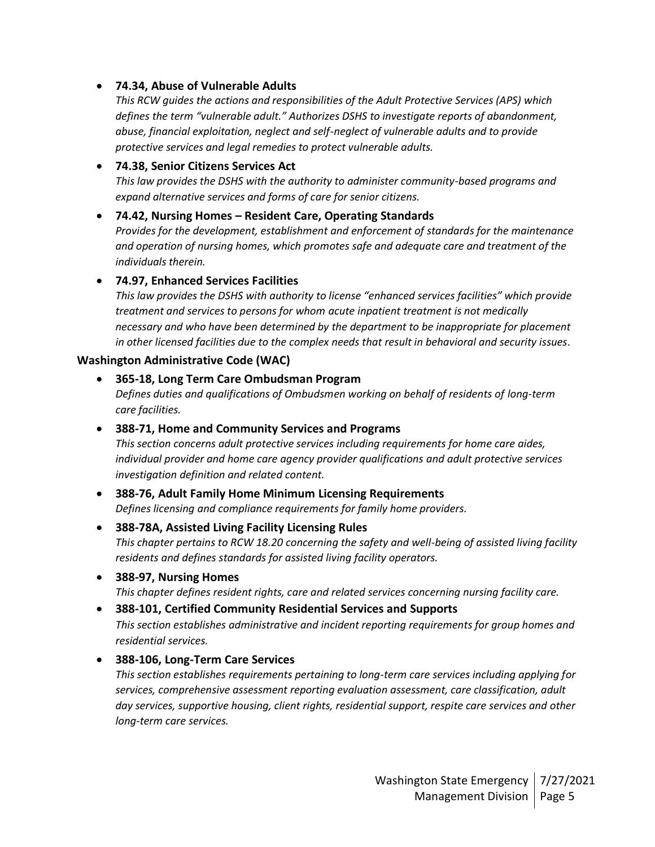#### • **74.34, Abuse of Vulnerable Adults**

*This RCW guides the actions and responsibilities of the Adult Protective Services (APS) which defines the term "vulnerable adult." Authorizes DSHS to investigate reports of abandonment, abuse, financial exploitation, neglect and self-neglect of vulnerable adults and to provide protective services and legal remedies to protect vulnerable adults.*

#### • **74.38, Senior Citizens Services Act**

*This law provides the DSHS with the authority to administer community-based programs and expand alternative services and forms of care for senior citizens.*

#### • **74.42, Nursing Homes – Resident Care, Operating Standards**

*Provides for the development, establishment and enforcement of standards for the maintenance and operation of nursing homes, which promotes safe and adequate care and treatment of the individuals therein.*

#### • **74.97, Enhanced Services Facilities**

*This law provides the DSHS with authority to license "enhanced services facilities" which provide treatment and services to persons for whom acute inpatient treatment is not medically necessary and who have been determined by the department to be inappropriate for placement in other licensed facilities due to the complex needs that result in behavioral and security issues.*

#### **Washington Administrative Code (WAC)**

• **365-18, Long Term Care Ombudsman Program** *Defines duties and qualifications of Ombudsmen working on behalf of residents of long-term care facilities.*

#### • **388-71, Home and Community Services and Programs**

*This section concerns adult protective services including requirements for home care aides, individual provider and home care agency provider qualifications and adult protective services investigation definition and related content.* 

#### • **388-76, Adult Family Home Minimum Licensing Requirements** *Defines licensing and compliance requirements for family home providers.*

- **388-78A, Assisted Living Facility Licensing Rules** *This chapter pertains to RCW 18.20 concerning the safety and well-being of assisted living facility residents and defines standards for assisted living facility operators.*
- **388-97, Nursing Homes**

*This chapter defines resident rights, care and related services concerning nursing facility care.*

#### • **388-101, Certified Community Residential Services and Supports**

*This section establishes administrative and incident reporting requirements for group homes and residential services.*

#### • **388-106, Long-Term Care Services**

*This section establishes requirements pertaining to long-term care services including applying for services, comprehensive assessment reporting evaluation assessment, care classification, adult day services, supportive housing, client rights, residential support, respite care services and other long-term care services.*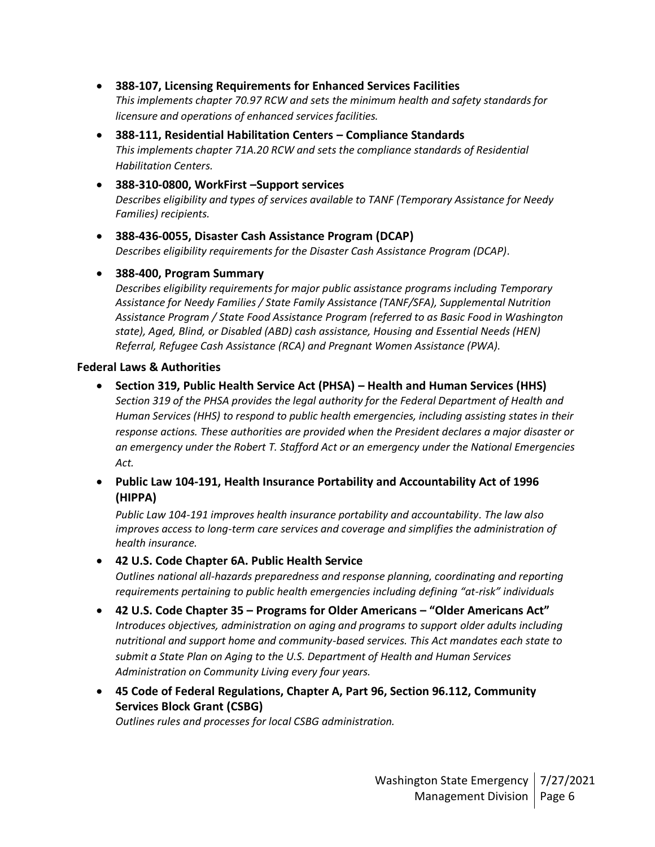- **388-107, Licensing Requirements for Enhanced Services Facilities** *This implements chapter 70.97 RCW and sets the minimum health and safety standards for licensure and operations of enhanced services facilities.*
- **388-111, Residential Habilitation Centers – Compliance Standards** *This implements chapter 71A.20 RCW and sets the compliance standards of Residential Habilitation Centers.*
- **388-310-0800, WorkFirst –Support services** *Describes eligibility and types of services available to TANF (Temporary Assistance for Needy Families) recipients.*
- **388-436-0055, Disaster Cash Assistance Program (DCAP)** *Describes eligibility requirements for the Disaster Cash Assistance Program (DCAP).*

#### • **388-400, Program Summary**

*Describes eligibility requirements for major public assistance programs including Temporary Assistance for Needy Families / State Family Assistance (TANF/SFA), Supplemental Nutrition Assistance Program / State Food Assistance Program (referred to as Basic Food in Washington state), Aged, Blind, or Disabled (ABD) cash assistance, Housing and Essential Needs (HEN) Referral, Refugee Cash Assistance (RCA) and Pregnant Women Assistance (PWA).*

#### **Federal Laws & Authorities**

- **Section 319, Public Health Service Act (PHSA) – Health and Human Services (HHS)** *Section 319 of the PHSA provides the legal authority for the Federal Department of Health and Human Services (HHS) to respond to public health emergencies, including assisting states in their response actions. These authorities are provided when the President declares a major disaster or an emergency under the Robert T. Stafford Act or an emergency under the National Emergencies Act.*
- **Public Law 104-191, Health Insurance Portability and Accountability Act of 1996 (HIPPA)**

*Public Law 104-191 improves health insurance portability and accountability. The law also improves access to long-term care services and coverage and simplifies the administration of health insurance.*

- **42 U.S. Code Chapter 6A. Public Health Service** *Outlines national all-hazards preparedness and response planning, coordinating and reporting requirements pertaining to public health emergencies including defining "at-risk" individuals*
- **42 U.S. Code Chapter 35 – Programs for Older Americans – "Older Americans Act"** *Introduces objectives, administration on aging and programs to support older adults including nutritional and support home and community-based services. This Act mandates each state to submit a State Plan on Aging to the U.S. Department of Health and Human Services Administration on Community Living every four years.*
- **45 Code of Federal Regulations, Chapter A, Part 96, Section 96.112, Community Services Block Grant (CSBG)**

*Outlines rules and processes for local CSBG administration.*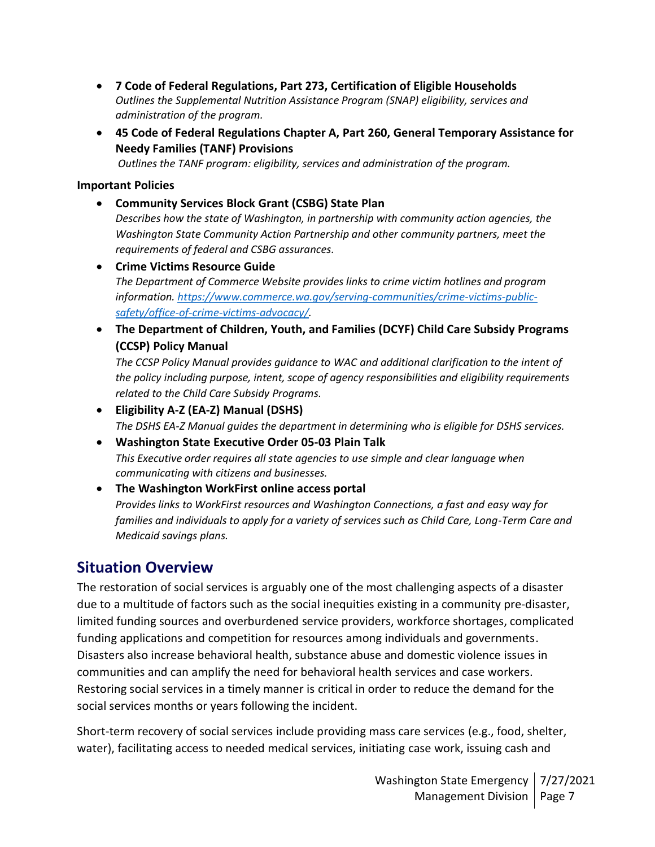- **7 Code of Federal Regulations, Part 273, Certification of Eligible Households** *Outlines the Supplemental Nutrition Assistance Program (SNAP) eligibility, services and administration of the program.*
- **45 Code of Federal Regulations Chapter A, Part 260, General Temporary Assistance for Needy Families (TANF) Provisions**

*Outlines the TANF program: eligibility, services and administration of the program.*

#### **Important Policies**

- **Community Services Block Grant (CSBG) State Plan** *Describes how the state of Washington, in partnership with community action agencies, the Washington State Community Action Partnership and other community partners, meet the requirements of federal and CSBG assurances.*
- **Crime Victims Resource Guide** *The Department of Commerce Website provides links to crime victim hotlines and program information. [https://www.commerce.wa.gov/serving-communities/crime-victims-public](https://www.commerce.wa.gov/serving-communities/crime-victims-public-safety/office-of-crime-victims-advocacy/)[safety/office-of-crime-victims-advocacy/.](https://www.commerce.wa.gov/serving-communities/crime-victims-public-safety/office-of-crime-victims-advocacy/)*
- **The Department of Children, Youth, and Families (DCYF) Child Care Subsidy Programs (CCSP) Policy Manual**

*The CCSP Policy Manual provides guidance to WAC and additional clarification to the intent of the policy including purpose, intent, scope of agency responsibilities and eligibility requirements related to the Child Care Subsidy Programs.*

- **Eligibility A-Z (EA-Z) Manual (DSHS)** *The DSHS EA-Z Manual guides the department in determining who is eligible for DSHS services.*
- **Washington State Executive Order 05-03 Plain Talk** *This Executive order requires all state agencies to use simple and clear language when communicating with citizens and businesses.*
- **The Washington WorkFirst online access portal**

*Provides links to WorkFirst resources and Washington Connections, a fast and easy way for families and individuals to apply for a variety of services such as Child Care, Long-Term Care and Medicaid savings plans.* 

# **Situation Overview**

The restoration of social services is arguably one of the most challenging aspects of a disaster due to a multitude of factors such as the social inequities existing in a community pre-disaster, limited funding sources and overburdened service providers, workforce shortages, complicated funding applications and competition for resources among individuals and governments. Disasters also increase behavioral health, substance abuse and domestic violence issues in communities and can amplify the need for behavioral health services and case workers. Restoring social services in a timely manner is critical in order to reduce the demand for the social services months or years following the incident.

Short-term recovery of social services include providing mass care services (e.g., food, shelter, water), facilitating access to needed medical services, initiating case work, issuing cash and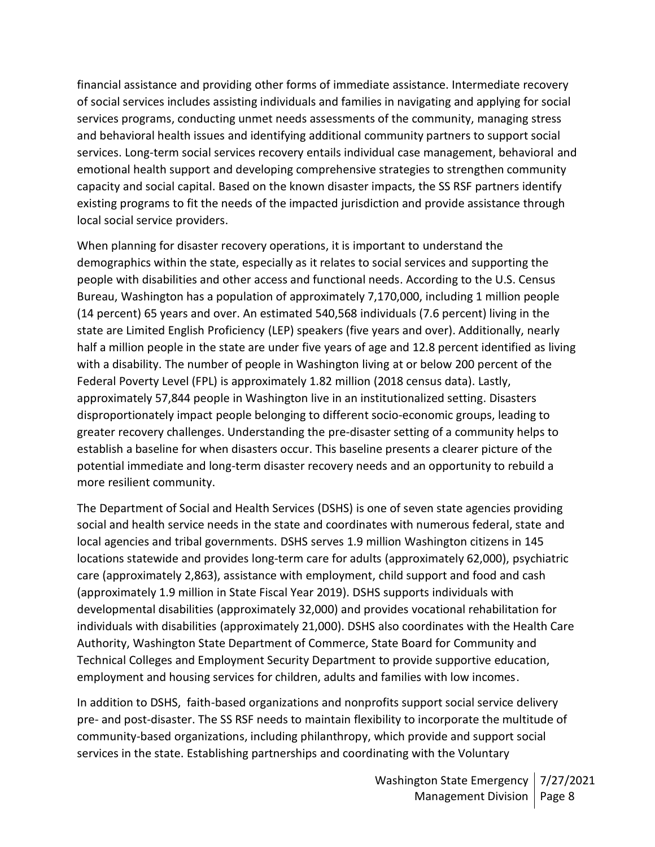financial assistance and providing other forms of immediate assistance. Intermediate recovery of social services includes assisting individuals and families in navigating and applying for social services programs, conducting unmet needs assessments of the community, managing stress and behavioral health issues and identifying additional community partners to support social services. Long-term social services recovery entails individual case management, behavioral and emotional health support and developing comprehensive strategies to strengthen community capacity and social capital. Based on the known disaster impacts, the SS RSF partners identify existing programs to fit the needs of the impacted jurisdiction and provide assistance through local social service providers.

When planning for disaster recovery operations, it is important to understand the demographics within the state, especially as it relates to social services and supporting the people with disabilities and other access and functional needs. According to the U.S. Census Bureau, Washington has a population of approximately 7,170,000, including 1 million people (14 percent) 65 years and over. An estimated 540,568 individuals (7.6 percent) living in the state are Limited English Proficiency (LEP) speakers (five years and over). Additionally, nearly half a million people in the state are under five years of age and 12.8 percent identified as living with a disability. The number of people in Washington living at or below 200 percent of the Federal Poverty Level (FPL) is approximately 1.82 million (2018 census data). Lastly, approximately 57,844 people in Washington live in an institutionalized setting. Disasters disproportionately impact people belonging to different socio-economic groups, leading to greater recovery challenges. Understanding the pre-disaster setting of a community helps to establish a baseline for when disasters occur. This baseline presents a clearer picture of the potential immediate and long-term disaster recovery needs and an opportunity to rebuild a more resilient community.

The Department of Social and Health Services (DSHS) is one of seven state agencies providing social and health service needs in the state and coordinates with numerous federal, state and local agencies and tribal governments. DSHS serves 1.9 million Washington citizens in 145 locations statewide and provides long-term care for adults (approximately 62,000), psychiatric care (approximately 2,863), assistance with employment, child support and food and cash (approximately 1.9 million in State Fiscal Year 2019). DSHS supports individuals with developmental disabilities (approximately 32,000) and provides vocational rehabilitation for individuals with disabilities (approximately 21,000). DSHS also coordinates with the Health Care Authority, Washington State Department of Commerce, State Board for Community and Technical Colleges and Employment Security Department to provide supportive education, employment and housing services for children, adults and families with low incomes.

In addition to DSHS, faith-based organizations and nonprofits support social service delivery pre- and post-disaster. The SS RSF needs to maintain flexibility to incorporate the multitude of community-based organizations, including philanthropy, which provide and support social services in the state. Establishing partnerships and coordinating with the Voluntary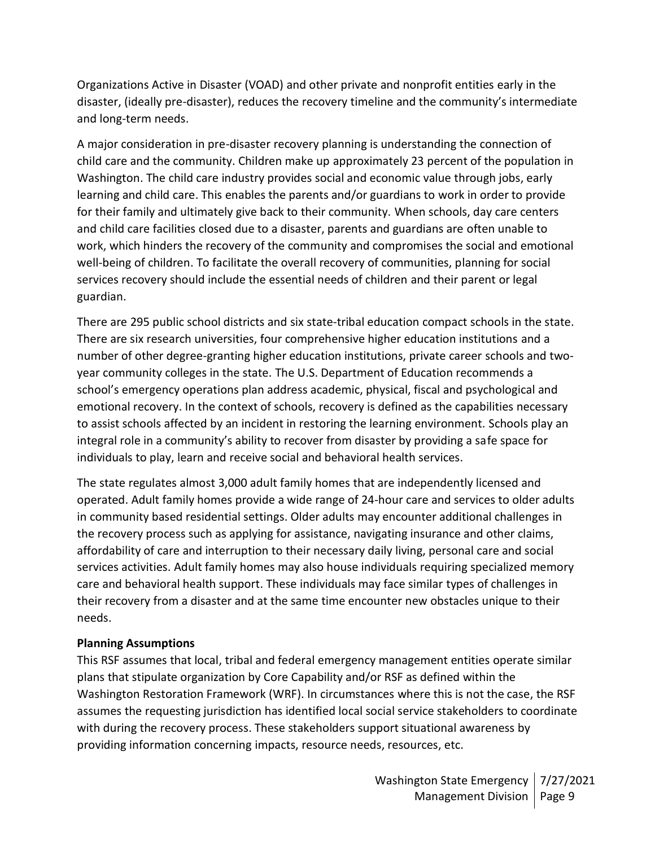Organizations Active in Disaster (VOAD) and other private and nonprofit entities early in the disaster, (ideally pre-disaster), reduces the recovery timeline and the community's intermediate and long-term needs.

A major consideration in pre-disaster recovery planning is understanding the connection of child care and the community. Children make up approximately 23 percent of the population in Washington. The child care industry provides social and economic value through jobs, early learning and child care. This enables the parents and/or guardians to work in order to provide for their family and ultimately give back to their community. When schools, day care centers and child care facilities closed due to a disaster, parents and guardians are often unable to work, which hinders the recovery of the community and compromises the social and emotional well-being of children. To facilitate the overall recovery of communities, planning for social services recovery should include the essential needs of children and their parent or legal guardian.

There are 295 public school districts and six state-tribal education compact schools in the state. There are six research universities, four comprehensive higher education institutions and a number of other degree-granting higher education institutions, private career schools and twoyear community colleges in the state. The U.S. Department of Education recommends a school's emergency operations plan address academic, physical, fiscal and psychological and emotional recovery. In the context of schools, recovery is defined as the capabilities necessary to assist schools affected by an incident in restoring the learning environment. Schools play an integral role in a community's ability to recover from disaster by providing a safe space for individuals to play, learn and receive social and behavioral health services.

The state regulates almost 3,000 adult family homes that are independently licensed and operated. Adult family homes provide a wide range of 24-hour care and services to older adults in community based residential settings. Older adults may encounter additional challenges in the recovery process such as applying for assistance, navigating insurance and other claims, affordability of care and interruption to their necessary daily living, personal care and social services activities. Adult family homes may also house individuals requiring specialized memory care and behavioral health support. These individuals may face similar types of challenges in their recovery from a disaster and at the same time encounter new obstacles unique to their needs.

#### **Planning Assumptions**

This RSF assumes that local, tribal and federal emergency management entities operate similar plans that stipulate organization by Core Capability and/or RSF as defined within the Washington Restoration Framework (WRF). In circumstances where this is not the case, the RSF assumes the requesting jurisdiction has identified local social service stakeholders to coordinate with during the recovery process. These stakeholders support situational awareness by providing information concerning impacts, resource needs, resources, etc.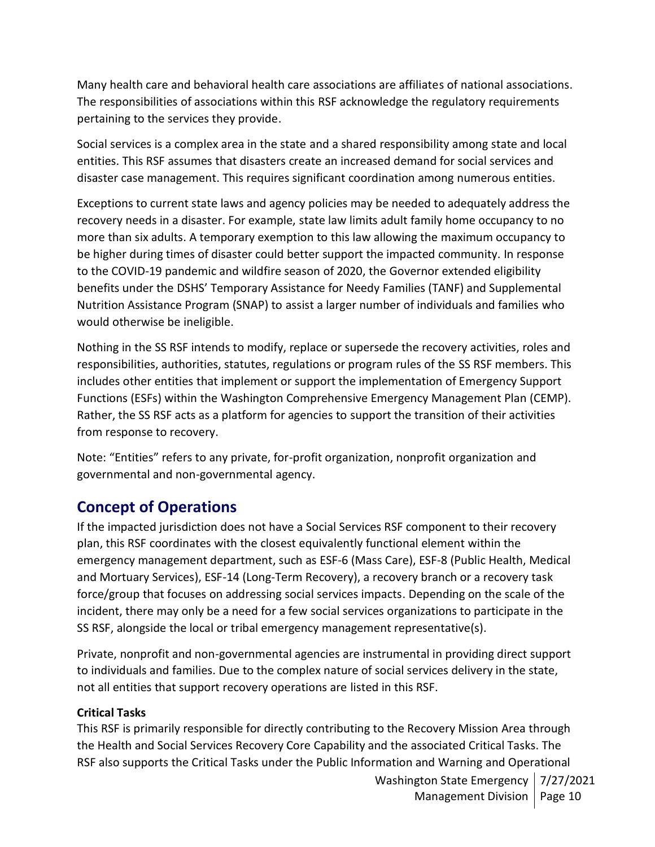Many health care and behavioral health care associations are affiliates of national associations. The responsibilities of associations within this RSF acknowledge the regulatory requirements pertaining to the services they provide.

Social services is a complex area in the state and a shared responsibility among state and local entities. This RSF assumes that disasters create an increased demand for social services and disaster case management. This requires significant coordination among numerous entities.

Exceptions to current state laws and agency policies may be needed to adequately address the recovery needs in a disaster. For example, state law limits adult family home occupancy to no more than six adults. A temporary exemption to this law allowing the maximum occupancy to be higher during times of disaster could better support the impacted community. In response to the COVID-19 pandemic and wildfire season of 2020, the Governor extended eligibility benefits under the DSHS' Temporary Assistance for Needy Families (TANF) and Supplemental Nutrition Assistance Program (SNAP) to assist a larger number of individuals and families who would otherwise be ineligible.

Nothing in the SS RSF intends to modify, replace or supersede the recovery activities, roles and responsibilities, authorities, statutes, regulations or program rules of the SS RSF members. This includes other entities that implement or support the implementation of Emergency Support Functions (ESFs) within the Washington Comprehensive Emergency Management Plan (CEMP). Rather, the SS RSF acts as a platform for agencies to support the transition of their activities from response to recovery.

Note: "Entities" refers to any private, for-profit organization, nonprofit organization and governmental and non-governmental agency.

# **Concept of Operations**

If the impacted jurisdiction does not have a Social Services RSF component to their recovery plan, this RSF coordinates with the closest equivalently functional element within the emergency management department, such as ESF-6 (Mass Care), ESF-8 (Public Health, Medical and Mortuary Services), ESF-14 (Long-Term Recovery), a recovery branch or a recovery task force/group that focuses on addressing social services impacts. Depending on the scale of the incident, there may only be a need for a few social services organizations to participate in the SS RSF, alongside the local or tribal emergency management representative(s).

Private, nonprofit and non-governmental agencies are instrumental in providing direct support to individuals and families. Due to the complex nature of social services delivery in the state, not all entities that support recovery operations are listed in this RSF.

#### **Critical Tasks**

This RSF is primarily responsible for directly contributing to the Recovery Mission Area through the Health and Social Services Recovery Core Capability and the associated Critical Tasks. The RSF also supports the Critical Tasks under the Public Information and Warning and Operational

> Washington State Emergency | 7/27/2021 Management Division | Page 10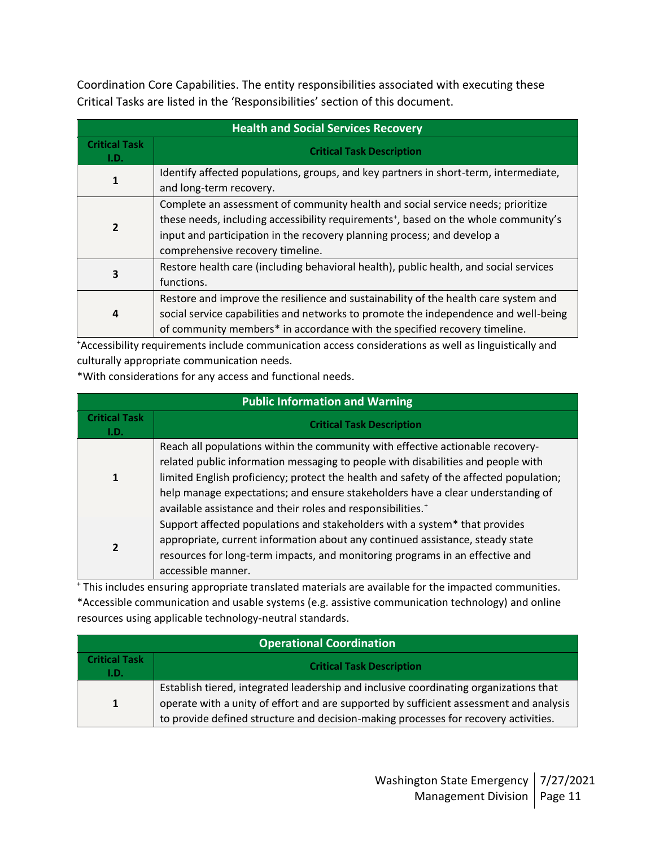Coordination Core Capabilities. The entity responsibilities associated with executing these Critical Tasks are listed in the 'Responsibilities' section of this document.

| <b>Health and Social Services Recovery</b> |                                                                                                                                                                                                                                                                                                   |  |  |
|--------------------------------------------|---------------------------------------------------------------------------------------------------------------------------------------------------------------------------------------------------------------------------------------------------------------------------------------------------|--|--|
| <b>Critical Task</b><br>I.D.               | <b>Critical Task Description</b>                                                                                                                                                                                                                                                                  |  |  |
| 1                                          | Identify affected populations, groups, and key partners in short-term, intermediate,<br>and long-term recovery.                                                                                                                                                                                   |  |  |
| 2                                          | Complete an assessment of community health and social service needs; prioritize<br>these needs, including accessibility requirements <sup>+</sup> , based on the whole community's<br>input and participation in the recovery planning process; and develop a<br>comprehensive recovery timeline. |  |  |
| 3                                          | Restore health care (including behavioral health), public health, and social services<br>functions.                                                                                                                                                                                               |  |  |
| 4                                          | Restore and improve the resilience and sustainability of the health care system and<br>social service capabilities and networks to promote the independence and well-being<br>of community members* in accordance with the specified recovery timeline.                                           |  |  |

<sup>+</sup>Accessibility requirements include communication access considerations as well as linguistically and culturally appropriate communication needs.

\*With considerations for any access and functional needs.

| <b>Public Information and Warning</b> |                                                                                                                                                                                                                                                                                                                                                                                                                            |  |  |
|---------------------------------------|----------------------------------------------------------------------------------------------------------------------------------------------------------------------------------------------------------------------------------------------------------------------------------------------------------------------------------------------------------------------------------------------------------------------------|--|--|
| <b>Critical Task</b><br>I.D.          | <b>Critical Task Description</b>                                                                                                                                                                                                                                                                                                                                                                                           |  |  |
|                                       | Reach all populations within the community with effective actionable recovery-<br>related public information messaging to people with disabilities and people with<br>limited English proficiency; protect the health and safety of the affected population;<br>help manage expectations; and ensure stakeholders have a clear understanding of<br>available assistance and their roles and responsibilities. <sup>+</sup> |  |  |
|                                       | Support affected populations and stakeholders with a system* that provides<br>appropriate, current information about any continued assistance, steady state<br>resources for long-term impacts, and monitoring programs in an effective and<br>accessible manner.                                                                                                                                                          |  |  |

<sup>+</sup> This includes ensuring appropriate translated materials are available for the impacted communities. \*Accessible communication and usable systems (e.g. assistive communication technology) and online resources using applicable technology-neutral standards.

| <b>Operational Coordination</b> |                                                                                                                                                                                                                                                                        |  |
|---------------------------------|------------------------------------------------------------------------------------------------------------------------------------------------------------------------------------------------------------------------------------------------------------------------|--|
| <b>Critical Task</b><br>I.D.    | <b>Critical Task Description</b>                                                                                                                                                                                                                                       |  |
| $\mathbf{1}$                    | Establish tiered, integrated leadership and inclusive coordinating organizations that<br>operate with a unity of effort and are supported by sufficient assessment and analysis<br>to provide defined structure and decision-making processes for recovery activities. |  |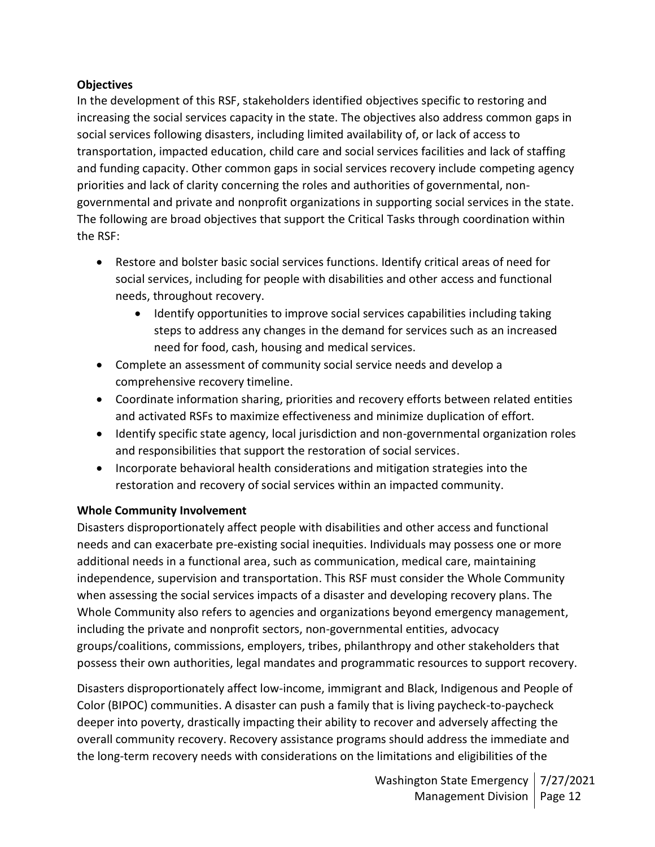#### **Objectives**

In the development of this RSF, stakeholders identified objectives specific to restoring and increasing the social services capacity in the state. The objectives also address common gaps in social services following disasters, including limited availability of, or lack of access to transportation, impacted education, child care and social services facilities and lack of staffing and funding capacity. Other common gaps in social services recovery include competing agency priorities and lack of clarity concerning the roles and authorities of governmental, nongovernmental and private and nonprofit organizations in supporting social services in the state. The following are broad objectives that support the Critical Tasks through coordination within the RSF:

- Restore and bolster basic social services functions. Identify critical areas of need for social services, including for people with disabilities and other access and functional needs, throughout recovery.
	- Identify opportunities to improve social services capabilities including taking steps to address any changes in the demand for services such as an increased need for food, cash, housing and medical services.
- Complete an assessment of community social service needs and develop a comprehensive recovery timeline.
- Coordinate information sharing, priorities and recovery efforts between related entities and activated RSFs to maximize effectiveness and minimize duplication of effort.
- Identify specific state agency, local jurisdiction and non-governmental organization roles and responsibilities that support the restoration of social services.
- Incorporate behavioral health considerations and mitigation strategies into the restoration and recovery of social services within an impacted community.

#### **Whole Community Involvement**

Disasters disproportionately affect people with disabilities and other access and functional needs and can exacerbate pre-existing social inequities. Individuals may possess one or more additional needs in a functional area, such as communication, medical care, maintaining independence, supervision and transportation. This RSF must consider the Whole Community when assessing the social services impacts of a disaster and developing recovery plans. The Whole Community also refers to agencies and organizations beyond emergency management, including the private and nonprofit sectors, non-governmental entities, advocacy groups/coalitions, commissions, employers, tribes, philanthropy and other stakeholders that possess their own authorities, legal mandates and programmatic resources to support recovery.

Disasters disproportionately affect low-income, immigrant and Black, Indigenous and People of Color (BIPOC) communities. A disaster can push a family that is living paycheck-to-paycheck deeper into poverty, drastically impacting their ability to recover and adversely affecting the overall community recovery. Recovery assistance programs should address the immediate and the long-term recovery needs with considerations on the limitations and eligibilities of the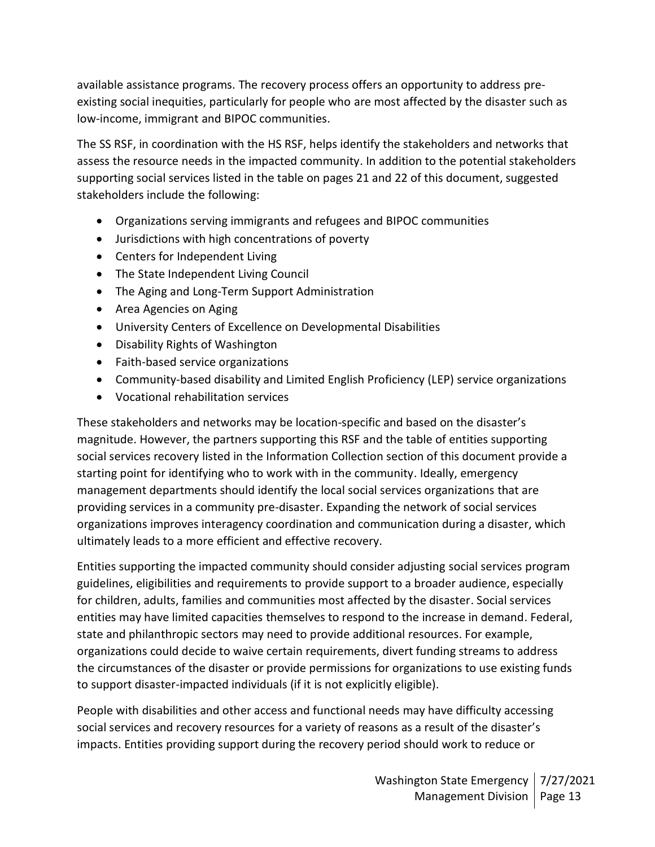available assistance programs. The recovery process offers an opportunity to address preexisting social inequities, particularly for people who are most affected by the disaster such as low-income, immigrant and BIPOC communities.

The SS RSF, in coordination with the HS RSF, helps identify the stakeholders and networks that assess the resource needs in the impacted community. In addition to the potential stakeholders supporting social services listed in the table on pages 21 and 22 of this document, suggested stakeholders include the following:

- Organizations serving immigrants and refugees and BIPOC communities
- Jurisdictions with high concentrations of poverty
- Centers for Independent Living
- The State Independent Living Council
- The Aging and Long-Term Support Administration
- Area Agencies on Aging
- University Centers of Excellence on Developmental Disabilities
- Disability Rights of Washington
- Faith-based service organizations
- Community-based disability and Limited English Proficiency (LEP) service organizations
- Vocational rehabilitation services

These stakeholders and networks may be location-specific and based on the disaster's magnitude. However, the partners supporting this RSF and the table of entities supporting social services recovery listed in the Information Collection section of this document provide a starting point for identifying who to work with in the community. Ideally, emergency management departments should identify the local social services organizations that are providing services in a community pre-disaster. Expanding the network of social services organizations improves interagency coordination and communication during a disaster, which ultimately leads to a more efficient and effective recovery.

Entities supporting the impacted community should consider adjusting social services program guidelines, eligibilities and requirements to provide support to a broader audience, especially for children, adults, families and communities most affected by the disaster. Social services entities may have limited capacities themselves to respond to the increase in demand. Federal, state and philanthropic sectors may need to provide additional resources. For example, organizations could decide to waive certain requirements, divert funding streams to address the circumstances of the disaster or provide permissions for organizations to use existing funds to support disaster-impacted individuals (if it is not explicitly eligible).

People with disabilities and other access and functional needs may have difficulty accessing social services and recovery resources for a variety of reasons as a result of the disaster's impacts. Entities providing support during the recovery period should work to reduce or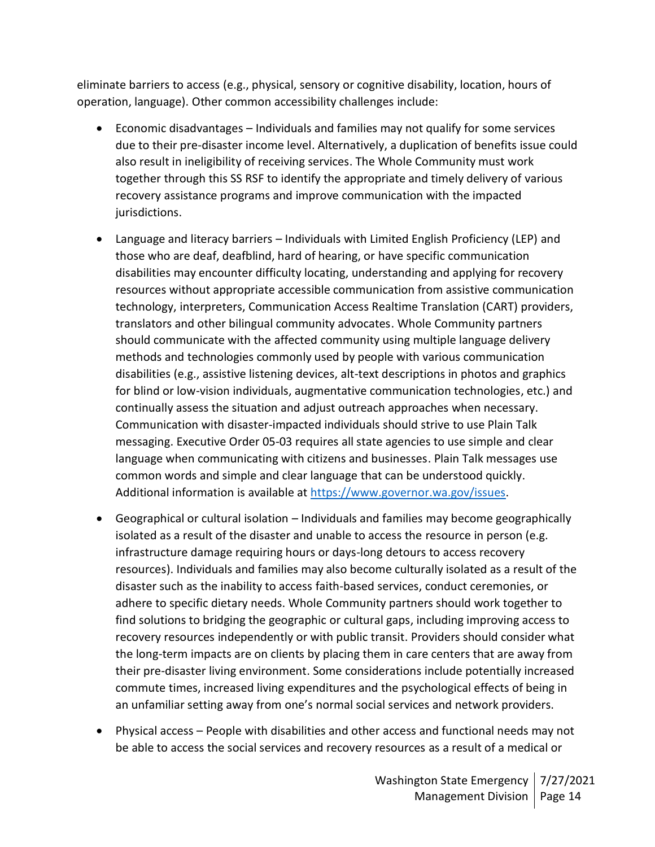eliminate barriers to access (e.g., physical, sensory or cognitive disability, location, hours of operation, language). Other common accessibility challenges include:

- Economic disadvantages Individuals and families may not qualify for some services due to their pre-disaster income level. Alternatively, a duplication of benefits issue could also result in ineligibility of receiving services. The Whole Community must work together through this SS RSF to identify the appropriate and timely delivery of various recovery assistance programs and improve communication with the impacted jurisdictions.
- Language and literacy barriers Individuals with Limited English Proficiency (LEP) and those who are deaf, deafblind, hard of hearing, or have specific communication disabilities may encounter difficulty locating, understanding and applying for recovery resources without appropriate accessible communication from assistive communication technology, interpreters, Communication Access Realtime Translation (CART) providers, translators and other bilingual community advocates. Whole Community partners should communicate with the affected community using multiple language delivery methods and technologies commonly used by people with various communication disabilities (e.g., assistive listening devices, alt-text descriptions in photos and graphics for blind or low-vision individuals, augmentative communication technologies, etc.) and continually assess the situation and adjust outreach approaches when necessary. Communication with disaster-impacted individuals should strive to use Plain Talk messaging. Executive Order 05-03 requires all state agencies to use simple and clear language when communicating with citizens and businesses. Plain Talk messages use common words and simple and clear language that can be understood quickly. Additional information is available at [https://www.governor.wa.gov/issues.](https://www.governor.wa.gov/issues)
- Geographical or cultural isolation Individuals and families may become geographically isolated as a result of the disaster and unable to access the resource in person (e.g. infrastructure damage requiring hours or days-long detours to access recovery resources). Individuals and families may also become culturally isolated as a result of the disaster such as the inability to access faith-based services, conduct ceremonies, or adhere to specific dietary needs. Whole Community partners should work together to find solutions to bridging the geographic or cultural gaps, including improving access to recovery resources independently or with public transit. Providers should consider what the long-term impacts are on clients by placing them in care centers that are away from their pre-disaster living environment. Some considerations include potentially increased commute times, increased living expenditures and the psychological effects of being in an unfamiliar setting away from one's normal social services and network providers.
- Physical access People with disabilities and other access and functional needs may not be able to access the social services and recovery resources as a result of a medical or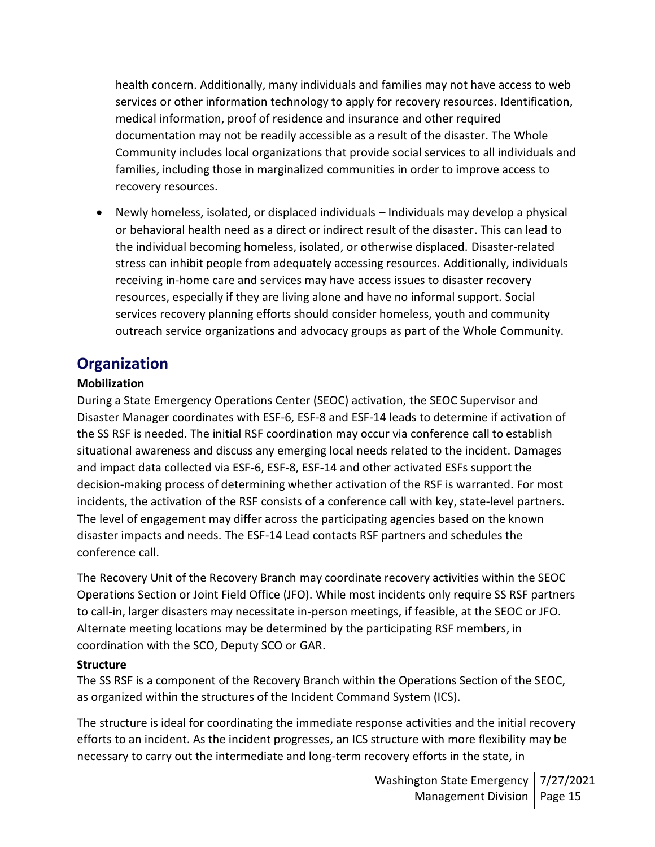health concern. Additionally, many individuals and families may not have access to web services or other information technology to apply for recovery resources. Identification, medical information, proof of residence and insurance and other required documentation may not be readily accessible as a result of the disaster. The Whole Community includes local organizations that provide social services to all individuals and families, including those in marginalized communities in order to improve access to recovery resources.

• Newly homeless, isolated, or displaced individuals – Individuals may develop a physical or behavioral health need as a direct or indirect result of the disaster. This can lead to the individual becoming homeless, isolated, or otherwise displaced. Disaster-related stress can inhibit people from adequately accessing resources. Additionally, individuals receiving in-home care and services may have access issues to disaster recovery resources, especially if they are living alone and have no informal support. Social services recovery planning efforts should consider homeless, youth and community outreach service organizations and advocacy groups as part of the Whole Community.

# **Organization**

## **Mobilization**

During a State Emergency Operations Center (SEOC) activation, the SEOC Supervisor and Disaster Manager coordinates with ESF-6, ESF-8 and ESF-14 leads to determine if activation of the SS RSF is needed. The initial RSF coordination may occur via conference call to establish situational awareness and discuss any emerging local needs related to the incident. Damages and impact data collected via ESF-6, ESF-8, ESF-14 and other activated ESFs support the decision-making process of determining whether activation of the RSF is warranted. For most incidents, the activation of the RSF consists of a conference call with key, state-level partners. The level of engagement may differ across the participating agencies based on the known disaster impacts and needs. The ESF-14 Lead contacts RSF partners and schedules the conference call.

The Recovery Unit of the Recovery Branch may coordinate recovery activities within the SEOC Operations Section or Joint Field Office (JFO). While most incidents only require SS RSF partners to call-in, larger disasters may necessitate in-person meetings, if feasible, at the SEOC or JFO. Alternate meeting locations may be determined by the participating RSF members, in coordination with the SCO, Deputy SCO or GAR.

#### **Structure**

The SS RSF is a component of the Recovery Branch within the Operations Section of the SEOC, as organized within the structures of the Incident Command System (ICS).

The structure is ideal for coordinating the immediate response activities and the initial recovery efforts to an incident. As the incident progresses, an ICS structure with more flexibility may be necessary to carry out the intermediate and long-term recovery efforts in the state, in

> Washington State Emergency | 7/27/2021 Management Division | Page 15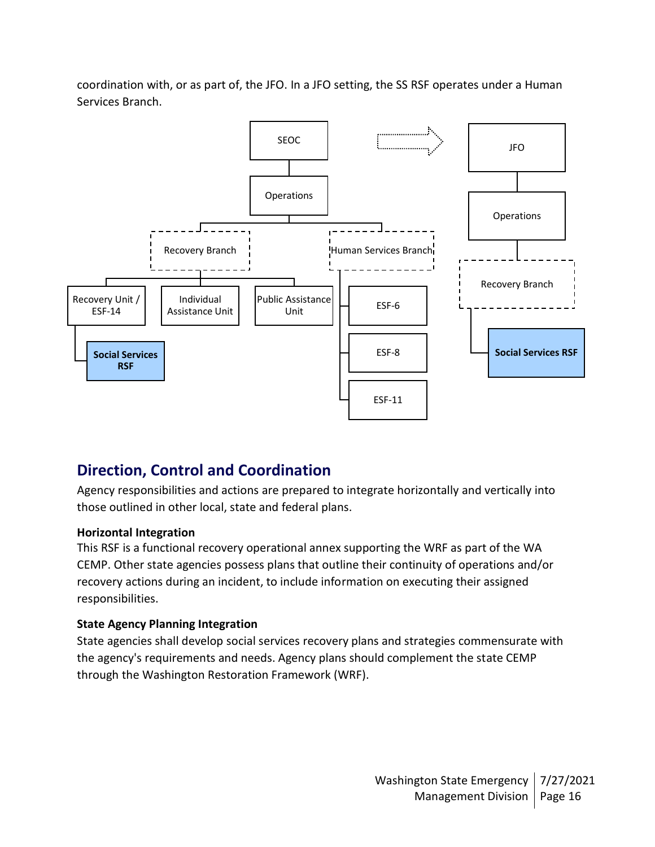coordination with, or as part of, the JFO. In a JFO setting, the SS RSF operates under a Human Services Branch.



# **Direction, Control and Coordination**

Agency responsibilities and actions are prepared to integrate horizontally and vertically into those outlined in other local, state and federal plans.

#### **Horizontal Integration**

This RSF is a functional recovery operational annex supporting the WRF as part of the WA CEMP. Other state agencies possess plans that outline their continuity of operations and/or recovery actions during an incident, to include information on executing their assigned responsibilities.

#### **State Agency Planning Integration**

State agencies shall develop social services recovery plans and strategies commensurate with the agency's requirements and needs. Agency plans should complement the state CEMP through the Washington Restoration Framework (WRF).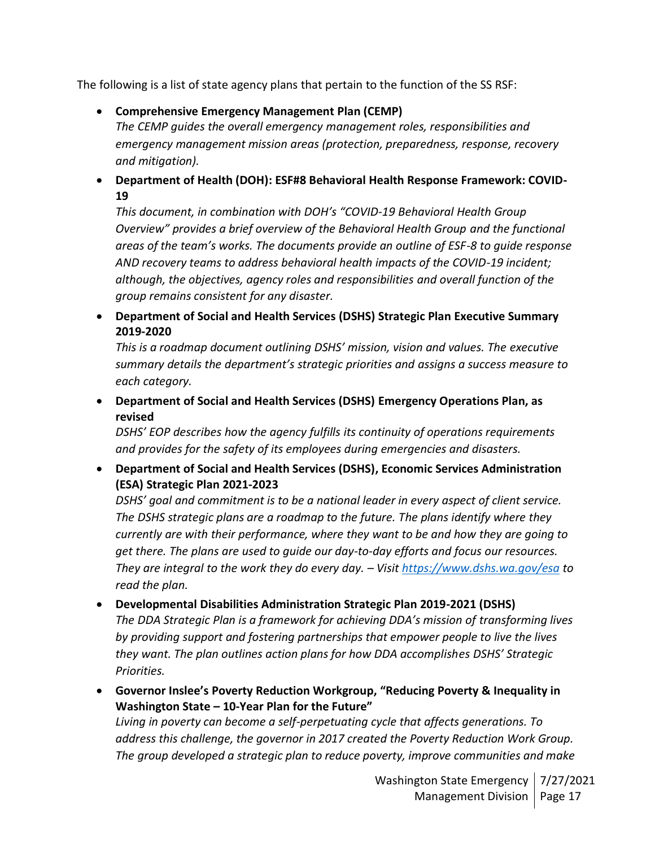The following is a list of state agency plans that pertain to the function of the SS RSF:

• **Comprehensive Emergency Management Plan (CEMP)**

*The CEMP guides the overall emergency management roles, responsibilities and emergency management mission areas (protection, preparedness, response, recovery and mitigation).*

• **Department of Health (DOH): ESF#8 Behavioral Health Response Framework: COVID-19**

*This document, in combination with DOH's "COVID-19 Behavioral Health Group Overview" provides a brief overview of the Behavioral Health Group and the functional areas of the team's works. The documents provide an outline of ESF-8 to guide response AND recovery teams to address behavioral health impacts of the COVID-19 incident; although, the objectives, agency roles and responsibilities and overall function of the group remains consistent for any disaster.*

• **Department of Social and Health Services (DSHS) Strategic Plan Executive Summary 2019-2020**

*This is a roadmap document outlining DSHS' mission, vision and values. The executive summary details the department's strategic priorities and assigns a success measure to each category.*

• **Department of Social and Health Services (DSHS) Emergency Operations Plan, as revised**

*DSHS' EOP describes how the agency fulfills its continuity of operations requirements and provides for the safety of its employees during emergencies and disasters.*

• **Department of Social and Health Services (DSHS), Economic Services Administration (ESA) Strategic Plan 2021-2023**

*DSHS' goal and commitment is to be a national leader in every aspect of client service. The DSHS strategic plans are a roadmap to the future. The plans identify where they currently are with their performance, where they want to be and how they are going to get there. The plans are used to guide our day-to-day efforts and focus our resources. They are integral to the work they do every day. – Visit <https://www.dshs.wa.gov/esa> to read the plan.*

• **Developmental Disabilities Administration Strategic Plan 2019-2021 (DSHS)**

The DDA Strategic Plan is a framework for achieving DDA's mission of transforming lives *by providing support and fostering partnerships that empower people to live the lives they want. The plan outlines action plans for how DDA accomplishes DSHS' Strategic Priorities.*

• **Governor Inslee's Poverty Reduction Workgroup, "Reducing Poverty & Inequality in Washington State – 10-Year Plan for the Future"** *Living in poverty can become a self-perpetuating cycle that affects generations. To* 

*address this challenge, the governor in 2017 created the Poverty Reduction Work Group. The group developed a strategic plan to reduce poverty, improve communities and make*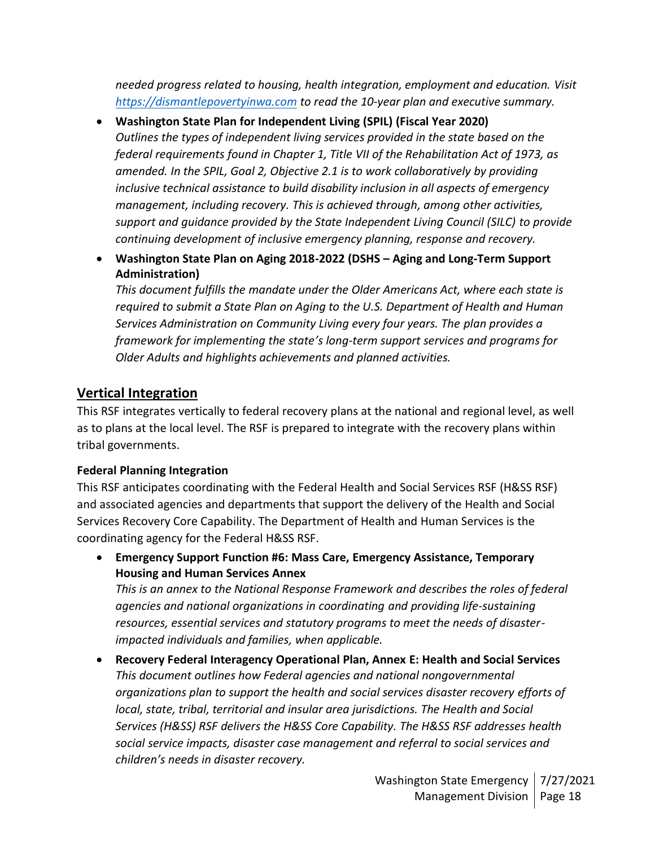*needed progress related to housing, health integration, employment and education. Visit [https://dismantlepovertyinwa.com](https://dismantlepovertyinwa.com/) to read the 10-year plan and executive summary.*

- **Washington State Plan for Independent Living (SPIL) (Fiscal Year 2020)** *Outlines the types of independent living services provided in the state based on the federal requirements found in Chapter 1, Title VII of the Rehabilitation Act of 1973, as amended. In the SPIL, Goal 2, Objective 2.1 is to work collaboratively by providing inclusive technical assistance to build disability inclusion in all aspects of emergency management, including recovery. This is achieved through, among other activities, support and guidance provided by the State Independent Living Council (SILC) to provide continuing development of inclusive emergency planning, response and recovery.*
- **Washington State Plan on Aging 2018-2022 (DSHS – Aging and Long-Term Support Administration)**

*This document fulfills the mandate under the Older Americans Act, where each state is required to submit a State Plan on Aging to the U.S. Department of Health and Human Services Administration on Community Living every four years. The plan provides a framework for implementing the state's long-term support services and programs for Older Adults and highlights achievements and planned activities.*

## **Vertical Integration**

This RSF integrates vertically to federal recovery plans at the national and regional level, as well as to plans at the local level. The RSF is prepared to integrate with the recovery plans within tribal governments.

#### **Federal Planning Integration**

This RSF anticipates coordinating with the Federal Health and Social Services RSF (H&SS RSF) and associated agencies and departments that support the delivery of the Health and Social Services Recovery Core Capability. The Department of Health and Human Services is the coordinating agency for the Federal H&SS RSF.

• **Emergency Support Function #6: Mass Care, Emergency Assistance, Temporary Housing and Human Services Annex**

*This is an annex to the National Response Framework and describes the roles of federal agencies and national organizations in coordinating and providing life-sustaining resources, essential services and statutory programs to meet the needs of disasterimpacted individuals and families, when applicable.*

• **Recovery Federal Interagency Operational Plan, Annex E: Health and Social Services** *This document outlines how Federal agencies and national nongovernmental organizations plan to support the health and social services disaster recovery efforts of local, state, tribal, territorial and insular area jurisdictions. The Health and Social Services (H&SS) RSF delivers the H&SS Core Capability. The H&SS RSF addresses health social service impacts, disaster case management and referral to social services and children's needs in disaster recovery.*

> Washington State Emergency | 7/27/2021 Management Division | Page 18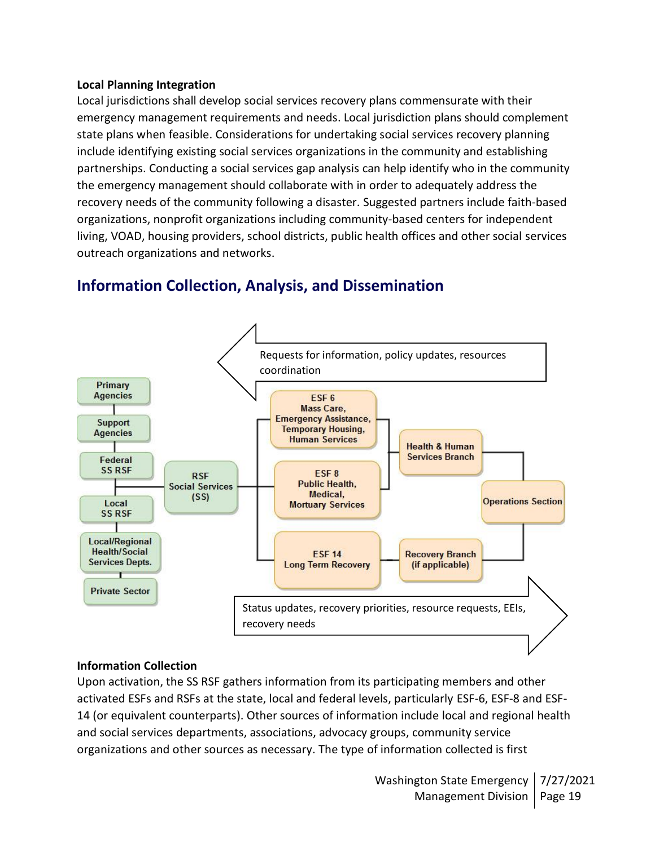#### **Local Planning Integration**

Local jurisdictions shall develop social services recovery plans commensurate with their emergency management requirements and needs. Local jurisdiction plans should complement state plans when feasible. Considerations for undertaking social services recovery planning include identifying existing social services organizations in the community and establishing partnerships. Conducting a social services gap analysis can help identify who in the community the emergency management should collaborate with in order to adequately address the recovery needs of the community following a disaster. Suggested partners include faith-based organizations, nonprofit organizations including community-based centers for independent living, VOAD, housing providers, school districts, public health offices and other social services outreach organizations and networks.



# **Information Collection, Analysis, and Dissemination**

#### **Information Collection**

Upon activation, the SS RSF gathers information from its participating members and other activated ESFs and RSFs at the state, local and federal levels, particularly ESF-6, ESF-8 and ESF-14 (or equivalent counterparts). Other sources of information include local and regional health and social services departments, associations, advocacy groups, community service organizations and other sources as necessary. The type of information collected is first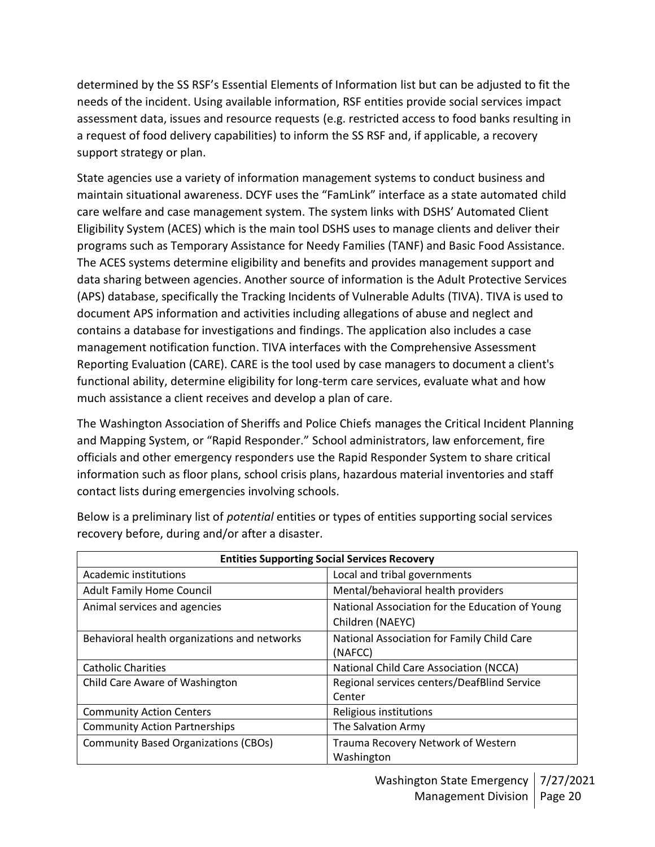determined by the SS RSF's Essential Elements of Information list but can be adjusted to fit the needs of the incident. Using available information, RSF entities provide social services impact assessment data, issues and resource requests (e.g. restricted access to food banks resulting in a request of food delivery capabilities) to inform the SS RSF and, if applicable, a recovery support strategy or plan.

State agencies use a variety of information management systems to conduct business and maintain situational awareness. DCYF uses the "FamLink" interface as a state automated child care welfare and case management system. The system links with DSHS' Automated Client Eligibility System (ACES) which is the main tool DSHS uses to manage clients and deliver their programs such as Temporary Assistance for Needy Families (TANF) and Basic Food Assistance. The ACES systems determine eligibility and benefits and provides management support and data sharing between agencies. Another source of information is the Adult Protective Services (APS) database, specifically the Tracking Incidents of Vulnerable Adults (TIVA). TIVA is used to document APS information and activities including allegations of abuse and neglect and contains a database for investigations and findings. The application also includes a case management notification function. TIVA interfaces with the Comprehensive Assessment Reporting Evaluation (CARE). CARE is the tool used by case managers to document a client's functional ability, determine eligibility for long-term care services, evaluate what and how much assistance a client receives and develop a plan of care.

The Washington Association of Sheriffs and Police Chiefs manages the Critical Incident Planning and Mapping System, or "Rapid Responder." School administrators, law enforcement, fire officials and other emergency responders use the Rapid Responder System to share critical information such as floor plans, school crisis plans, hazardous material inventories and staff contact lists during emergencies involving schools.

| <b>Entities Supporting Social Services Recovery</b> |                                                 |  |  |
|-----------------------------------------------------|-------------------------------------------------|--|--|
| Academic institutions                               | Local and tribal governments                    |  |  |
| <b>Adult Family Home Council</b>                    | Mental/behavioral health providers              |  |  |
| Animal services and agencies                        | National Association for the Education of Young |  |  |
|                                                     | Children (NAEYC)                                |  |  |
| Behavioral health organizations and networks        | National Association for Family Child Care      |  |  |
|                                                     | (NAFCC)                                         |  |  |
| <b>Catholic Charities</b>                           | National Child Care Association (NCCA)          |  |  |
| Child Care Aware of Washington                      | Regional services centers/DeafBlind Service     |  |  |
|                                                     | Center                                          |  |  |
| <b>Community Action Centers</b>                     | Religious institutions                          |  |  |
| <b>Community Action Partnerships</b>                | The Salvation Army                              |  |  |
| <b>Community Based Organizations (CBOs)</b>         | Trauma Recovery Network of Western              |  |  |
|                                                     | Washington                                      |  |  |

Below is a preliminary list of *potential* entities or types of entities supporting social services recovery before, during and/or after a disaster.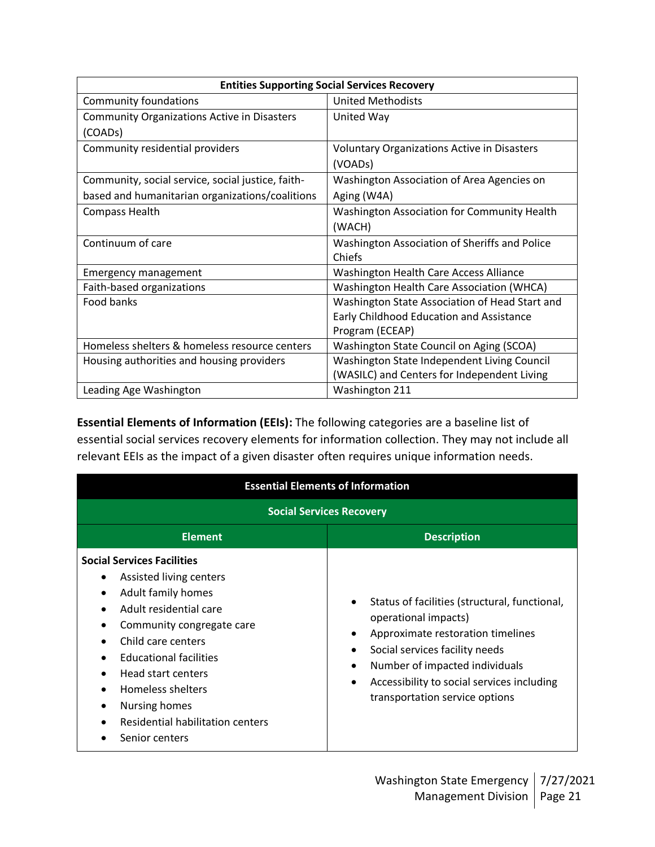| <b>Entities Supporting Social Services Recovery</b> |                                                  |  |  |
|-----------------------------------------------------|--------------------------------------------------|--|--|
| Community foundations                               | <b>United Methodists</b>                         |  |  |
| <b>Community Organizations Active in Disasters</b>  | United Way                                       |  |  |
| (COAD <sub>s</sub> )                                |                                                  |  |  |
| Community residential providers                     | Voluntary Organizations Active in Disasters      |  |  |
|                                                     | (VOADs)                                          |  |  |
| Community, social service, social justice, faith-   | Washington Association of Area Agencies on       |  |  |
| based and humanitarian organizations/coalitions     | Aging (W4A)                                      |  |  |
| Compass Health                                      | Washington Association for Community Health      |  |  |
|                                                     | (WACH)                                           |  |  |
| Continuum of care                                   | Washington Association of Sheriffs and Police    |  |  |
|                                                     | Chiefs                                           |  |  |
| <b>Emergency management</b>                         | Washington Health Care Access Alliance           |  |  |
| Faith-based organizations                           | <b>Washington Health Care Association (WHCA)</b> |  |  |
| Food banks                                          | Washington State Association of Head Start and   |  |  |
|                                                     | Early Childhood Education and Assistance         |  |  |
|                                                     | Program (ECEAP)                                  |  |  |
| Homeless shelters & homeless resource centers       | Washington State Council on Aging (SCOA)         |  |  |
| Housing authorities and housing providers           | Washington State Independent Living Council      |  |  |
|                                                     | (WASILC) and Centers for Independent Living      |  |  |
| Leading Age Washington                              | Washington 211                                   |  |  |

**Essential Elements of Information (EEIs):** The following categories are a baseline list of essential social services recovery elements for information collection. They may not include all relevant EEIs as the impact of a given disaster often requires unique information needs.

| <b>Essential Elements of Information</b>                                                                                                                                                                                                                                                                                  |                                                                                                                                                                                                                                                                                                       |  |  |
|---------------------------------------------------------------------------------------------------------------------------------------------------------------------------------------------------------------------------------------------------------------------------------------------------------------------------|-------------------------------------------------------------------------------------------------------------------------------------------------------------------------------------------------------------------------------------------------------------------------------------------------------|--|--|
| <b>Social Services Recovery</b>                                                                                                                                                                                                                                                                                           |                                                                                                                                                                                                                                                                                                       |  |  |
| <b>Element</b>                                                                                                                                                                                                                                                                                                            | <b>Description</b>                                                                                                                                                                                                                                                                                    |  |  |
| <b>Social Services Facilities</b><br>Assisted living centers<br>Adult family homes<br>Adult residential care<br>Community congregate care<br>Child care centers<br><b>Educational facilities</b><br>Head start centers<br>Homeless shelters<br><b>Nursing homes</b><br>Residential habilitation centers<br>Senior centers | Status of facilities (structural, functional,<br>$\bullet$<br>operational impacts)<br>Approximate restoration timelines<br>Social services facility needs<br>Number of impacted individuals<br>$\bullet$<br>Accessibility to social services including<br>$\bullet$<br>transportation service options |  |  |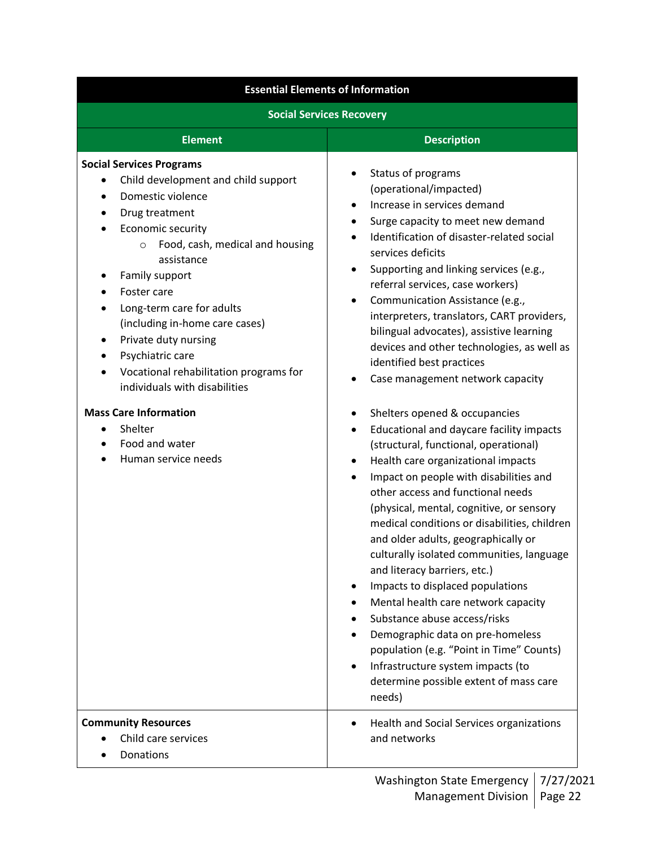| <b>Essential Elements of Information</b>                                                                                                                                                                                                                                                                                                                                                                                                                                                                       |                                                                                                                                                                                                                                                                                                                                                                                                                                                                                                                                                                                                                                                                                                                                                                                                                                                                                                                                                                                                                                                                                                                                                                                                                                                                                                                                                                     |  |  |
|----------------------------------------------------------------------------------------------------------------------------------------------------------------------------------------------------------------------------------------------------------------------------------------------------------------------------------------------------------------------------------------------------------------------------------------------------------------------------------------------------------------|---------------------------------------------------------------------------------------------------------------------------------------------------------------------------------------------------------------------------------------------------------------------------------------------------------------------------------------------------------------------------------------------------------------------------------------------------------------------------------------------------------------------------------------------------------------------------------------------------------------------------------------------------------------------------------------------------------------------------------------------------------------------------------------------------------------------------------------------------------------------------------------------------------------------------------------------------------------------------------------------------------------------------------------------------------------------------------------------------------------------------------------------------------------------------------------------------------------------------------------------------------------------------------------------------------------------------------------------------------------------|--|--|
| <b>Social Services Recovery</b>                                                                                                                                                                                                                                                                                                                                                                                                                                                                                |                                                                                                                                                                                                                                                                                                                                                                                                                                                                                                                                                                                                                                                                                                                                                                                                                                                                                                                                                                                                                                                                                                                                                                                                                                                                                                                                                                     |  |  |
| <b>Element</b>                                                                                                                                                                                                                                                                                                                                                                                                                                                                                                 | <b>Description</b>                                                                                                                                                                                                                                                                                                                                                                                                                                                                                                                                                                                                                                                                                                                                                                                                                                                                                                                                                                                                                                                                                                                                                                                                                                                                                                                                                  |  |  |
| <b>Social Services Programs</b><br>Child development and child support<br>Domestic violence<br>Drug treatment<br>Economic security<br>Food, cash, medical and housing<br>$\circ$<br>assistance<br>Family support<br>Foster care<br>Long-term care for adults<br>(including in-home care cases)<br>Private duty nursing<br>٠<br>Psychiatric care<br>Vocational rehabilitation programs for<br>individuals with disabilities<br><b>Mass Care Information</b><br>Shelter<br>Food and water<br>Human service needs | Status of programs<br>(operational/impacted)<br>Increase in services demand<br>$\bullet$<br>Surge capacity to meet new demand<br>٠<br>Identification of disaster-related social<br>$\bullet$<br>services deficits<br>Supporting and linking services (e.g.,<br>$\bullet$<br>referral services, case workers)<br>Communication Assistance (e.g.,<br>٠<br>interpreters, translators, CART providers,<br>bilingual advocates), assistive learning<br>devices and other technologies, as well as<br>identified best practices<br>Case management network capacity<br>Shelters opened & occupancies<br>$\bullet$<br>Educational and daycare facility impacts<br>$\bullet$<br>(structural, functional, operational)<br>Health care organizational impacts<br>$\bullet$<br>Impact on people with disabilities and<br>other access and functional needs<br>(physical, mental, cognitive, or sensory<br>medical conditions or disabilities, children<br>and older adults, geographically or<br>culturally isolated communities, language<br>and literacy barriers, etc.)<br>Impacts to displaced populations<br>Mental health care network capacity<br>Substance abuse access/risks<br>Demographic data on pre-homeless<br>$\bullet$<br>population (e.g. "Point in Time" Counts)<br>Infrastructure system impacts (to<br>$\bullet$<br>determine possible extent of mass care |  |  |
| <b>Community Resources</b><br>Child care services<br>Donations                                                                                                                                                                                                                                                                                                                                                                                                                                                 | needs)<br>Health and Social Services organizations<br>and networks                                                                                                                                                                                                                                                                                                                                                                                                                                                                                                                                                                                                                                                                                                                                                                                                                                                                                                                                                                                                                                                                                                                                                                                                                                                                                                  |  |  |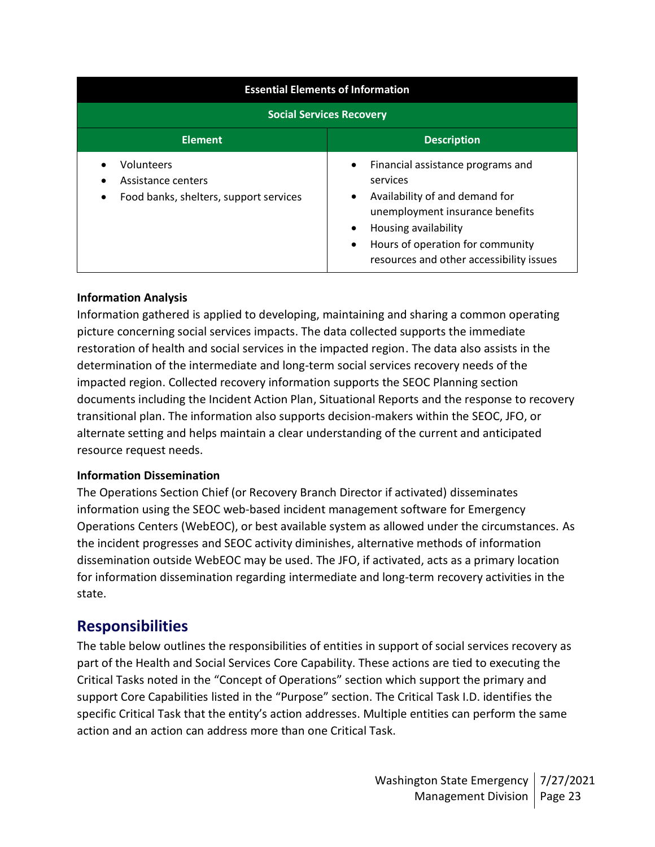| <b>Essential Elements of Information</b>                                   |                                                                                                                                                                                                                                                                |  |  |
|----------------------------------------------------------------------------|----------------------------------------------------------------------------------------------------------------------------------------------------------------------------------------------------------------------------------------------------------------|--|--|
| <b>Social Services Recovery</b>                                            |                                                                                                                                                                                                                                                                |  |  |
| <b>Element</b>                                                             | <b>Description</b>                                                                                                                                                                                                                                             |  |  |
| Volunteers<br>Assistance centers<br>Food banks, shelters, support services | Financial assistance programs and<br>$\bullet$<br>services<br>Availability of and demand for<br>$\bullet$<br>unemployment insurance benefits<br>Housing availability<br>٠<br>Hours of operation for community<br>٠<br>resources and other accessibility issues |  |  |

### **Information Analysis**

Information gathered is applied to developing, maintaining and sharing a common operating picture concerning social services impacts. The data collected supports the immediate restoration of health and social services in the impacted region. The data also assists in the determination of the intermediate and long-term social services recovery needs of the impacted region. Collected recovery information supports the SEOC Planning section documents including the Incident Action Plan, Situational Reports and the response to recovery transitional plan. The information also supports decision-makers within the SEOC, JFO, or alternate setting and helps maintain a clear understanding of the current and anticipated resource request needs.

#### **Information Dissemination**

The Operations Section Chief (or Recovery Branch Director if activated) disseminates information using the SEOC web-based incident management software for Emergency Operations Centers (WebEOC), or best available system as allowed under the circumstances. As the incident progresses and SEOC activity diminishes, alternative methods of information dissemination outside WebEOC may be used. The JFO, if activated, acts as a primary location for information dissemination regarding intermediate and long-term recovery activities in the state.

# **Responsibilities**

The table below outlines the responsibilities of entities in support of social services recovery as part of the Health and Social Services Core Capability. These actions are tied to executing the Critical Tasks noted in the "Concept of Operations" section which support the primary and support Core Capabilities listed in the "Purpose" section. The Critical Task I.D. identifies the specific Critical Task that the entity's action addresses. Multiple entities can perform the same action and an action can address more than one Critical Task.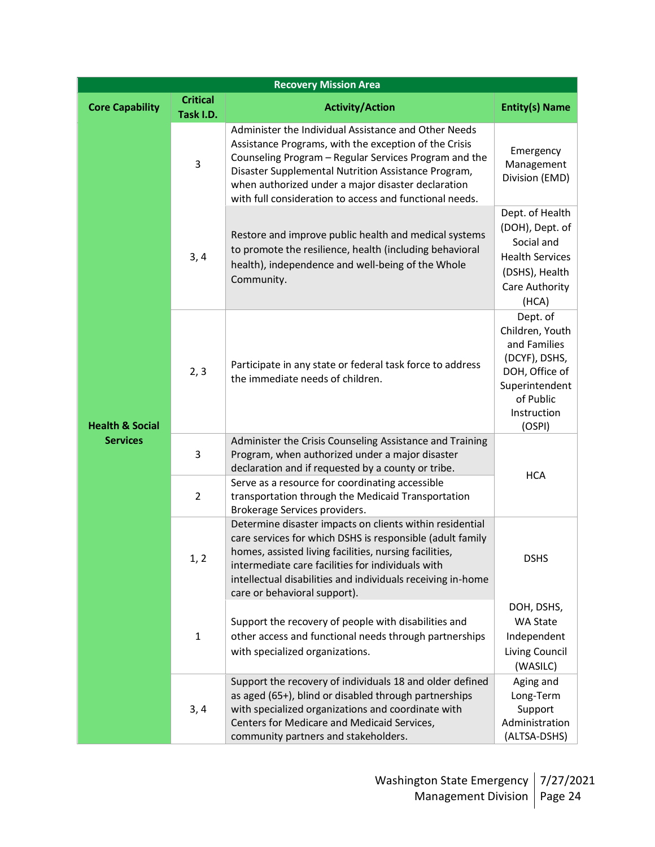| <b>Recovery Mission Area</b> |                                          |                                                                                                                                                                                                                                                                                                                                                |                                                                                                                                        |  |
|------------------------------|------------------------------------------|------------------------------------------------------------------------------------------------------------------------------------------------------------------------------------------------------------------------------------------------------------------------------------------------------------------------------------------------|----------------------------------------------------------------------------------------------------------------------------------------|--|
| <b>Core Capability</b>       | <b>Critical</b><br>Task I.D.             | <b>Activity/Action</b>                                                                                                                                                                                                                                                                                                                         | <b>Entity(s) Name</b>                                                                                                                  |  |
|                              | 3                                        | Administer the Individual Assistance and Other Needs<br>Assistance Programs, with the exception of the Crisis<br>Counseling Program - Regular Services Program and the<br>Disaster Supplemental Nutrition Assistance Program,<br>when authorized under a major disaster declaration<br>with full consideration to access and functional needs. | Emergency<br>Management<br>Division (EMD)                                                                                              |  |
|                              | 3, 4                                     | Restore and improve public health and medical systems<br>to promote the resilience, health (including behavioral<br>health), independence and well-being of the Whole<br>Community.                                                                                                                                                            | Dept. of Health<br>(DOH), Dept. of<br>Social and<br><b>Health Services</b><br>(DSHS), Health<br>Care Authority<br>(HCA)                |  |
| <b>Health &amp; Social</b>   | 2, 3<br>the immediate needs of children. | Participate in any state or federal task force to address                                                                                                                                                                                                                                                                                      | Dept. of<br>Children, Youth<br>and Families<br>(DCYF), DSHS,<br>DOH, Office of<br>Superintendent<br>of Public<br>Instruction<br>(OSPI) |  |
| <b>Services</b>              | 3                                        | Administer the Crisis Counseling Assistance and Training<br>Program, when authorized under a major disaster<br>declaration and if requested by a county or tribe.                                                                                                                                                                              | <b>HCA</b>                                                                                                                             |  |
|                              | $\overline{2}$                           | Serve as a resource for coordinating accessible<br>transportation through the Medicaid Transportation<br>Brokerage Services providers.                                                                                                                                                                                                         |                                                                                                                                        |  |
|                              | 1, 2                                     | Determine disaster impacts on clients within residential<br>care services for which DSHS is responsible (adult family<br>homes, assisted living facilities, nursing facilities,<br>intermediate care facilities for individuals with<br>intellectual disabilities and individuals receiving in-home<br>care or behavioral support).            | <b>DSHS</b>                                                                                                                            |  |
|                              | $\mathbf{1}$                             | Support the recovery of people with disabilities and<br>other access and functional needs through partnerships<br>with specialized organizations.                                                                                                                                                                                              | DOH, DSHS,<br>WA State<br>Independent<br>Living Council<br>(WASILC)                                                                    |  |
|                              | 3, 4                                     | Support the recovery of individuals 18 and older defined<br>as aged (65+), blind or disabled through partnerships<br>with specialized organizations and coordinate with<br>Centers for Medicare and Medicaid Services,<br>community partners and stakeholders.                                                                                 | Aging and<br>Long-Term<br>Support<br>Administration<br>(ALTSA-DSHS)                                                                    |  |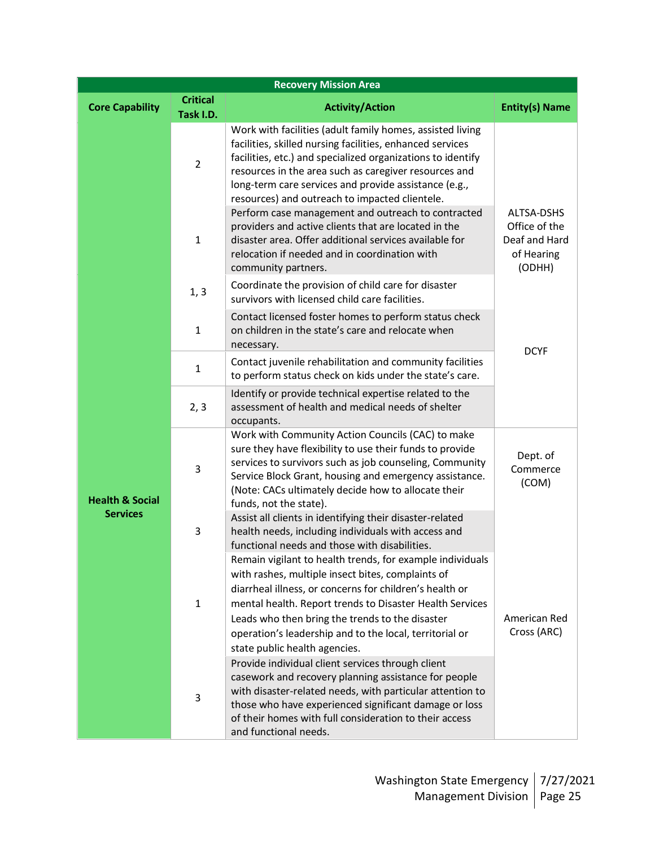| <b>Recovery Mission Area</b>                  |                              |                                                                                                                                                                                                                                                                                                                                                                                      |                                                                      |
|-----------------------------------------------|------------------------------|--------------------------------------------------------------------------------------------------------------------------------------------------------------------------------------------------------------------------------------------------------------------------------------------------------------------------------------------------------------------------------------|----------------------------------------------------------------------|
| <b>Core Capability</b>                        | <b>Critical</b><br>Task I.D. | <b>Activity/Action</b>                                                                                                                                                                                                                                                                                                                                                               | <b>Entity(s) Name</b>                                                |
|                                               | $\overline{2}$               | Work with facilities (adult family homes, assisted living<br>facilities, skilled nursing facilities, enhanced services<br>facilities, etc.) and specialized organizations to identify<br>resources in the area such as caregiver resources and<br>long-term care services and provide assistance (e.g.,<br>resources) and outreach to impacted clientele.                            |                                                                      |
|                                               | 1                            | Perform case management and outreach to contracted<br>providers and active clients that are located in the<br>disaster area. Offer additional services available for<br>relocation if needed and in coordination with<br>community partners.                                                                                                                                         | ALTSA-DSHS<br>Office of the<br>Deaf and Hard<br>of Hearing<br>(ODHH) |
|                                               | 1, 3                         | Coordinate the provision of child care for disaster<br>survivors with licensed child care facilities.                                                                                                                                                                                                                                                                                |                                                                      |
|                                               | $\mathbf{1}$                 | Contact licensed foster homes to perform status check<br>on children in the state's care and relocate when<br>necessary.                                                                                                                                                                                                                                                             | <b>DCYF</b>                                                          |
| <b>Health &amp; Social</b><br><b>Services</b> | $\mathbf{1}$                 | Contact juvenile rehabilitation and community facilities<br>to perform status check on kids under the state's care.                                                                                                                                                                                                                                                                  |                                                                      |
|                                               | 2, 3                         | Identify or provide technical expertise related to the<br>assessment of health and medical needs of shelter<br>occupants.                                                                                                                                                                                                                                                            |                                                                      |
|                                               | 3                            | Work with Community Action Councils (CAC) to make<br>sure they have flexibility to use their funds to provide<br>services to survivors such as job counseling, Community<br>Service Block Grant, housing and emergency assistance.<br>(Note: CACs ultimately decide how to allocate their<br>funds, not the state).                                                                  | Dept. of<br>Commerce<br>(COM)                                        |
|                                               | 3                            | Assist all clients in identifying their disaster-related<br>health needs, including individuals with access and<br>functional needs and those with disabilities.                                                                                                                                                                                                                     |                                                                      |
|                                               | $\mathbf{1}$                 | Remain vigilant to health trends, for example individuals<br>with rashes, multiple insect bites, complaints of<br>diarrheal illness, or concerns for children's health or<br>mental health. Report trends to Disaster Health Services<br>Leads who then bring the trends to the disaster<br>operation's leadership and to the local, territorial or<br>state public health agencies. | American Red<br>Cross (ARC)                                          |
|                                               | 3                            | Provide individual client services through client<br>casework and recovery planning assistance for people<br>with disaster-related needs, with particular attention to<br>those who have experienced significant damage or loss<br>of their homes with full consideration to their access<br>and functional needs.                                                                   |                                                                      |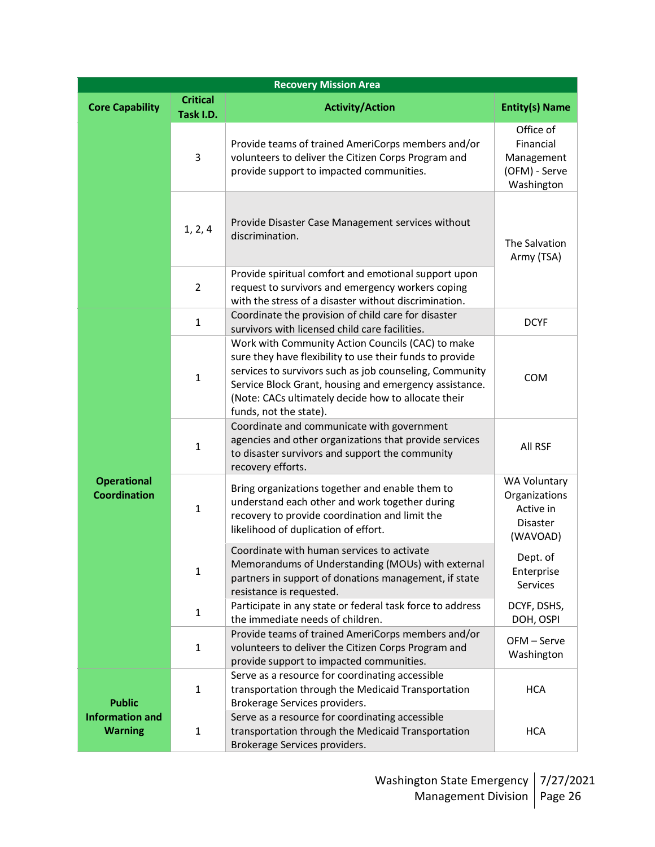| <b>Recovery Mission Area</b>              |                              |                                                                                                                                                                                                                                                                                                                     |                                                                           |  |
|-------------------------------------------|------------------------------|---------------------------------------------------------------------------------------------------------------------------------------------------------------------------------------------------------------------------------------------------------------------------------------------------------------------|---------------------------------------------------------------------------|--|
| <b>Core Capability</b>                    | <b>Critical</b><br>Task I.D. | <b>Activity/Action</b>                                                                                                                                                                                                                                                                                              | <b>Entity(s) Name</b>                                                     |  |
|                                           | 3                            | Provide teams of trained AmeriCorps members and/or<br>volunteers to deliver the Citizen Corps Program and<br>provide support to impacted communities.                                                                                                                                                               | Office of<br>Financial<br>Management<br>(OFM) - Serve<br>Washington       |  |
|                                           | 1, 2, 4                      | Provide Disaster Case Management services without<br>discrimination.                                                                                                                                                                                                                                                | The Salvation<br>Army (TSA)                                               |  |
|                                           | $\overline{2}$               | Provide spiritual comfort and emotional support upon<br>request to survivors and emergency workers coping<br>with the stress of a disaster without discrimination.                                                                                                                                                  |                                                                           |  |
|                                           | $\mathbf{1}$                 | Coordinate the provision of child care for disaster<br>survivors with licensed child care facilities.                                                                                                                                                                                                               | <b>DCYF</b>                                                               |  |
| <b>Operational</b><br><b>Coordination</b> | $\mathbf{1}$                 | Work with Community Action Councils (CAC) to make<br>sure they have flexibility to use their funds to provide<br>services to survivors such as job counseling, Community<br>Service Block Grant, housing and emergency assistance.<br>(Note: CACs ultimately decide how to allocate their<br>funds, not the state). | COM                                                                       |  |
|                                           | $\mathbf{1}$                 | Coordinate and communicate with government<br>agencies and other organizations that provide services<br>to disaster survivors and support the community<br>recovery efforts.                                                                                                                                        | All RSF                                                                   |  |
|                                           | $\mathbf{1}$                 | Bring organizations together and enable them to<br>understand each other and work together during<br>recovery to provide coordination and limit the<br>likelihood of duplication of effort.                                                                                                                         | <b>WA Voluntary</b><br>Organizations<br>Active in<br>Disaster<br>(WAVOAD) |  |
|                                           | $\mathbf{1}$                 | Coordinate with human services to activate<br>Memorandums of Understanding (MOUs) with external<br>partners in support of donations management, if state<br>resistance is requested.                                                                                                                                | Dept. of<br>Enterprise<br>Services                                        |  |
|                                           | $\mathbf{1}$                 | Participate in any state or federal task force to address<br>the immediate needs of children.                                                                                                                                                                                                                       | DCYF, DSHS,<br>DOH, OSPI                                                  |  |
|                                           | $\mathbf{1}$                 | Provide teams of trained AmeriCorps members and/or<br>volunteers to deliver the Citizen Corps Program and<br>provide support to impacted communities.                                                                                                                                                               | OFM - Serve<br>Washington                                                 |  |
| <b>Public</b>                             | $\mathbf{1}$                 | Serve as a resource for coordinating accessible<br>transportation through the Medicaid Transportation<br>Brokerage Services providers.                                                                                                                                                                              | <b>HCA</b>                                                                |  |
| <b>Information and</b><br><b>Warning</b>  | $\mathbf{1}$                 | Serve as a resource for coordinating accessible<br>transportation through the Medicaid Transportation<br>Brokerage Services providers.                                                                                                                                                                              | <b>HCA</b>                                                                |  |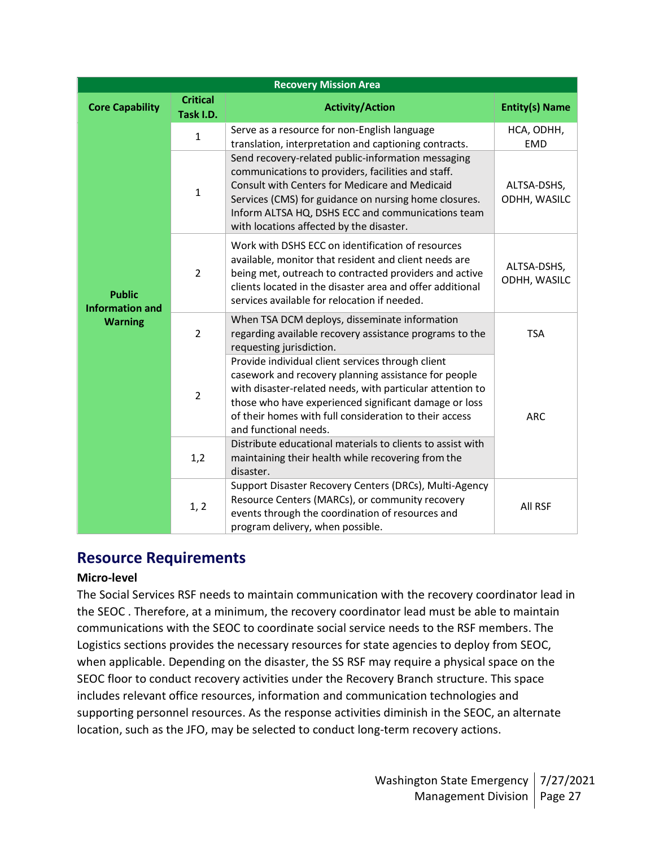| <b>Recovery Mission Area</b>                              |                              |                                                                                                                                                                                                                                                                                                                      |                             |  |
|-----------------------------------------------------------|------------------------------|----------------------------------------------------------------------------------------------------------------------------------------------------------------------------------------------------------------------------------------------------------------------------------------------------------------------|-----------------------------|--|
| <b>Core Capability</b>                                    | <b>Critical</b><br>Task I.D. | <b>Activity/Action</b>                                                                                                                                                                                                                                                                                               | <b>Entity(s) Name</b>       |  |
| <b>Public</b><br><b>Information and</b><br><b>Warning</b> | $\mathbf{1}$                 | Serve as a resource for non-English language<br>translation, interpretation and captioning contracts.                                                                                                                                                                                                                | HCA, ODHH,<br><b>EMD</b>    |  |
|                                                           | $\mathbf{1}$                 | Send recovery-related public-information messaging<br>communications to providers, facilities and staff.<br>Consult with Centers for Medicare and Medicaid<br>Services (CMS) for guidance on nursing home closures.<br>Inform ALTSA HQ, DSHS ECC and communications team<br>with locations affected by the disaster. | ALTSA-DSHS,<br>ODHH, WASILC |  |
|                                                           | $\overline{2}$               | Work with DSHS ECC on identification of resources<br>available, monitor that resident and client needs are<br>being met, outreach to contracted providers and active<br>clients located in the disaster area and offer additional<br>services available for relocation if needed.                                    | ALTSA-DSHS,<br>ODHH, WASILC |  |
|                                                           | $\overline{2}$               | When TSA DCM deploys, disseminate information<br>regarding available recovery assistance programs to the<br>requesting jurisdiction.                                                                                                                                                                                 | <b>TSA</b>                  |  |
|                                                           | $\overline{2}$               | Provide individual client services through client<br>casework and recovery planning assistance for people<br>with disaster-related needs, with particular attention to<br>those who have experienced significant damage or loss<br>of their homes with full consideration to their access<br>and functional needs.   | <b>ARC</b>                  |  |
|                                                           | 1,2                          | Distribute educational materials to clients to assist with<br>maintaining their health while recovering from the<br>disaster.                                                                                                                                                                                        |                             |  |
|                                                           | 1, 2                         | Support Disaster Recovery Centers (DRCs), Multi-Agency<br>Resource Centers (MARCs), or community recovery<br>events through the coordination of resources and<br>program delivery, when possible.                                                                                                                    | All RSF                     |  |

# **Resource Requirements**

#### **Micro-level**

The Social Services RSF needs to maintain communication with the recovery coordinator lead in the SEOC . Therefore, at a minimum, the recovery coordinator lead must be able to maintain communications with the SEOC to coordinate social service needs to the RSF members. The Logistics sections provides the necessary resources for state agencies to deploy from SEOC, when applicable. Depending on the disaster, the SS RSF may require a physical space on the SEOC floor to conduct recovery activities under the Recovery Branch structure. This space includes relevant office resources, information and communication technologies and supporting personnel resources. As the response activities diminish in the SEOC, an alternate location, such as the JFO, may be selected to conduct long-term recovery actions.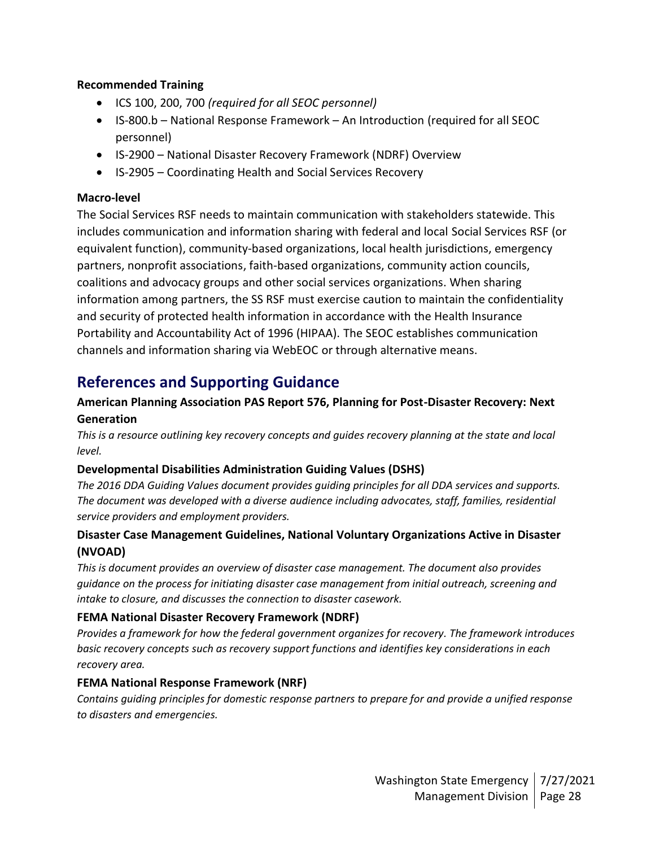#### **Recommended Training**

- ICS 100, 200, 700 *(required for all SEOC personnel)*
- IS-800.b National Response Framework An Introduction (required for all SEOC personnel)
- IS-2900 National Disaster Recovery Framework (NDRF) Overview
- IS-2905 Coordinating Health and Social Services Recovery

#### **Macro-level**

The Social Services RSF needs to maintain communication with stakeholders statewide. This includes communication and information sharing with federal and local Social Services RSF (or equivalent function), community-based organizations, local health jurisdictions, emergency partners, nonprofit associations, faith-based organizations, community action councils, coalitions and advocacy groups and other social services organizations. When sharing information among partners, the SS RSF must exercise caution to maintain the confidentiality and security of protected health information in accordance with the Health Insurance Portability and Accountability Act of 1996 (HIPAA). The SEOC establishes communication channels and information sharing via WebEOC or through alternative means.

# **References and Supporting Guidance**

## **American Planning Association PAS Report 576, Planning for Post-Disaster Recovery: Next Generation**

*This is a resource outlining key recovery concepts and guides recovery planning at the state and local level.*

#### **Developmental Disabilities Administration Guiding Values (DSHS)**

*The 2016 DDA Guiding Values document provides guiding principles for all DDA services and supports. The document was developed with a diverse audience including advocates, staff, families, residential service providers and employment providers.*

### **Disaster Case Management Guidelines, National Voluntary Organizations Active in Disaster (NVOAD)**

*This is document provides an overview of disaster case management. The document also provides guidance on the process for initiating disaster case management from initial outreach, screening and intake to closure, and discusses the connection to disaster casework.*

#### **FEMA National Disaster Recovery Framework (NDRF)**

*Provides a framework for how the federal government organizes for recovery. The framework introduces basic recovery concepts such as recovery support functions and identifies key considerations in each recovery area.*

## **FEMA National Response Framework (NRF)**

*Contains guiding principles for domestic response partners to prepare for and provide a unified response to disasters and emergencies.*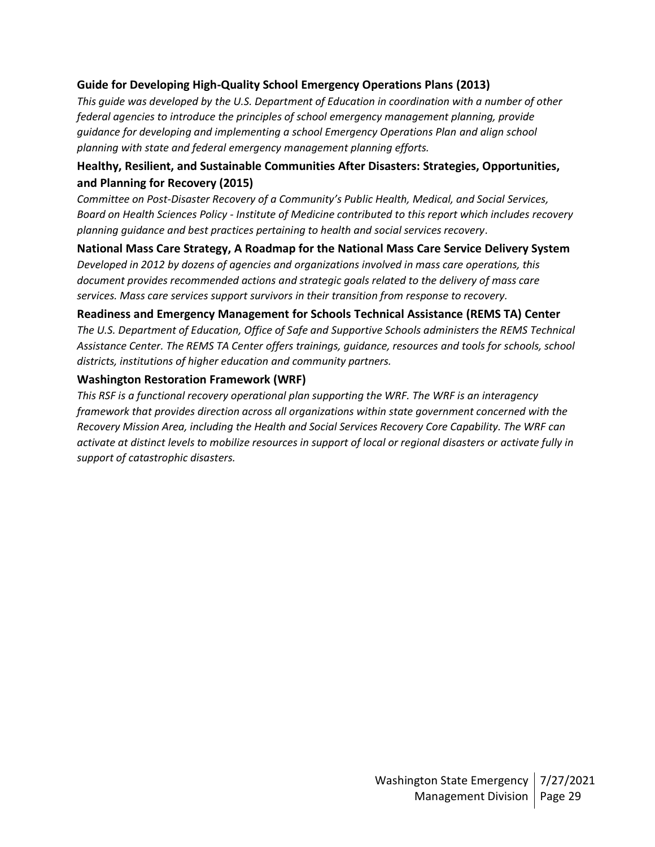#### **Guide for Developing High-Quality School Emergency Operations Plans (2013)**

*This guide was developed by the U.S. Department of Education in coordination with a number of other federal agencies to introduce the principles of school emergency management planning, provide guidance for developing and implementing a school Emergency Operations Plan and align school planning with state and federal emergency management planning efforts.* 

### **Healthy, Resilient, and Sustainable Communities After Disasters: Strategies, Opportunities, and Planning for Recovery (2015)**

*Committee on Post-Disaster Recovery of a Community's Public Health, Medical, and Social Services, Board on Health Sciences Policy - Institute of Medicine contributed to this report which includes recovery planning guidance and best practices pertaining to health and social services recovery.*

**National Mass Care Strategy, A Roadmap for the National Mass Care Service Delivery System** *Developed in 2012 by dozens of agencies and organizations involved in mass care operations, this document provides recommended actions and strategic goals related to the delivery of mass care services. Mass care services support survivors in their transition from response to recovery.*

#### **Readiness and Emergency Management for Schools Technical Assistance (REMS TA) Center**

*The U.S. Department of Education, Office of Safe and Supportive Schools administers the REMS Technical Assistance Center. The REMS TA Center offers trainings, guidance, resources and tools for schools, school districts, institutions of higher education and community partners.*

#### **Washington Restoration Framework (WRF)**

*This RSF is a functional recovery operational plan supporting the WRF. The WRF is an interagency framework that provides direction across all organizations within state government concerned with the Recovery Mission Area, including the Health and Social Services Recovery Core Capability. The WRF can activate at distinct levels to mobilize resources in support of local or regional disasters or activate fully in support of catastrophic disasters.*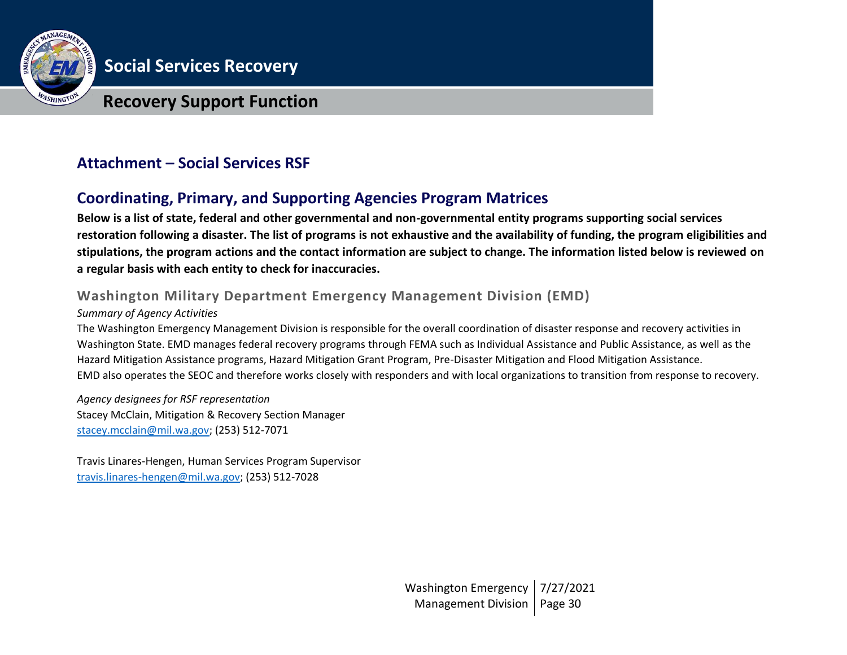

# **Recovery Support Function**

# **Attachment – Social Services RSF**

# **Coordinating, Primary, and Supporting Agencies Program Matrices**

**Below is a list of state, federal and other governmental and non-governmental entity programs supporting social services restoration following a disaster. The list of programs is not exhaustive and the availability of funding, the program eligibilities and stipulations, the program actions and the contact information are subject to change. The information listed below is reviewed on a regular basis with each entity to check for inaccuracies.**

# **Washington Military Department Emergency Management Division (EMD)**

#### *Summary of Agency Activities*

The Washington Emergency Management Division is responsible for the overall coordination of disaster response and recovery activities in Washington State. EMD manages federal recovery programs through FEMA such as Individual Assistance and Public Assistance, as well as the Hazard Mitigation Assistance programs, Hazard Mitigation Grant Program, Pre-Disaster Mitigation and Flood Mitigation Assistance. EMD also operates the SEOC and therefore works closely with responders and with local organizations to transition from response to recovery.

*Agency designees for RSF representation* Stacey McClain, Mitigation & Recovery Section Manager [stacey.mcclain@mil.wa.gov;](mailto:stacey.mcclain@mil.wa.gov) (253) 512-7071

Travis Linares-Hengen, Human Services Program Supervisor [travis.linares-hengen@mil.wa.gov;](mailto:travis.linares-hengen@mil.wa.gov) (253) 512-7028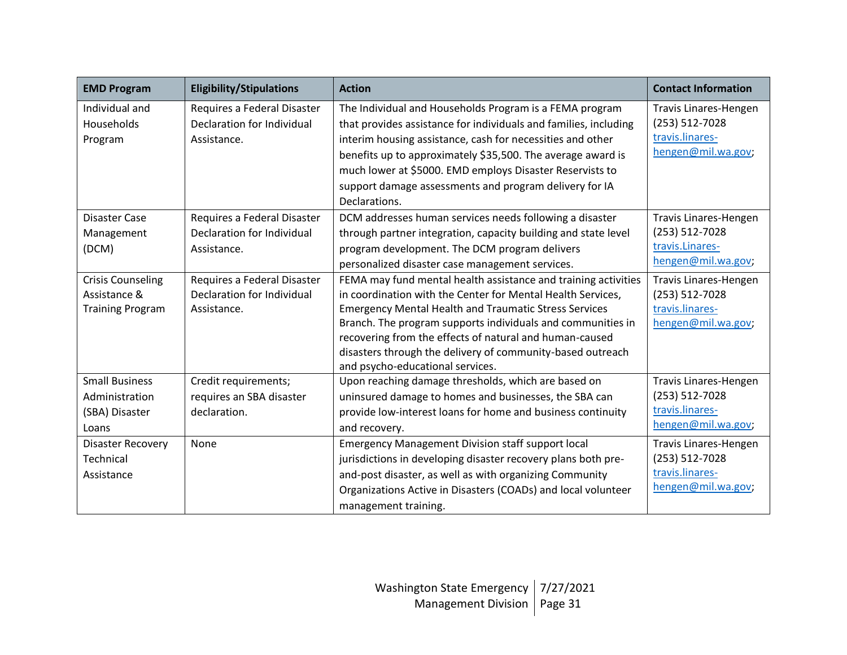| <b>EMD Program</b>                                                  | <b>Eligibility/Stipulations</b>                                          | <b>Action</b>                                                                                                                                                                                                                                                                                                                                                                                                             | <b>Contact Information</b>                                                       |
|---------------------------------------------------------------------|--------------------------------------------------------------------------|---------------------------------------------------------------------------------------------------------------------------------------------------------------------------------------------------------------------------------------------------------------------------------------------------------------------------------------------------------------------------------------------------------------------------|----------------------------------------------------------------------------------|
| Individual and<br>Households<br>Program                             | Requires a Federal Disaster<br>Declaration for Individual<br>Assistance. | The Individual and Households Program is a FEMA program<br>that provides assistance for individuals and families, including<br>interim housing assistance, cash for necessities and other<br>benefits up to approximately \$35,500. The average award is<br>much lower at \$5000. EMD employs Disaster Reservists to<br>support damage assessments and program delivery for IA                                            | Travis Linares-Hengen<br>(253) 512-7028<br>travis.linares-<br>hengen@mil.wa.gov  |
| <b>Disaster Case</b><br>Management<br>(DCM)                         | Requires a Federal Disaster<br>Declaration for Individual<br>Assistance. | Declarations.<br>DCM addresses human services needs following a disaster<br>through partner integration, capacity building and state level<br>program development. The DCM program delivers<br>personalized disaster case management services.                                                                                                                                                                            | Travis Linares-Hengen<br>(253) 512-7028<br>travis.Linares-<br>hengen@mil.wa.gov  |
| <b>Crisis Counseling</b><br>Assistance &<br><b>Training Program</b> | Requires a Federal Disaster<br>Declaration for Individual<br>Assistance. | FEMA may fund mental health assistance and training activities<br>in coordination with the Center for Mental Health Services,<br><b>Emergency Mental Health and Traumatic Stress Services</b><br>Branch. The program supports individuals and communities in<br>recovering from the effects of natural and human-caused<br>disasters through the delivery of community-based outreach<br>and psycho-educational services. | Travis Linares-Hengen<br>(253) 512-7028<br>travis.linares-<br>hengen@mil.wa.gov; |
| <b>Small Business</b><br>Administration<br>(SBA) Disaster<br>Loans  | Credit requirements;<br>requires an SBA disaster<br>declaration.         | Upon reaching damage thresholds, which are based on<br>uninsured damage to homes and businesses, the SBA can<br>provide low-interest loans for home and business continuity<br>and recovery.                                                                                                                                                                                                                              | Travis Linares-Hengen<br>(253) 512-7028<br>travis.linares-<br>hengen@mil.wa.gov; |
| <b>Disaster Recovery</b><br>Technical<br>Assistance                 | None                                                                     | <b>Emergency Management Division staff support local</b><br>jurisdictions in developing disaster recovery plans both pre-<br>and-post disaster, as well as with organizing Community<br>Organizations Active in Disasters (COADs) and local volunteer<br>management training.                                                                                                                                             | Travis Linares-Hengen<br>(253) 512-7028<br>travis.linares-<br>hengen@mil.wa.gov; |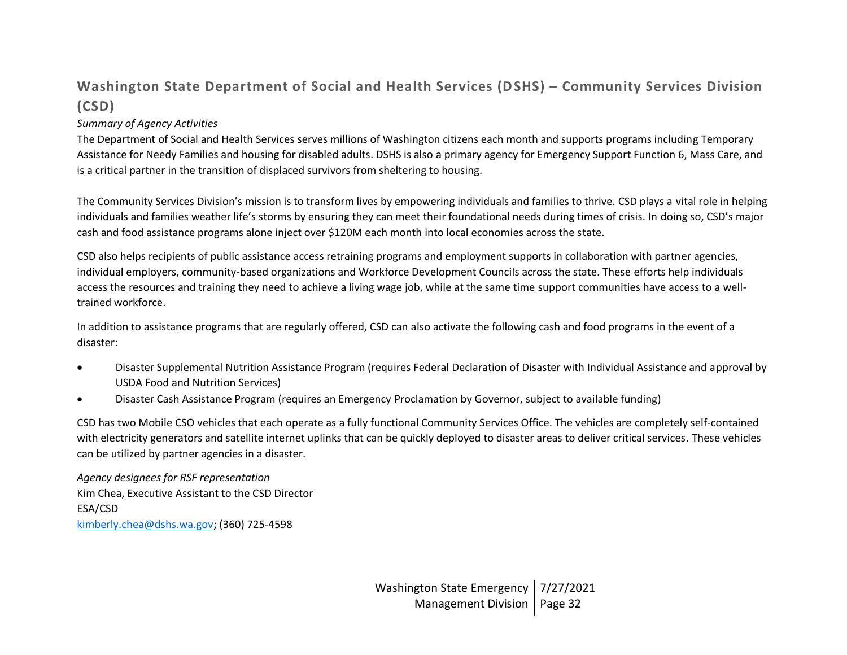# **Washington State Department of Social and Health Services (DSHS) – Community Services Division (CSD)**

#### *Summary of Agency Activities*

The Department of Social and Health Services serves millions of Washington citizens each month and supports programs including Temporary Assistance for Needy Families and housing for disabled adults. DSHS is also a primary agency for Emergency Support Function 6, Mass Care, and is a critical partner in the transition of displaced survivors from sheltering to housing.

The Community Services Division's mission is to transform lives by empowering individuals and families to thrive. CSD plays a vital role in helping individuals and families weather life's storms by ensuring they can meet their foundational needs during times of crisis. In doing so, CSD's major cash and food assistance programs alone inject over \$120M each month into local economies across the state.

CSD also helps recipients of public assistance access retraining programs and employment supports in collaboration with partner agencies, individual employers, community-based organizations and Workforce Development Councils across the state. These efforts help individuals access the resources and training they need to achieve a living wage job, while at the same time support communities have access to a welltrained workforce.

In addition to assistance programs that are regularly offered, CSD can also activate the following cash and food programs in the event of a disaster:

- Disaster Supplemental Nutrition Assistance Program (requires Federal Declaration of Disaster with Individual Assistance and approval by USDA Food and Nutrition Services)
- Disaster Cash Assistance Program (requires an Emergency Proclamation by Governor, subject to available funding)

CSD has two Mobile CSO vehicles that each operate as a fully functional Community Services Office. The vehicles are completely self-contained with electricity generators and satellite internet uplinks that can be quickly deployed to disaster areas to deliver critical services. These vehicles can be utilized by partner agencies in a disaster.

*Agency designees for RSF representation* Kim Chea, Executive Assistant to the CSD Director ESA/CSD [kimberly.chea@dshs.wa.gov;](mailto:kimberly.chea@dshs.wa.gov) (360) 725-4598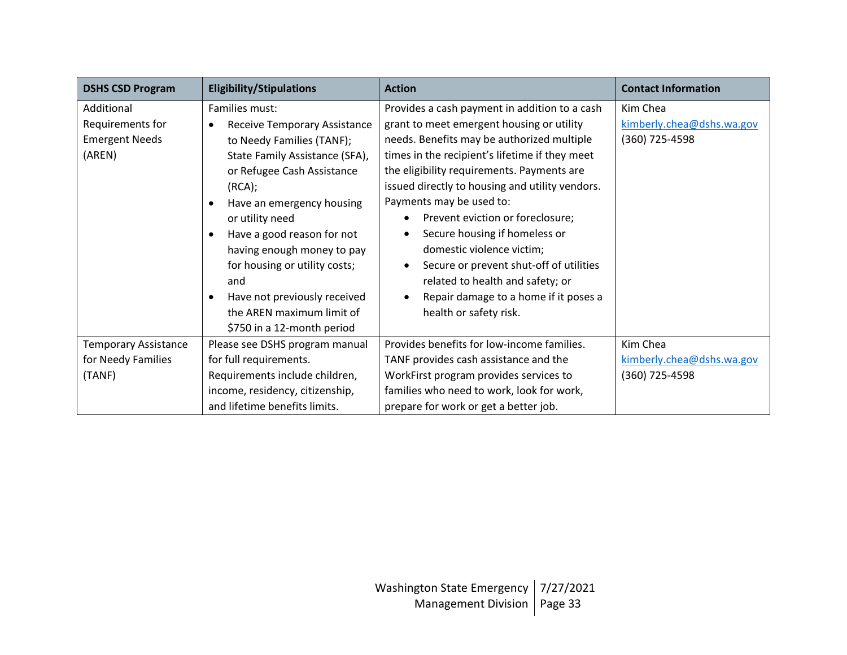| <b>DSHS CSD Program</b>                                           | <b>Eligibility/Stipulations</b>                                                                                                                                                                                                                                                                                                                                                                                                                                 | <b>Action</b>                                                                                                                                                                                                                                                                                                                                                                                                                                                                                                                                                                                                                   | <b>Contact Information</b>                              |
|-------------------------------------------------------------------|-----------------------------------------------------------------------------------------------------------------------------------------------------------------------------------------------------------------------------------------------------------------------------------------------------------------------------------------------------------------------------------------------------------------------------------------------------------------|---------------------------------------------------------------------------------------------------------------------------------------------------------------------------------------------------------------------------------------------------------------------------------------------------------------------------------------------------------------------------------------------------------------------------------------------------------------------------------------------------------------------------------------------------------------------------------------------------------------------------------|---------------------------------------------------------|
| Additional<br>Requirements for<br><b>Emergent Needs</b><br>(AREN) | Families must:<br><b>Receive Temporary Assistance</b><br>$\bullet$<br>to Needy Families (TANF);<br>State Family Assistance (SFA),<br>or Refugee Cash Assistance<br>(RCA);<br>Have an emergency housing<br>$\bullet$<br>or utility need<br>Have a good reason for not<br>$\bullet$<br>having enough money to pay<br>for housing or utility costs;<br>and<br>Have not previously received<br>$\bullet$<br>the AREN maximum limit of<br>\$750 in a 12-month period | Provides a cash payment in addition to a cash<br>grant to meet emergent housing or utility<br>needs. Benefits may be authorized multiple<br>times in the recipient's lifetime if they meet<br>the eligibility requirements. Payments are<br>issued directly to housing and utility vendors.<br>Payments may be used to:<br>Prevent eviction or foreclosure;<br>$\bullet$<br>Secure housing if homeless or<br>$\bullet$<br>domestic violence victim;<br>Secure or prevent shut-off of utilities<br>$\bullet$<br>related to health and safety; or<br>Repair damage to a home if it poses a<br>$\bullet$<br>health or safety risk. | Kim Chea<br>kimberly.chea@dshs.wa.gov<br>(360) 725-4598 |
| <b>Temporary Assistance</b><br>for Needy Families<br>(TANF)       | Please see DSHS program manual<br>for full requirements.<br>Requirements include children,<br>income, residency, citizenship,<br>and lifetime benefits limits.                                                                                                                                                                                                                                                                                                  | Provides benefits for low-income families.<br>TANF provides cash assistance and the<br>WorkFirst program provides services to<br>families who need to work, look for work,<br>prepare for work or get a better job.                                                                                                                                                                                                                                                                                                                                                                                                             | Kim Chea<br>kimberly.chea@dshs.wa.gov<br>(360) 725-4598 |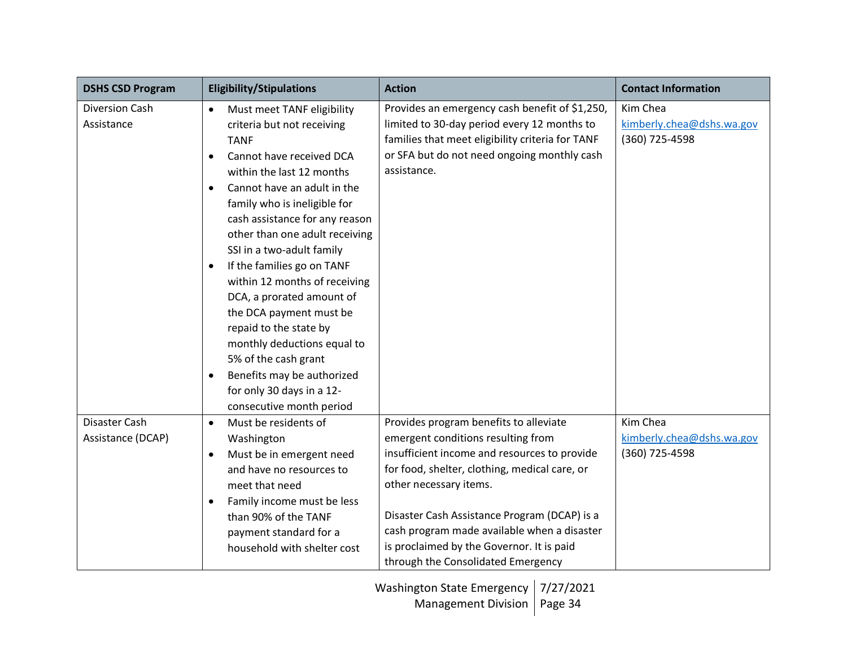| <b>DSHS CSD Program</b> | <b>Eligibility/Stipulations</b>          | <b>Action</b>                                    | <b>Contact Information</b> |
|-------------------------|------------------------------------------|--------------------------------------------------|----------------------------|
| <b>Diversion Cash</b>   | Must meet TANF eligibility<br>$\bullet$  | Provides an emergency cash benefit of \$1,250,   | Kim Chea                   |
| Assistance              | criteria but not receiving               | limited to 30-day period every 12 months to      | kimberly.chea@dshs.wa.gov  |
|                         | <b>TANF</b>                              | families that meet eligibility criteria for TANF | (360) 725-4598             |
|                         | Cannot have received DCA<br>$\bullet$    | or SFA but do not need ongoing monthly cash      |                            |
|                         | within the last 12 months                | assistance.                                      |                            |
|                         | Cannot have an adult in the<br>$\bullet$ |                                                  |                            |
|                         | family who is ineligible for             |                                                  |                            |
|                         | cash assistance for any reason           |                                                  |                            |
|                         | other than one adult receiving           |                                                  |                            |
|                         | SSI in a two-adult family                |                                                  |                            |
|                         | If the families go on TANF<br>$\bullet$  |                                                  |                            |
|                         | within 12 months of receiving            |                                                  |                            |
|                         | DCA, a prorated amount of                |                                                  |                            |
|                         | the DCA payment must be                  |                                                  |                            |
|                         | repaid to the state by                   |                                                  |                            |
|                         | monthly deductions equal to              |                                                  |                            |
|                         | 5% of the cash grant                     |                                                  |                            |
|                         | Benefits may be authorized<br>$\bullet$  |                                                  |                            |
|                         | for only 30 days in a 12-                |                                                  |                            |
|                         | consecutive month period                 |                                                  |                            |
| Disaster Cash           | Must be residents of<br>$\bullet$        | Provides program benefits to alleviate           | Kim Chea                   |
| Assistance (DCAP)       | Washington                               | emergent conditions resulting from               | kimberly.chea@dshs.wa.gov  |
|                         | Must be in emergent need<br>$\bullet$    | insufficient income and resources to provide     | (360) 725-4598             |
|                         | and have no resources to                 | for food, shelter, clothing, medical care, or    |                            |
|                         | meet that need                           | other necessary items.                           |                            |
|                         | Family income must be less<br>$\bullet$  |                                                  |                            |
|                         | than 90% of the TANF                     | Disaster Cash Assistance Program (DCAP) is a     |                            |
|                         | payment standard for a                   | cash program made available when a disaster      |                            |
|                         | household with shelter cost              | is proclaimed by the Governor. It is paid        |                            |
|                         |                                          | through the Consolidated Emergency               |                            |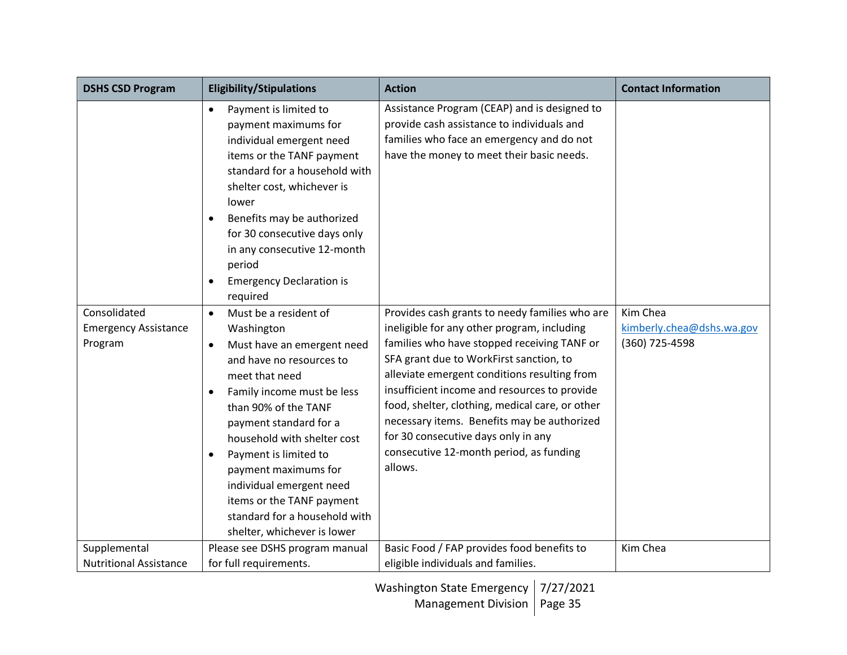| <b>DSHS CSD Program</b>                                | <b>Eligibility/Stipulations</b>                                                                                                                                                                                                                                                                                                                                                                                                                              | <b>Action</b>                                                                                                                                                                                                                                                                                                                                                                                                                                                                          | <b>Contact Information</b>                              |
|--------------------------------------------------------|--------------------------------------------------------------------------------------------------------------------------------------------------------------------------------------------------------------------------------------------------------------------------------------------------------------------------------------------------------------------------------------------------------------------------------------------------------------|----------------------------------------------------------------------------------------------------------------------------------------------------------------------------------------------------------------------------------------------------------------------------------------------------------------------------------------------------------------------------------------------------------------------------------------------------------------------------------------|---------------------------------------------------------|
|                                                        | Payment is limited to<br>$\bullet$<br>payment maximums for<br>individual emergent need<br>items or the TANF payment<br>standard for a household with<br>shelter cost, whichever is<br>lower<br>Benefits may be authorized<br>$\bullet$<br>for 30 consecutive days only<br>in any consecutive 12-month<br>period<br><b>Emergency Declaration is</b><br>$\bullet$<br>required                                                                                  | Assistance Program (CEAP) and is designed to<br>provide cash assistance to individuals and<br>families who face an emergency and do not<br>have the money to meet their basic needs.                                                                                                                                                                                                                                                                                                   |                                                         |
| Consolidated<br><b>Emergency Assistance</b><br>Program | Must be a resident of<br>$\bullet$<br>Washington<br>Must have an emergent need<br>$\bullet$<br>and have no resources to<br>meet that need<br>Family income must be less<br>$\bullet$<br>than 90% of the TANF<br>payment standard for a<br>household with shelter cost<br>Payment is limited to<br>$\bullet$<br>payment maximums for<br>individual emergent need<br>items or the TANF payment<br>standard for a household with<br>shelter, whichever is lower | Provides cash grants to needy families who are<br>ineligible for any other program, including<br>families who have stopped receiving TANF or<br>SFA grant due to WorkFirst sanction, to<br>alleviate emergent conditions resulting from<br>insufficient income and resources to provide<br>food, shelter, clothing, medical care, or other<br>necessary items. Benefits may be authorized<br>for 30 consecutive days only in any<br>consecutive 12-month period, as funding<br>allows. | Kim Chea<br>kimberly.chea@dshs.wa.gov<br>(360) 725-4598 |
| Supplemental                                           | Please see DSHS program manual                                                                                                                                                                                                                                                                                                                                                                                                                               | Basic Food / FAP provides food benefits to                                                                                                                                                                                                                                                                                                                                                                                                                                             | Kim Chea                                                |
| <b>Nutritional Assistance</b>                          | for full requirements.                                                                                                                                                                                                                                                                                                                                                                                                                                       | eligible individuals and families.                                                                                                                                                                                                                                                                                                                                                                                                                                                     |                                                         |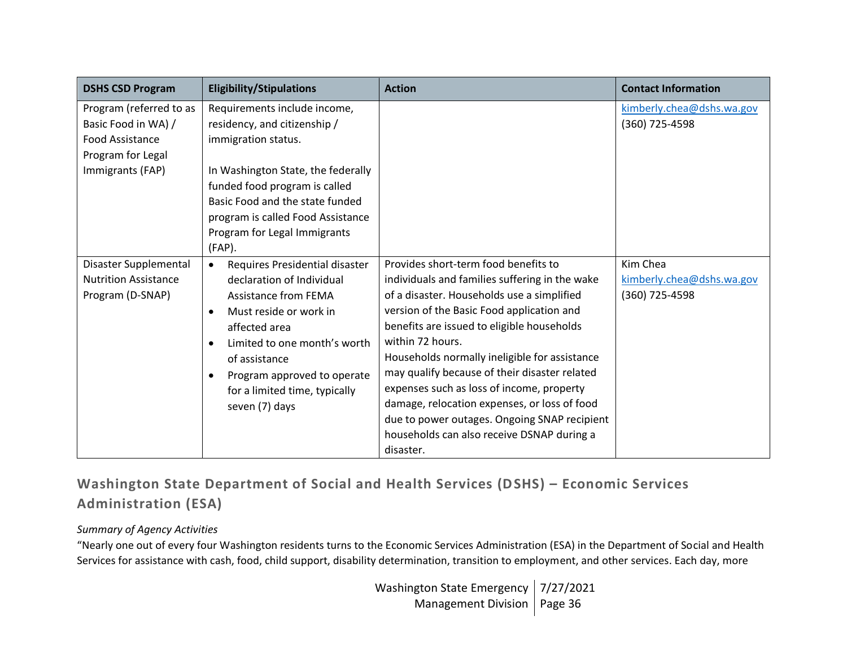| <b>DSHS CSD Program</b>                                                                                           | <b>Eligibility/Stipulations</b>                                                                                                                                                                                                                                                                                 | <b>Action</b>                                                                                                                                                                                                                                                                                                                                                                                                                                                                                                                                                 | <b>Contact Information</b>                              |
|-------------------------------------------------------------------------------------------------------------------|-----------------------------------------------------------------------------------------------------------------------------------------------------------------------------------------------------------------------------------------------------------------------------------------------------------------|---------------------------------------------------------------------------------------------------------------------------------------------------------------------------------------------------------------------------------------------------------------------------------------------------------------------------------------------------------------------------------------------------------------------------------------------------------------------------------------------------------------------------------------------------------------|---------------------------------------------------------|
| Program (referred to as<br>Basic Food in WA) /<br><b>Food Assistance</b><br>Program for Legal<br>Immigrants (FAP) | Requirements include income,<br>residency, and citizenship /<br>immigration status.<br>In Washington State, the federally<br>funded food program is called<br>Basic Food and the state funded<br>program is called Food Assistance<br>Program for Legal Immigrants<br>$(FAP)$ .                                 |                                                                                                                                                                                                                                                                                                                                                                                                                                                                                                                                                               | kimberly.chea@dshs.wa.gov<br>(360) 725-4598             |
| Disaster Supplemental<br><b>Nutrition Assistance</b><br>Program (D-SNAP)                                          | Requires Presidential disaster<br>$\bullet$<br>declaration of Individual<br><b>Assistance from FEMA</b><br>Must reside or work in<br>$\bullet$<br>affected area<br>Limited to one month's worth<br>of assistance<br>Program approved to operate<br>$\bullet$<br>for a limited time, typically<br>seven (7) days | Provides short-term food benefits to<br>individuals and families suffering in the wake<br>of a disaster. Households use a simplified<br>version of the Basic Food application and<br>benefits are issued to eligible households<br>within 72 hours.<br>Households normally ineligible for assistance<br>may qualify because of their disaster related<br>expenses such as loss of income, property<br>damage, relocation expenses, or loss of food<br>due to power outages. Ongoing SNAP recipient<br>households can also receive DSNAP during a<br>disaster. | Kim Chea<br>kimberly.chea@dshs.wa.gov<br>(360) 725-4598 |

**Washington State Department of Social and Health Services (DSHS) – Economic Services Administration (ESA)**

#### *Summary of Agency Activities*

"Nearly one out of every four Washington residents turns to the Economic Services Administration (ESA) in the Department of Social and Health Services for assistance with cash, food, child support, disability determination, transition to employment, and other services. Each day, more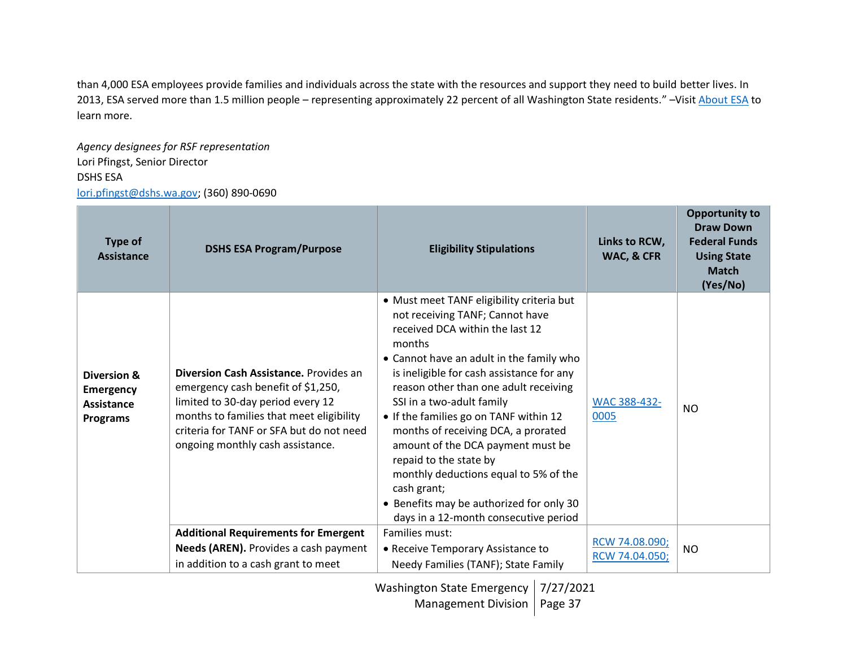than 4,000 ESA employees provide families and individuals across the state with the resources and support they need to build better lives. In 2013, ESA served more than 1.5 million people – representing approximately 22 percent of all Washington State residents." -Visit [About ESA](https://www.dshs.wa.gov/esa/about-economic-services-administration) to learn more.

*Agency designees for RSF representation* Lori Pfingst, Senior Director DSHS ESA [lori.pfingst@dshs.wa.gov;](mailto:lori.pfingst@dshs.wa.gov) (360) 890-0690

| Type of<br>Assistance                                                   | <b>DSHS ESA Program/Purpose</b>                                                                                                                                                                                                               | <b>Eligibility Stipulations</b>                                                                                                                                                                                                                                                                                                                                                                                                                                                                                                                                                       | Links to RCW,<br>WAC, & CFR      | <b>Opportunity to</b><br><b>Draw Down</b><br><b>Federal Funds</b><br><b>Using State</b><br><b>Match</b><br>(Yes/No) |
|-------------------------------------------------------------------------|-----------------------------------------------------------------------------------------------------------------------------------------------------------------------------------------------------------------------------------------------|---------------------------------------------------------------------------------------------------------------------------------------------------------------------------------------------------------------------------------------------------------------------------------------------------------------------------------------------------------------------------------------------------------------------------------------------------------------------------------------------------------------------------------------------------------------------------------------|----------------------------------|---------------------------------------------------------------------------------------------------------------------|
| Diversion &<br><b>Emergency</b><br><b>Assistance</b><br><b>Programs</b> | Diversion Cash Assistance, Provides an<br>emergency cash benefit of \$1,250,<br>limited to 30-day period every 12<br>months to families that meet eligibility<br>criteria for TANF or SFA but do not need<br>ongoing monthly cash assistance. | • Must meet TANF eligibility criteria but<br>not receiving TANF; Cannot have<br>received DCA within the last 12<br>months<br>• Cannot have an adult in the family who<br>is ineligible for cash assistance for any<br>reason other than one adult receiving<br>SSI in a two-adult family<br>• If the families go on TANF within 12<br>months of receiving DCA, a prorated<br>amount of the DCA payment must be<br>repaid to the state by<br>monthly deductions equal to 5% of the<br>cash grant;<br>• Benefits may be authorized for only 30<br>days in a 12-month consecutive period | WAC 388-432-<br>0005             | NO.                                                                                                                 |
|                                                                         | <b>Additional Requirements for Emergent</b>                                                                                                                                                                                                   | Families must:                                                                                                                                                                                                                                                                                                                                                                                                                                                                                                                                                                        |                                  |                                                                                                                     |
|                                                                         | Needs (AREN). Provides a cash payment                                                                                                                                                                                                         | • Receive Temporary Assistance to                                                                                                                                                                                                                                                                                                                                                                                                                                                                                                                                                     | RCW 74.08.090;<br>RCW 74.04.050; | NO.                                                                                                                 |
|                                                                         | in addition to a cash grant to meet                                                                                                                                                                                                           | Needy Families (TANF); State Family                                                                                                                                                                                                                                                                                                                                                                                                                                                                                                                                                   |                                  |                                                                                                                     |

Washington State Emergency 7/27/2021

Management Division | Page 37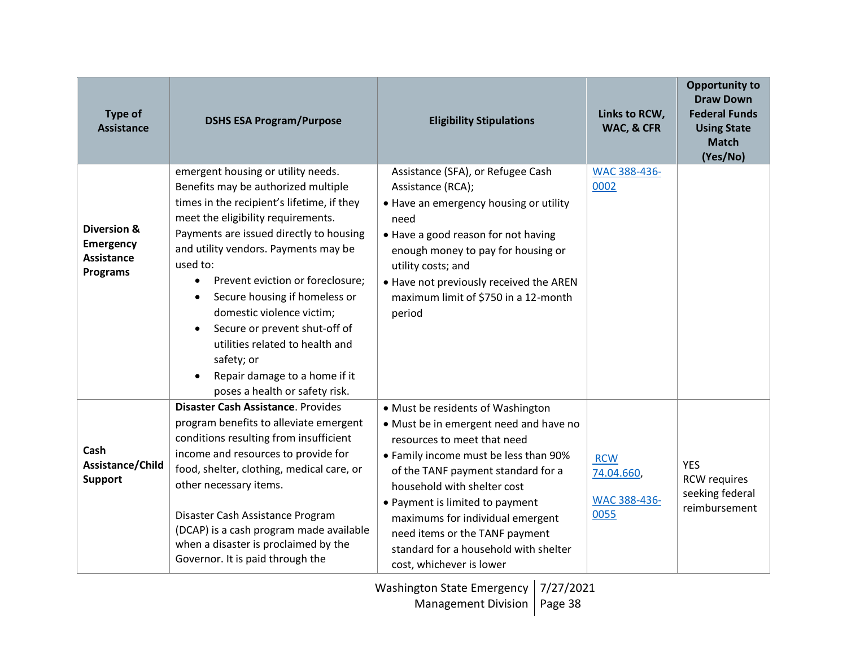| <b>Type of</b><br><b>Assistance</b>                                     | <b>DSHS ESA Program/Purpose</b>                                                                                                                                                                                                                                                                                                                                                                                                                                                                                                  | <b>Eligibility Stipulations</b>                                                                                                                                                                                                                                                                                                                                                                        | Links to RCW,<br>WAC, & CFR                     | <b>Opportunity to</b><br><b>Draw Down</b><br><b>Federal Funds</b><br><b>Using State</b><br><b>Match</b><br>(Yes/No) |
|-------------------------------------------------------------------------|----------------------------------------------------------------------------------------------------------------------------------------------------------------------------------------------------------------------------------------------------------------------------------------------------------------------------------------------------------------------------------------------------------------------------------------------------------------------------------------------------------------------------------|--------------------------------------------------------------------------------------------------------------------------------------------------------------------------------------------------------------------------------------------------------------------------------------------------------------------------------------------------------------------------------------------------------|-------------------------------------------------|---------------------------------------------------------------------------------------------------------------------|
| Diversion &<br><b>Emergency</b><br><b>Assistance</b><br><b>Programs</b> | emergent housing or utility needs.<br>Benefits may be authorized multiple<br>times in the recipient's lifetime, if they<br>meet the eligibility requirements.<br>Payments are issued directly to housing<br>and utility vendors. Payments may be<br>used to:<br>Prevent eviction or foreclosure;<br>$\bullet$<br>Secure housing if homeless or<br>domestic violence victim;<br>Secure or prevent shut-off of<br>utilities related to health and<br>safety; or<br>Repair damage to a home if it<br>poses a health or safety risk. | Assistance (SFA), or Refugee Cash<br>Assistance (RCA);<br>• Have an emergency housing or utility<br>need<br>• Have a good reason for not having<br>enough money to pay for housing or<br>utility costs; and<br>. Have not previously received the AREN<br>maximum limit of \$750 in a 12-month<br>period                                                                                               | WAC 388-436-<br>0002                            |                                                                                                                     |
| Cash<br>Assistance/Child<br><b>Support</b>                              | Disaster Cash Assistance. Provides<br>program benefits to alleviate emergent<br>conditions resulting from insufficient<br>income and resources to provide for<br>food, shelter, clothing, medical care, or<br>other necessary items.<br>Disaster Cash Assistance Program<br>(DCAP) is a cash program made available<br>when a disaster is proclaimed by the<br>Governor. It is paid through the                                                                                                                                  | • Must be residents of Washington<br>• Must be in emergent need and have no<br>resources to meet that need<br>• Family income must be less than 90%<br>of the TANF payment standard for a<br>household with shelter cost<br>• Payment is limited to payment<br>maximums for individual emergent<br>need items or the TANF payment<br>standard for a household with shelter<br>cost, whichever is lower | <b>RCW</b><br>74.04.660<br>WAC 388-436-<br>0055 | <b>YES</b><br><b>RCW</b> requires<br>seeking federal<br>reimbursement                                               |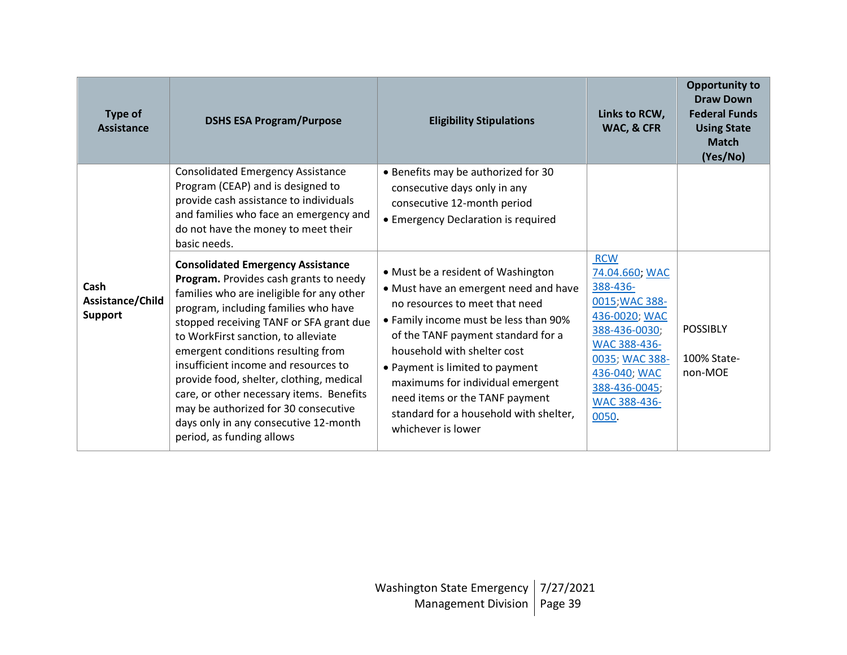| <b>Type of</b><br>Assistance        | <b>DSHS ESA Program/Purpose</b>                                                                                                                                                                                                                                                                                                                                                                                                                                                                                                                                                                                                                                                                                                                                           | <b>Eligibility Stipulations</b>                                                                                                                                                                                                                                                                                                                                                                                                                                                                                                                   | Links to RCW,<br>WAC, & CFR                                                                                                                                                              | <b>Opportunity to</b><br><b>Draw Down</b><br><b>Federal Funds</b><br><b>Using State</b><br><b>Match</b><br>(Yes/No) |
|-------------------------------------|---------------------------------------------------------------------------------------------------------------------------------------------------------------------------------------------------------------------------------------------------------------------------------------------------------------------------------------------------------------------------------------------------------------------------------------------------------------------------------------------------------------------------------------------------------------------------------------------------------------------------------------------------------------------------------------------------------------------------------------------------------------------------|---------------------------------------------------------------------------------------------------------------------------------------------------------------------------------------------------------------------------------------------------------------------------------------------------------------------------------------------------------------------------------------------------------------------------------------------------------------------------------------------------------------------------------------------------|------------------------------------------------------------------------------------------------------------------------------------------------------------------------------------------|---------------------------------------------------------------------------------------------------------------------|
| Cash<br>Assistance/Child<br>Support | <b>Consolidated Emergency Assistance</b><br>Program (CEAP) and is designed to<br>provide cash assistance to individuals<br>and families who face an emergency and<br>do not have the money to meet their<br>basic needs.<br><b>Consolidated Emergency Assistance</b><br>Program. Provides cash grants to needy<br>families who are ineligible for any other<br>program, including families who have<br>stopped receiving TANF or SFA grant due<br>to WorkFirst sanction, to alleviate<br>emergent conditions resulting from<br>insufficient income and resources to<br>provide food, shelter, clothing, medical<br>care, or other necessary items. Benefits<br>may be authorized for 30 consecutive<br>days only in any consecutive 12-month<br>period, as funding allows | • Benefits may be authorized for 30<br>consecutive days only in any<br>consecutive 12-month period<br>• Emergency Declaration is required<br>• Must be a resident of Washington<br>• Must have an emergent need and have<br>no resources to meet that need<br>• Family income must be less than 90%<br>of the TANF payment standard for a<br>household with shelter cost<br>• Payment is limited to payment<br>maximums for individual emergent<br>need items or the TANF payment<br>standard for a household with shelter,<br>whichever is lower | <b>RCW</b><br>74.04.660; WAC<br>388-436-<br>0015; WAC 388-<br>436-0020; WAC<br>388-436-0030;<br>WAC 388-436-<br>0035; WAC 388-<br>436-040; WAC<br>388-436-0045;<br>WAC 388-436-<br>0050. | <b>POSSIBLY</b><br>100% State-<br>non-MOE                                                                           |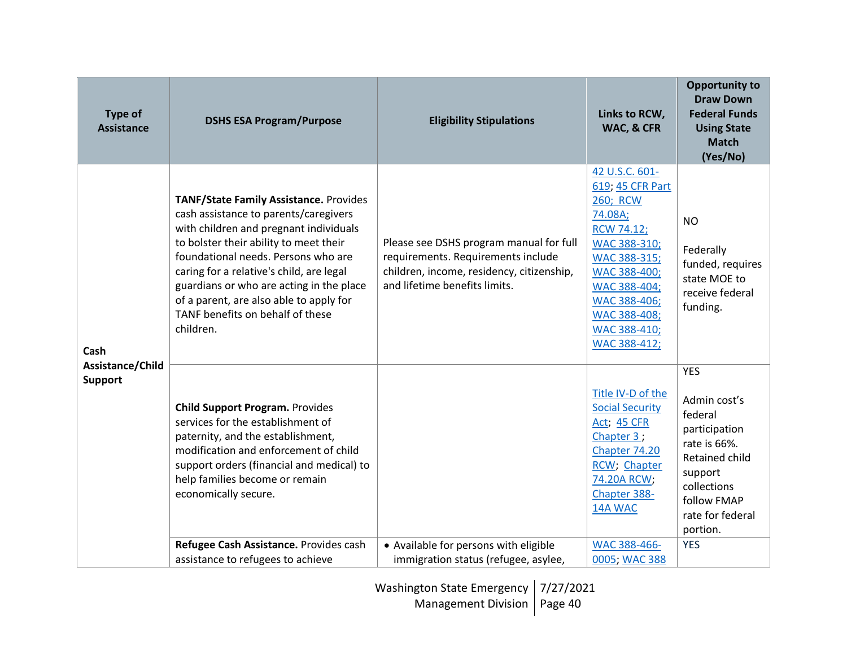| <b>Type of</b><br><b>Assistance</b>        | <b>DSHS ESA Program/Purpose</b>                                                                                                                                                                                                                                                                                                                                                                       | <b>Eligibility Stipulations</b>                                                                                                                             | Links to RCW,<br>WAC, & CFR                                                                                                                                                                                           | <b>Opportunity to</b><br><b>Draw Down</b><br><b>Federal Funds</b><br><b>Using State</b><br><b>Match</b><br>(Yes/No)                                               |
|--------------------------------------------|-------------------------------------------------------------------------------------------------------------------------------------------------------------------------------------------------------------------------------------------------------------------------------------------------------------------------------------------------------------------------------------------------------|-------------------------------------------------------------------------------------------------------------------------------------------------------------|-----------------------------------------------------------------------------------------------------------------------------------------------------------------------------------------------------------------------|-------------------------------------------------------------------------------------------------------------------------------------------------------------------|
| Cash<br>Assistance/Child<br><b>Support</b> | <b>TANF/State Family Assistance. Provides</b><br>cash assistance to parents/caregivers<br>with children and pregnant individuals<br>to bolster their ability to meet their<br>foundational needs. Persons who are<br>caring for a relative's child, are legal<br>guardians or who are acting in the place<br>of a parent, are also able to apply for<br>TANF benefits on behalf of these<br>children. | Please see DSHS program manual for full<br>requirements. Requirements include<br>children, income, residency, citizenship,<br>and lifetime benefits limits. | 42 U.S.C. 601-<br>619; 45 CFR Part<br>260; RCW<br>74.08A;<br><b>RCW 74.12;</b><br>WAC 388-310;<br><b>WAC 388-315;</b><br>WAC 388-400;<br>WAC 388-404;<br>WAC 388-406;<br>WAC 388-408;<br>WAC 388-410;<br>WAC 388-412; | <b>NO</b><br>Federally<br>funded, requires<br>state MOE to<br>receive federal<br>funding.                                                                         |
|                                            | <b>Child Support Program. Provides</b><br>services for the establishment of<br>paternity, and the establishment,<br>modification and enforcement of child<br>support orders (financial and medical) to<br>help families become or remain<br>economically secure.                                                                                                                                      |                                                                                                                                                             | Title IV-D of the<br><b>Social Security</b><br><b>Act; 45 CFR</b><br>Chapter 3;<br>Chapter 74.20<br>RCW; Chapter<br>74.20A RCW;<br>Chapter 388-<br>14A WAC                                                            | <b>YES</b><br>Admin cost's<br>federal<br>participation<br>rate is 66%.<br>Retained child<br>support<br>collections<br>follow FMAP<br>rate for federal<br>portion. |
|                                            | Refugee Cash Assistance. Provides cash<br>assistance to refugees to achieve                                                                                                                                                                                                                                                                                                                           | • Available for persons with eligible<br>immigration status (refugee, asylee,                                                                               | WAC 388-466-<br>0005; WAC 388                                                                                                                                                                                         | <b>YES</b>                                                                                                                                                        |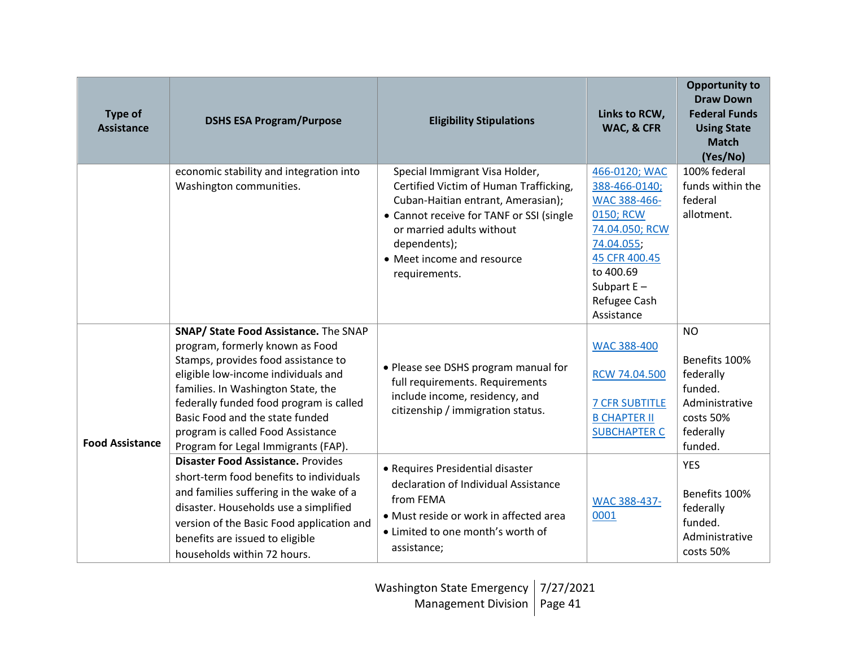| <b>Type of</b><br><b>Assistance</b> | <b>DSHS ESA Program/Purpose</b>                                                                                                                                                                                                                                                                                                                               | <b>Eligibility Stipulations</b>                                                                                                                                                                                                                        | Links to RCW,<br>WAC, & CFR                                                                                                                                              | <b>Opportunity to</b><br><b>Draw Down</b><br><b>Federal Funds</b><br><b>Using State</b><br><b>Match</b><br>(Yes/No) |
|-------------------------------------|---------------------------------------------------------------------------------------------------------------------------------------------------------------------------------------------------------------------------------------------------------------------------------------------------------------------------------------------------------------|--------------------------------------------------------------------------------------------------------------------------------------------------------------------------------------------------------------------------------------------------------|--------------------------------------------------------------------------------------------------------------------------------------------------------------------------|---------------------------------------------------------------------------------------------------------------------|
|                                     | economic stability and integration into<br>Washington communities.                                                                                                                                                                                                                                                                                            | Special Immigrant Visa Holder,<br>Certified Victim of Human Trafficking,<br>Cuban-Haitian entrant, Amerasian);<br>• Cannot receive for TANF or SSI (single<br>or married adults without<br>dependents);<br>• Meet income and resource<br>requirements. | 466-0120; WAC<br>388-466-0140;<br>WAC 388-466-<br>0150; RCW<br>74.04.050; RCW<br>74.04.055;<br>45 CFR 400.45<br>to 400.69<br>Subpart $E -$<br>Refugee Cash<br>Assistance | 100% federal<br>funds within the<br>federal<br>allotment.                                                           |
| <b>Food Assistance</b>              | <b>SNAP/ State Food Assistance.</b> The SNAP<br>program, formerly known as Food<br>Stamps, provides food assistance to<br>eligible low-income individuals and<br>families. In Washington State, the<br>federally funded food program is called<br>Basic Food and the state funded<br>program is called Food Assistance<br>Program for Legal Immigrants (FAP). | • Please see DSHS program manual for<br>full requirements. Requirements<br>include income, residency, and<br>citizenship / immigration status.                                                                                                         | <b>WAC 388-400</b><br>RCW 74.04.500<br><b>7 CFR SUBTITLE</b><br><b>B CHAPTER II</b><br><b>SUBCHAPTER C</b>                                                               | <b>NO</b><br>Benefits 100%<br>federally<br>funded.<br>Administrative<br>costs 50%<br>federally<br>funded.           |
|                                     | <b>Disaster Food Assistance. Provides</b><br>short-term food benefits to individuals<br>and families suffering in the wake of a<br>disaster. Households use a simplified<br>version of the Basic Food application and<br>benefits are issued to eligible<br>households within 72 hours.                                                                       | • Requires Presidential disaster<br>declaration of Individual Assistance<br>from FEMA<br>• Must reside or work in affected area<br>• Limited to one month's worth of<br>assistance;                                                                    | WAC 388-437-<br>0001                                                                                                                                                     | <b>YES</b><br>Benefits 100%<br>federally<br>funded.<br>Administrative<br>costs 50%                                  |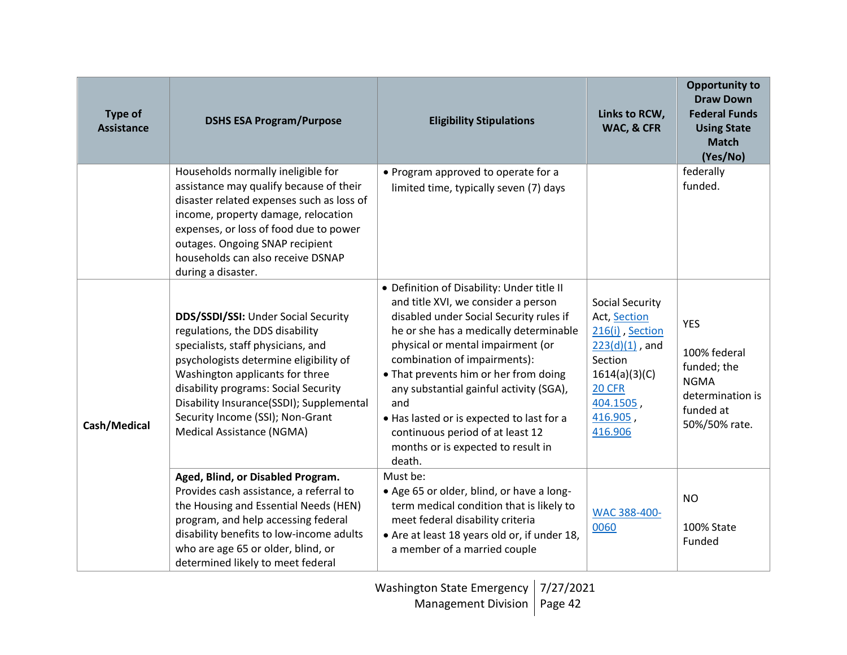| <b>Type of</b><br><b>Assistance</b> | <b>DSHS ESA Program/Purpose</b>                                                                                                                                                                                                                                                                                                                | <b>Eligibility Stipulations</b>                                                                                                                                                                                                                                                                                                                                                                                                                                         | Links to RCW,<br>WAC, & CFR                                                                                                                              | <b>Opportunity to</b><br><b>Draw Down</b><br><b>Federal Funds</b><br><b>Using State</b><br><b>Match</b><br>(Yes/No) |
|-------------------------------------|------------------------------------------------------------------------------------------------------------------------------------------------------------------------------------------------------------------------------------------------------------------------------------------------------------------------------------------------|-------------------------------------------------------------------------------------------------------------------------------------------------------------------------------------------------------------------------------------------------------------------------------------------------------------------------------------------------------------------------------------------------------------------------------------------------------------------------|----------------------------------------------------------------------------------------------------------------------------------------------------------|---------------------------------------------------------------------------------------------------------------------|
|                                     | Households normally ineligible for<br>assistance may qualify because of their<br>disaster related expenses such as loss of<br>income, property damage, relocation<br>expenses, or loss of food due to power<br>outages. Ongoing SNAP recipient<br>households can also receive DSNAP<br>during a disaster.                                      | • Program approved to operate for a<br>limited time, typically seven (7) days                                                                                                                                                                                                                                                                                                                                                                                           |                                                                                                                                                          | federally<br>funded.                                                                                                |
| Cash/Medical                        | DDS/SSDI/SSI: Under Social Security<br>regulations, the DDS disability<br>specialists, staff physicians, and<br>psychologists determine eligibility of<br>Washington applicants for three<br>disability programs: Social Security<br>Disability Insurance(SSDI); Supplemental<br>Security Income (SSI); Non-Grant<br>Medical Assistance (NGMA) | • Definition of Disability: Under title II<br>and title XVI, we consider a person<br>disabled under Social Security rules if<br>he or she has a medically determinable<br>physical or mental impairment (or<br>combination of impairments):<br>• That prevents him or her from doing<br>any substantial gainful activity (SGA),<br>and<br>. Has lasted or is expected to last for a<br>continuous period of at least 12<br>months or is expected to result in<br>death. | Social Security<br>Act, Section<br>216(i), Section<br>$223(d)(1)$ , and<br>Section<br>1614(a)(3)(C)<br><b>20 CFR</b><br>404.1505,<br>416.905,<br>416.906 | <b>YES</b><br>100% federal<br>funded; the<br><b>NGMA</b><br>determination is<br>funded at<br>50%/50% rate.          |
|                                     | Aged, Blind, or Disabled Program.<br>Provides cash assistance, a referral to<br>the Housing and Essential Needs (HEN)<br>program, and help accessing federal<br>disability benefits to low-income adults<br>who are age 65 or older, blind, or<br>determined likely to meet federal                                                            | Must be:<br>• Age 65 or older, blind, or have a long-<br>term medical condition that is likely to<br>meet federal disability criteria<br>• Are at least 18 years old or, if under 18,<br>a member of a married couple                                                                                                                                                                                                                                                   | WAC 388-400-<br>0060                                                                                                                                     | <b>NO</b><br>100% State<br>Funded                                                                                   |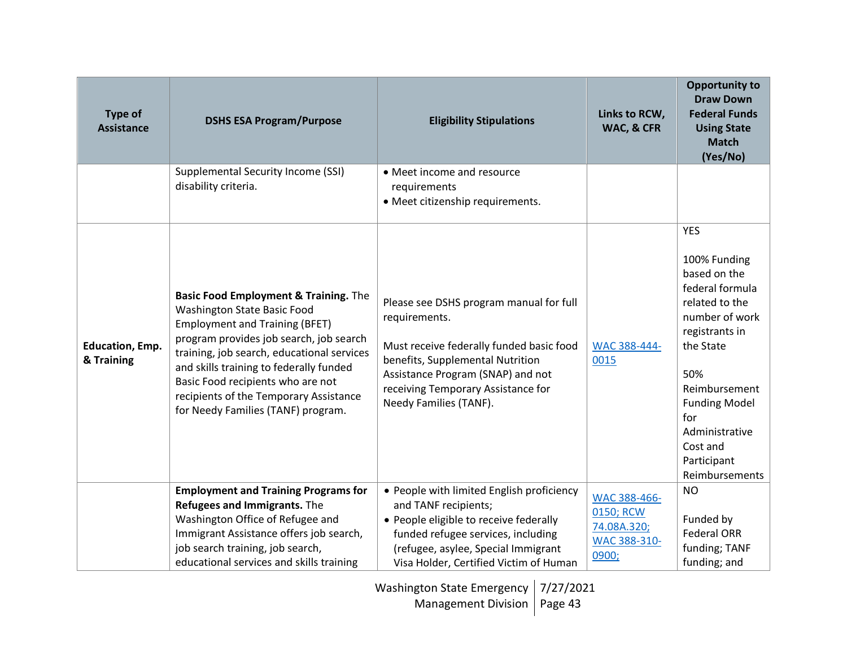| <b>Type of</b><br><b>Assistance</b>  | <b>DSHS ESA Program/Purpose</b>                                                                                                                                                                                                                                                                                                                                        | <b>Eligibility Stipulations</b>                                                                                                                                                                                                               | Links to RCW,<br>WAC, & CFR                                       | <b>Opportunity to</b><br><b>Draw Down</b><br><b>Federal Funds</b><br><b>Using State</b><br><b>Match</b><br>(Yes/No)                                                                                                                                    |
|--------------------------------------|------------------------------------------------------------------------------------------------------------------------------------------------------------------------------------------------------------------------------------------------------------------------------------------------------------------------------------------------------------------------|-----------------------------------------------------------------------------------------------------------------------------------------------------------------------------------------------------------------------------------------------|-------------------------------------------------------------------|--------------------------------------------------------------------------------------------------------------------------------------------------------------------------------------------------------------------------------------------------------|
|                                      | <b>Supplemental Security Income (SSI)</b><br>disability criteria.                                                                                                                                                                                                                                                                                                      | • Meet income and resource<br>requirements<br>· Meet citizenship requirements.                                                                                                                                                                |                                                                   |                                                                                                                                                                                                                                                        |
| <b>Education, Emp.</b><br>& Training | Basic Food Employment & Training. The<br>Washington State Basic Food<br><b>Employment and Training (BFET)</b><br>program provides job search, job search<br>training, job search, educational services<br>and skills training to federally funded<br>Basic Food recipients who are not<br>recipients of the Temporary Assistance<br>for Needy Families (TANF) program. | Please see DSHS program manual for full<br>requirements.<br>Must receive federally funded basic food<br>benefits, Supplemental Nutrition<br>Assistance Program (SNAP) and not<br>receiving Temporary Assistance for<br>Needy Families (TANF). | WAC 388-444-<br>0015                                              | <b>YES</b><br>100% Funding<br>based on the<br>federal formula<br>related to the<br>number of work<br>registrants in<br>the State<br>50%<br>Reimbursement<br><b>Funding Model</b><br>for<br>Administrative<br>Cost and<br>Participant<br>Reimbursements |
|                                      | <b>Employment and Training Programs for</b><br>Refugees and Immigrants. The<br>Washington Office of Refugee and<br>Immigrant Assistance offers job search,<br>job search training, job search,<br>educational services and skills training                                                                                                                             | • People with limited English proficiency<br>and TANF recipients;<br>• People eligible to receive federally<br>funded refugee services, including<br>(refugee, asylee, Special Immigrant<br>Visa Holder, Certified Victim of Human            | WAC 388-466-<br>0150; RCW<br>74.08A.320;<br>WAC 388-310-<br>0900; | <b>NO</b><br>Funded by<br><b>Federal ORR</b><br>funding; TANF<br>funding; and                                                                                                                                                                          |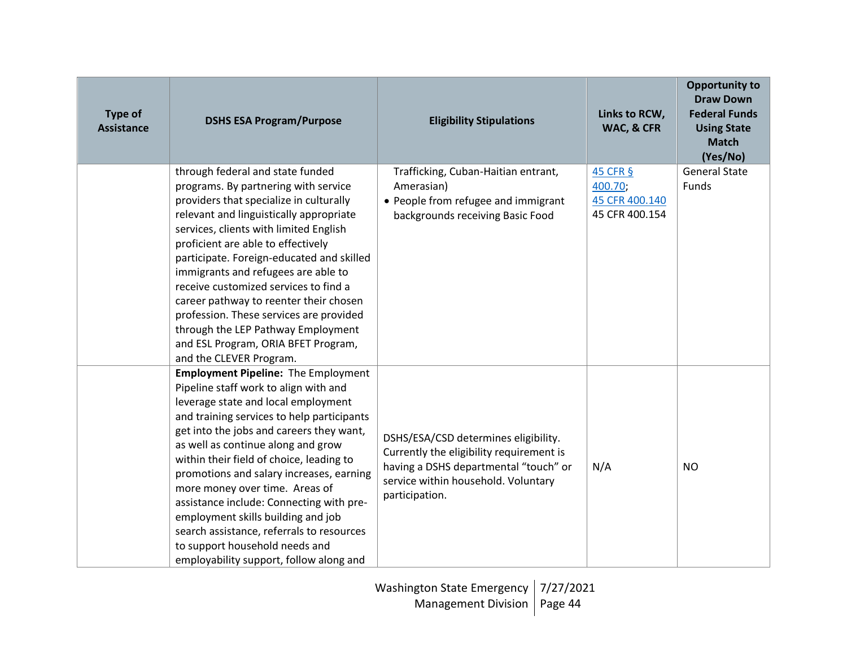| <b>Type of</b><br><b>Assistance</b> | <b>DSHS ESA Program/Purpose</b>                                                                                                                                                                                                                                                                                                                                                                                                                                                                                                                                                                  | <b>Eligibility Stipulations</b>                                                                                                                                                    | Links to RCW,<br>WAC, & CFR                             | <b>Opportunity to</b><br><b>Draw Down</b><br><b>Federal Funds</b><br><b>Using State</b><br><b>Match</b><br>(Yes/No) |
|-------------------------------------|--------------------------------------------------------------------------------------------------------------------------------------------------------------------------------------------------------------------------------------------------------------------------------------------------------------------------------------------------------------------------------------------------------------------------------------------------------------------------------------------------------------------------------------------------------------------------------------------------|------------------------------------------------------------------------------------------------------------------------------------------------------------------------------------|---------------------------------------------------------|---------------------------------------------------------------------------------------------------------------------|
|                                     | through federal and state funded<br>programs. By partnering with service<br>providers that specialize in culturally<br>relevant and linguistically appropriate<br>services, clients with limited English<br>proficient are able to effectively<br>participate. Foreign-educated and skilled<br>immigrants and refugees are able to<br>receive customized services to find a<br>career pathway to reenter their chosen<br>profession. These services are provided<br>through the LEP Pathway Employment<br>and ESL Program, ORIA BFET Program,<br>and the CLEVER Program.                         | Trafficking, Cuban-Haitian entrant,<br>Amerasian)<br>• People from refugee and immigrant<br>backgrounds receiving Basic Food                                                       | 45 CFR §<br>400.70;<br>45 CFR 400.140<br>45 CFR 400.154 | <b>General State</b><br>Funds                                                                                       |
|                                     | <b>Employment Pipeline: The Employment</b><br>Pipeline staff work to align with and<br>leverage state and local employment<br>and training services to help participants<br>get into the jobs and careers they want,<br>as well as continue along and grow<br>within their field of choice, leading to<br>promotions and salary increases, earning<br>more money over time. Areas of<br>assistance include: Connecting with pre-<br>employment skills building and job<br>search assistance, referrals to resources<br>to support household needs and<br>employability support, follow along and | DSHS/ESA/CSD determines eligibility.<br>Currently the eligibility requirement is<br>having a DSHS departmental "touch" or<br>service within household. Voluntary<br>participation. | N/A                                                     | <b>NO</b>                                                                                                           |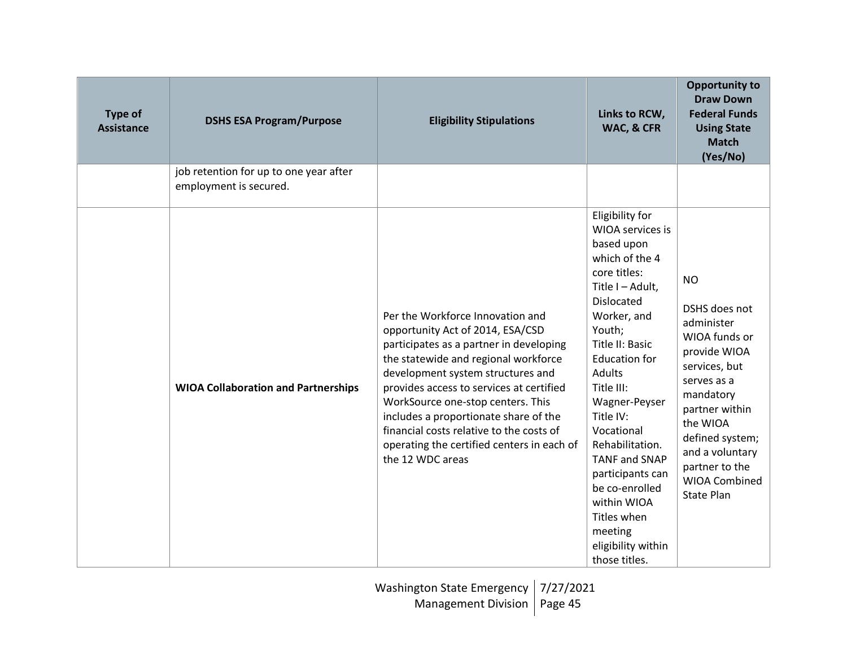| <b>Type of</b><br><b>Assistance</b> | <b>DSHS ESA Program/Purpose</b>                                  | <b>Eligibility Stipulations</b>                                                                                                                                                                                                                                                                                                                                                                                                      | Links to RCW,<br>WAC, & CFR                                                                                                                                                                                                                                                                                                                                                                                                         | <b>Opportunity to</b><br><b>Draw Down</b><br><b>Federal Funds</b><br><b>Using State</b><br><b>Match</b><br>(Yes/No)                                                                                                                         |
|-------------------------------------|------------------------------------------------------------------|--------------------------------------------------------------------------------------------------------------------------------------------------------------------------------------------------------------------------------------------------------------------------------------------------------------------------------------------------------------------------------------------------------------------------------------|-------------------------------------------------------------------------------------------------------------------------------------------------------------------------------------------------------------------------------------------------------------------------------------------------------------------------------------------------------------------------------------------------------------------------------------|---------------------------------------------------------------------------------------------------------------------------------------------------------------------------------------------------------------------------------------------|
|                                     | job retention for up to one year after<br>employment is secured. |                                                                                                                                                                                                                                                                                                                                                                                                                                      |                                                                                                                                                                                                                                                                                                                                                                                                                                     |                                                                                                                                                                                                                                             |
|                                     | <b>WIOA Collaboration and Partnerships</b>                       | Per the Workforce Innovation and<br>opportunity Act of 2014, ESA/CSD<br>participates as a partner in developing<br>the statewide and regional workforce<br>development system structures and<br>provides access to services at certified<br>WorkSource one-stop centers. This<br>includes a proportionate share of the<br>financial costs relative to the costs of<br>operating the certified centers in each of<br>the 12 WDC areas | Eligibility for<br>WIOA services is<br>based upon<br>which of the 4<br>core titles:<br>Title I-Adult,<br>Dislocated<br>Worker, and<br>Youth;<br>Title II: Basic<br><b>Education for</b><br><b>Adults</b><br>Title III:<br>Wagner-Peyser<br>Title IV:<br>Vocational<br>Rehabilitation.<br><b>TANF and SNAP</b><br>participants can<br>be co-enrolled<br>within WIOA<br>Titles when<br>meeting<br>eligibility within<br>those titles. | <b>NO</b><br>DSHS does not<br>administer<br>WIOA funds or<br>provide WIOA<br>services, but<br>serves as a<br>mandatory<br>partner within<br>the WIOA<br>defined system;<br>and a voluntary<br>partner to the<br>WIOA Combined<br>State Plan |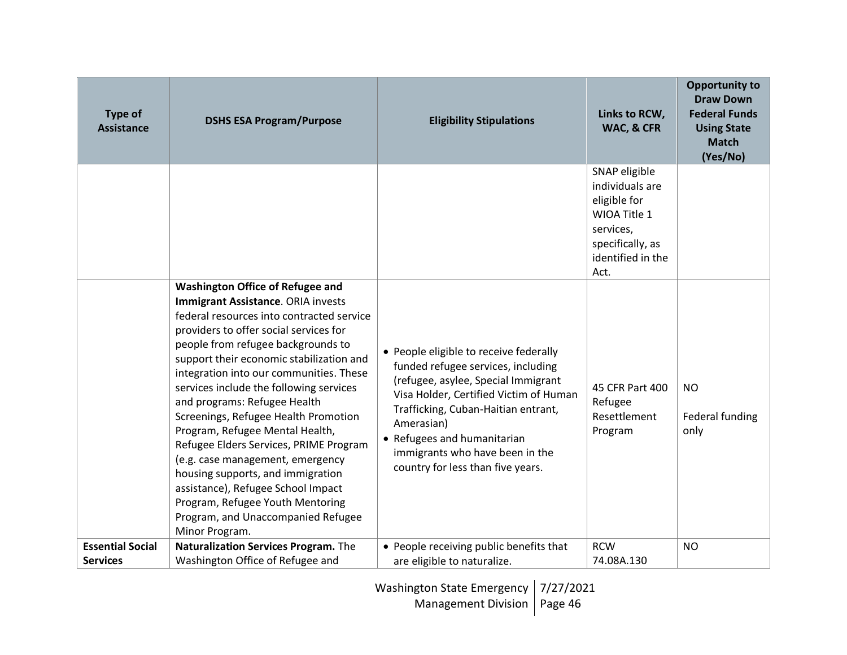| <b>Type of</b><br><b>Assistance</b> | <b>DSHS ESA Program/Purpose</b>                                                                                                                                                                                                                                                                                                                                                                                                                                                                                                                                                                                                                                                                              | <b>Eligibility Stipulations</b>                                                                                                                                                                                                                                                                                           | Links to RCW,<br>WAC, & CFR                                                                                                    | <b>Opportunity to</b><br><b>Draw Down</b><br><b>Federal Funds</b><br><b>Using State</b><br><b>Match</b><br>(Yes/No) |
|-------------------------------------|--------------------------------------------------------------------------------------------------------------------------------------------------------------------------------------------------------------------------------------------------------------------------------------------------------------------------------------------------------------------------------------------------------------------------------------------------------------------------------------------------------------------------------------------------------------------------------------------------------------------------------------------------------------------------------------------------------------|---------------------------------------------------------------------------------------------------------------------------------------------------------------------------------------------------------------------------------------------------------------------------------------------------------------------------|--------------------------------------------------------------------------------------------------------------------------------|---------------------------------------------------------------------------------------------------------------------|
|                                     |                                                                                                                                                                                                                                                                                                                                                                                                                                                                                                                                                                                                                                                                                                              |                                                                                                                                                                                                                                                                                                                           | SNAP eligible<br>individuals are<br>eligible for<br>WIOA Title 1<br>services,<br>specifically, as<br>identified in the<br>Act. |                                                                                                                     |
|                                     | <b>Washington Office of Refugee and</b><br>Immigrant Assistance. ORIA invests<br>federal resources into contracted service<br>providers to offer social services for<br>people from refugee backgrounds to<br>support their economic stabilization and<br>integration into our communities. These<br>services include the following services<br>and programs: Refugee Health<br>Screenings, Refugee Health Promotion<br>Program, Refugee Mental Health,<br>Refugee Elders Services, PRIME Program<br>(e.g. case management, emergency<br>housing supports, and immigration<br>assistance), Refugee School Impact<br>Program, Refugee Youth Mentoring<br>Program, and Unaccompanied Refugee<br>Minor Program. | • People eligible to receive federally<br>funded refugee services, including<br>(refugee, asylee, Special Immigrant<br>Visa Holder, Certified Victim of Human<br>Trafficking, Cuban-Haitian entrant,<br>Amerasian)<br>• Refugees and humanitarian<br>immigrants who have been in the<br>country for less than five years. | 45 CFR Part 400<br>Refugee<br>Resettlement<br>Program                                                                          | <b>NO</b><br>Federal funding<br>only                                                                                |
| <b>Essential Social</b>             | Naturalization Services Program. The                                                                                                                                                                                                                                                                                                                                                                                                                                                                                                                                                                                                                                                                         | • People receiving public benefits that                                                                                                                                                                                                                                                                                   | <b>RCW</b>                                                                                                                     | <b>NO</b>                                                                                                           |
| <b>Services</b>                     | Washington Office of Refugee and                                                                                                                                                                                                                                                                                                                                                                                                                                                                                                                                                                                                                                                                             | are eligible to naturalize.                                                                                                                                                                                                                                                                                               | 74.08A.130                                                                                                                     |                                                                                                                     |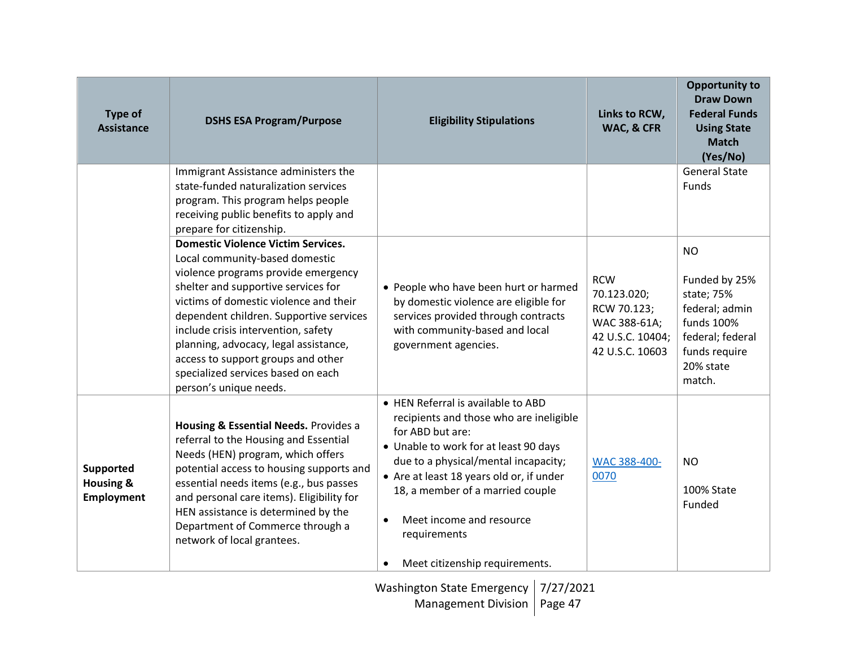| <b>Type of</b><br><b>Assistance</b>             | <b>DSHS ESA Program/Purpose</b>                                                                                                                                                                                                                                                                                                                                                                                                      | <b>Eligibility Stipulations</b>                                                                                                                                                                                                                                                                                                                                            | Links to RCW,<br>WAC, & CFR                                                                     | <b>Opportunity to</b><br><b>Draw Down</b><br><b>Federal Funds</b><br><b>Using State</b><br><b>Match</b><br>(Yes/No)                  |
|-------------------------------------------------|--------------------------------------------------------------------------------------------------------------------------------------------------------------------------------------------------------------------------------------------------------------------------------------------------------------------------------------------------------------------------------------------------------------------------------------|----------------------------------------------------------------------------------------------------------------------------------------------------------------------------------------------------------------------------------------------------------------------------------------------------------------------------------------------------------------------------|-------------------------------------------------------------------------------------------------|--------------------------------------------------------------------------------------------------------------------------------------|
|                                                 | Immigrant Assistance administers the<br>state-funded naturalization services<br>program. This program helps people<br>receiving public benefits to apply and<br>prepare for citizenship.                                                                                                                                                                                                                                             |                                                                                                                                                                                                                                                                                                                                                                            |                                                                                                 | <b>General State</b><br><b>Funds</b>                                                                                                 |
|                                                 | <b>Domestic Violence Victim Services.</b><br>Local community-based domestic<br>violence programs provide emergency<br>shelter and supportive services for<br>victims of domestic violence and their<br>dependent children. Supportive services<br>include crisis intervention, safety<br>planning, advocacy, legal assistance,<br>access to support groups and other<br>specialized services based on each<br>person's unique needs. | • People who have been hurt or harmed<br>by domestic violence are eligible for<br>services provided through contracts<br>with community-based and local<br>government agencies.                                                                                                                                                                                            | <b>RCW</b><br>70.123.020;<br>RCW 70.123;<br>WAC 388-61A;<br>42 U.S.C. 10404;<br>42 U.S.C. 10603 | <b>NO</b><br>Funded by 25%<br>state; 75%<br>federal; admin<br>funds 100%<br>federal; federal<br>funds require<br>20% state<br>match. |
| Supported<br><b>Housing &amp;</b><br>Employment | Housing & Essential Needs. Provides a<br>referral to the Housing and Essential<br>Needs (HEN) program, which offers<br>potential access to housing supports and<br>essential needs items (e.g., bus passes<br>and personal care items). Eligibility for<br>HEN assistance is determined by the<br>Department of Commerce through a<br>network of local grantees.                                                                     | • HEN Referral is available to ABD<br>recipients and those who are ineligible<br>for ABD but are:<br>• Unable to work for at least 90 days<br>due to a physical/mental incapacity;<br>• Are at least 18 years old or, if under<br>18, a member of a married couple<br>Meet income and resource<br>$\bullet$<br>requirements<br>Meet citizenship requirements.<br>$\bullet$ | WAC 388-400-<br>0070                                                                            | <b>NO</b><br>100% State<br>Funded                                                                                                    |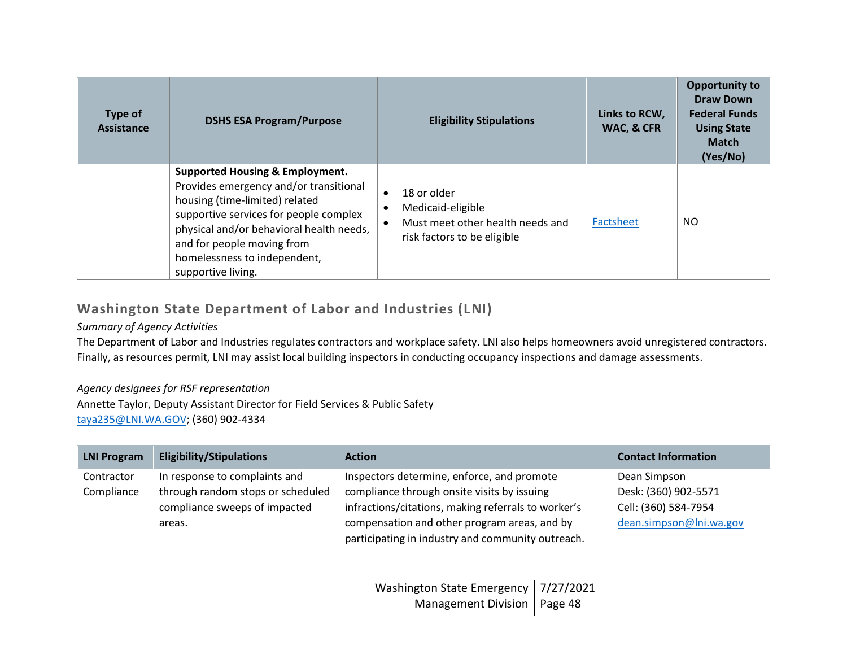| Type of<br>Assistance | <b>DSHS ESA Program/Purpose</b>                                                                                                                                                                                                                                                                  | <b>Eligibility Stipulations</b>                                                                                               | Links to RCW,<br>WAC, & CFR | <b>Opportunity to</b><br>Draw Down<br><b>Federal Funds</b><br><b>Using State</b><br><b>Match</b><br>(Yes/No) |
|-----------------------|--------------------------------------------------------------------------------------------------------------------------------------------------------------------------------------------------------------------------------------------------------------------------------------------------|-------------------------------------------------------------------------------------------------------------------------------|-----------------------------|--------------------------------------------------------------------------------------------------------------|
|                       | <b>Supported Housing &amp; Employment.</b><br>Provides emergency and/or transitional<br>housing (time-limited) related<br>supportive services for people complex<br>physical and/or behavioral health needs,<br>and for people moving from<br>homelessness to independent,<br>supportive living. | 18 or older<br>$\bullet$<br>Medicaid-eligible<br>$\bullet$<br>Must meet other health needs and<br>risk factors to be eligible | Factsheet                   | <b>NO</b>                                                                                                    |

# **Washington State Department of Labor and Industries (LNI)**

## *Summary of Agency Activities*

The Department of Labor and Industries regulates contractors and workplace safety. LNI also helps homeowners avoid unregistered contractors. Finally, as resources permit, LNI may assist local building inspectors in conducting occupancy inspections and damage assessments.

# *Agency designees for RSF representation*

Annette Taylor, Deputy Assistant Director for Field Services & Public Safety [taya235@LNI.WA.GOV;](mailto:taya235@LNI.WA.GOV) (360) 902-4334

| <b>LNI Program</b> | <b>Eligibility/Stipulations</b>   | <b>Action</b>                                       | <b>Contact Information</b> |
|--------------------|-----------------------------------|-----------------------------------------------------|----------------------------|
| Contractor         | In response to complaints and     | Inspectors determine, enforce, and promote          | Dean Simpson               |
| Compliance         | through random stops or scheduled | compliance through onsite visits by issuing         | Desk: (360) 902-5571       |
|                    | compliance sweeps of impacted     | infractions/citations, making referrals to worker's | Cell: (360) 584-7954       |
|                    | areas.                            | compensation and other program areas, and by        | dean.simpson@lni.wa.gov    |
|                    |                                   | participating in industry and community outreach.   |                            |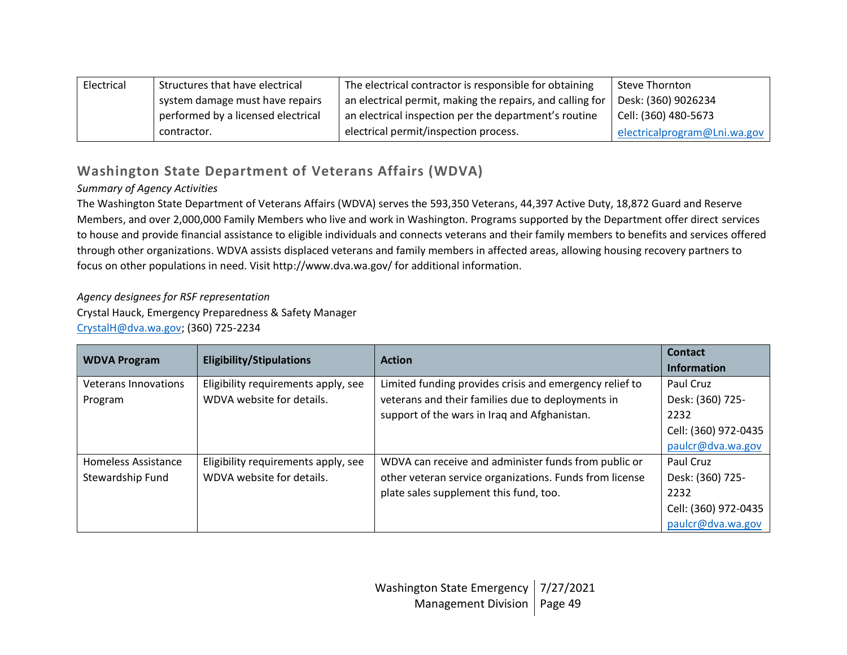| Electrical | Structures that have electrical    | The electrical contractor is responsible for obtaining    | Steve Thornton               |
|------------|------------------------------------|-----------------------------------------------------------|------------------------------|
|            | system damage must have repairs    | an electrical permit, making the repairs, and calling for | Desk: (360) 9026234          |
|            | performed by a licensed electrical | an electrical inspection per the department's routine     | Cell: (360) 480-5673         |
|            | contractor.                        | electrical permit/inspection process.                     | electricalprogram@Lni.wa.gov |

# **Washington State Department of Veterans Affairs (WDVA)**

# *Summary of Agency Activities*

The Washington State Department of Veterans Affairs (WDVA) serves the 593,350 Veterans, 44,397 Active Duty, 18,872 Guard and Reserve Members, and over 2,000,000 Family Members who live and work in Washington. Programs supported by the Department offer direct services to house and provide financial assistance to eligible individuals and connects veterans and their family members to benefits and services offered through other organizations. WDVA assists displaced veterans and family members in affected areas, allowing housing recovery partners to focus on other populations in need. Visit http://www.dva.wa.gov/ for additional information.

## *Agency designees for RSF representation*

Crystal Hauck, Emergency Preparedness & Safety Manager [CrystalH@dva.wa.gov;](mailto:CrystalH@dva.wa.gov) (360) 725-2234

| <b>WDVA Program</b>         | <b>Eligibility/Stipulations</b>     | <b>Action</b>                                           | Contact<br><b>Information</b> |
|-----------------------------|-------------------------------------|---------------------------------------------------------|-------------------------------|
| <b>Veterans Innovations</b> | Eligibility requirements apply, see | Limited funding provides crisis and emergency relief to | Paul Cruz                     |
| Program                     | WDVA website for details.           | veterans and their families due to deployments in       | Desk: (360) 725-              |
|                             |                                     | support of the wars in Iraq and Afghanistan.            | 2232                          |
|                             |                                     |                                                         | Cell: (360) 972-0435          |
|                             |                                     |                                                         | paulcr@dva.wa.gov             |
| Homeless Assistance         | Eligibility requirements apply, see | WDVA can receive and administer funds from public or    | Paul Cruz                     |
| Stewardship Fund            | WDVA website for details.           | other veteran service organizations. Funds from license | Desk: (360) 725-              |
|                             |                                     | plate sales supplement this fund, too.                  | 2232                          |
|                             |                                     |                                                         | Cell: (360) 972-0435          |
|                             |                                     |                                                         | paulcr@dva.wa.gov             |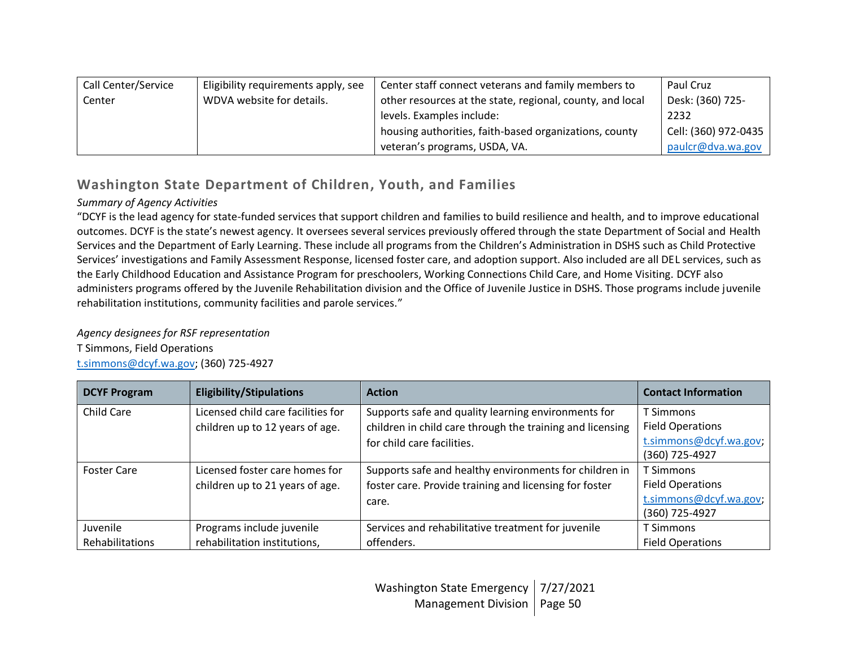| Call Center/Service | Eligibility requirements apply, see | Center staff connect veterans and family members to       | Paul Cruz            |
|---------------------|-------------------------------------|-----------------------------------------------------------|----------------------|
| Center              | WDVA website for details.           | other resources at the state, regional, county, and local | Desk: (360) 725-     |
|                     |                                     | levels. Examples include:                                 | 2232                 |
|                     |                                     | housing authorities, faith-based organizations, county    | Cell: (360) 972-0435 |
|                     |                                     | veteran's programs, USDA, VA.                             | paulcr@dva.wa.gov    |

# **Washington State Department of Children, Youth, and Families**

# *Summary of Agency Activities*

"DCYF is the lead agency for state-funded services that support children and families to build resilience and health, and to improve educational outcomes. DCYF is the state's newest agency. It oversees several services previously offered through the state Department of Social and Health Services and the Department of Early Learning. These include all programs from the Children's Administration in DSHS such as Child Protective Services' investigations and Family Assessment Response, licensed foster care, and adoption support. Also included are all DEL services, such as the Early Childhood Education and Assistance Program for preschoolers, Working Connections Child Care, and Home Visiting. DCYF also administers programs offered by the Juvenile Rehabilitation division and the Office of Juvenile Justice in DSHS. Those programs include juvenile rehabilitation institutions, community facilities and parole services."

# *Agency designees for RSF representation*

T Simmons, Field Operations [t.simmons@dcyf.wa.gov;](mailto:t.simmons@dcyf.wa.gov) (360) 725-4927

| <b>DCYF Program</b> | <b>Eligibility/Stipulations</b>    | <b>Action</b>                                             | <b>Contact Information</b>               |
|---------------------|------------------------------------|-----------------------------------------------------------|------------------------------------------|
| Child Care          | Licensed child care facilities for | Supports safe and quality learning environments for       | T Simmons                                |
|                     | children up to 12 years of age.    | children in child care through the training and licensing | <b>Field Operations</b>                  |
|                     |                                    | for child care facilities.                                | t.simmons@dcyf.wa.gov;<br>(360) 725-4927 |
|                     |                                    |                                                           |                                          |
| <b>Foster Care</b>  | Licensed foster care homes for     | Supports safe and healthy environments for children in    | T Simmons                                |
|                     | children up to 21 years of age.    | foster care. Provide training and licensing for foster    | <b>Field Operations</b>                  |
|                     |                                    | care.                                                     | t.simmons@dcyf.wa.gov;                   |
|                     |                                    |                                                           | (360) 725-4927                           |
| Juvenile            | Programs include juvenile          | Services and rehabilitative treatment for juvenile        | T Simmons                                |
| Rehabilitations     | rehabilitation institutions,       | offenders.                                                | <b>Field Operations</b>                  |